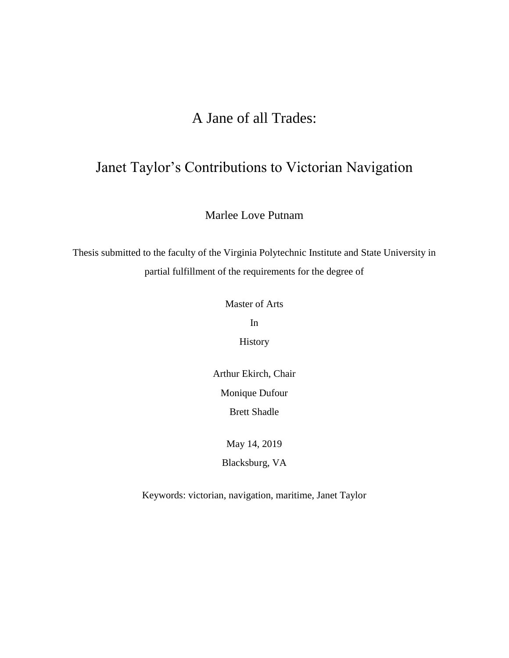# A Jane of all Trades:

# Janet Taylor's Contributions to Victorian Navigation

Marlee Love Putnam

Thesis submitted to the faculty of the Virginia Polytechnic Institute and State University in partial fulfillment of the requirements for the degree of

Master of Arts

In

History

Arthur Ekirch, Chair Monique Dufour Brett Shadle

May 14, 2019

Blacksburg, VA

Keywords: victorian, navigation, maritime, Janet Taylor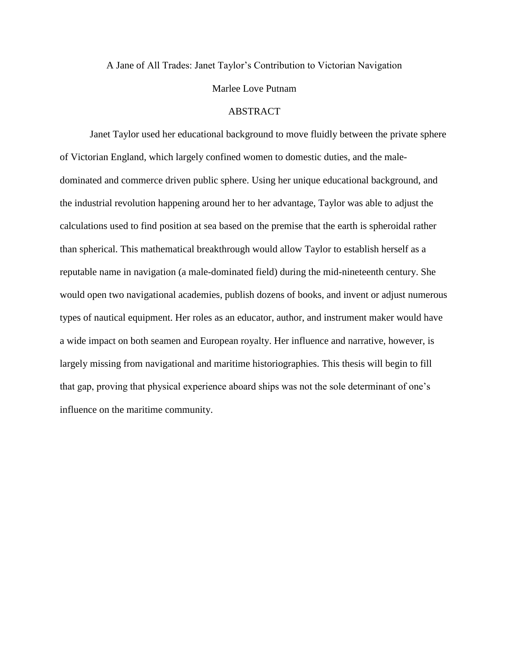A Jane of All Trades: Janet Taylor's Contribution to Victorian Navigation

### Marlee Love Putnam

# ABSTRACT

Janet Taylor used her educational background to move fluidly between the private sphere of Victorian England, which largely confined women to domestic duties, and the maledominated and commerce driven public sphere. Using her unique educational background, and the industrial revolution happening around her to her advantage, Taylor was able to adjust the calculations used to find position at sea based on the premise that the earth is spheroidal rather than spherical. This mathematical breakthrough would allow Taylor to establish herself as a reputable name in navigation (a male-dominated field) during the mid-nineteenth century. She would open two navigational academies, publish dozens of books, and invent or adjust numerous types of nautical equipment. Her roles as an educator, author, and instrument maker would have a wide impact on both seamen and European royalty. Her influence and narrative, however, is largely missing from navigational and maritime historiographies. This thesis will begin to fill that gap, proving that physical experience aboard ships was not the sole determinant of one's influence on the maritime community.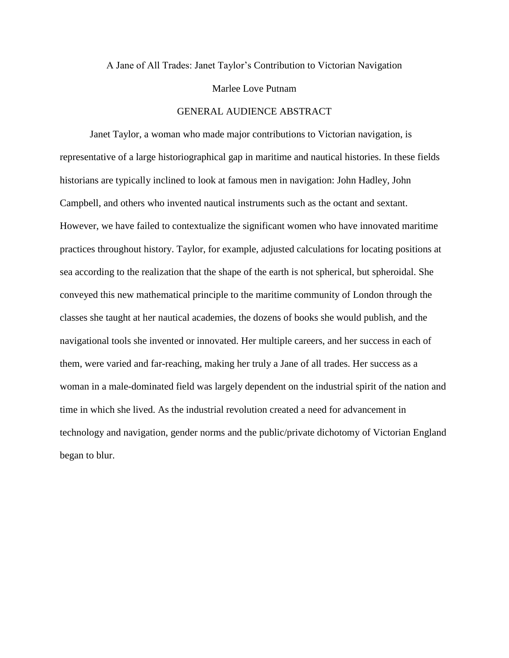A Jane of All Trades: Janet Taylor's Contribution to Victorian Navigation

### Marlee Love Putnam

# GENERAL AUDIENCE ABSTRACT

Janet Taylor, a woman who made major contributions to Victorian navigation, is representative of a large historiographical gap in maritime and nautical histories. In these fields historians are typically inclined to look at famous men in navigation: John Hadley, John Campbell, and others who invented nautical instruments such as the octant and sextant. However, we have failed to contextualize the significant women who have innovated maritime practices throughout history. Taylor, for example, adjusted calculations for locating positions at sea according to the realization that the shape of the earth is not spherical, but spheroidal. She conveyed this new mathematical principle to the maritime community of London through the classes she taught at her nautical academies, the dozens of books she would publish, and the navigational tools she invented or innovated. Her multiple careers, and her success in each of them, were varied and far-reaching, making her truly a Jane of all trades. Her success as a woman in a male-dominated field was largely dependent on the industrial spirit of the nation and time in which she lived. As the industrial revolution created a need for advancement in technology and navigation, gender norms and the public/private dichotomy of Victorian England began to blur.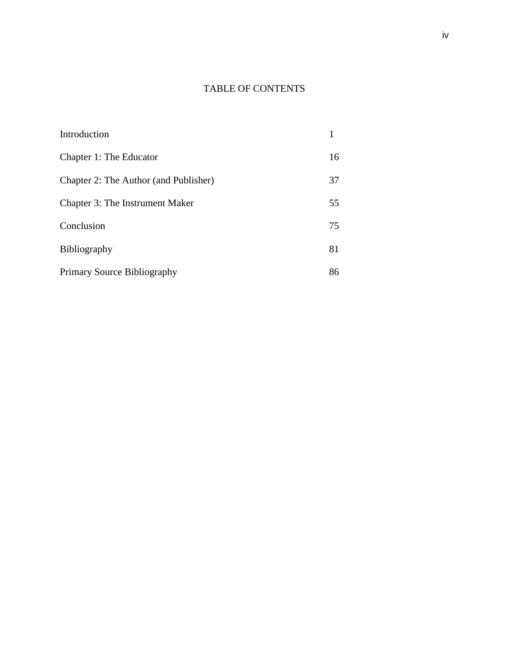# TABLE OF CONTENTS

| Introduction                          |    |
|---------------------------------------|----|
| Chapter 1: The Educator               | 16 |
| Chapter 2: The Author (and Publisher) | 37 |
| Chapter 3: The Instrument Maker       | 55 |
| Conclusion                            | 75 |
| <b>Bibliography</b>                   | 81 |
| Primary Source Bibliography           | 86 |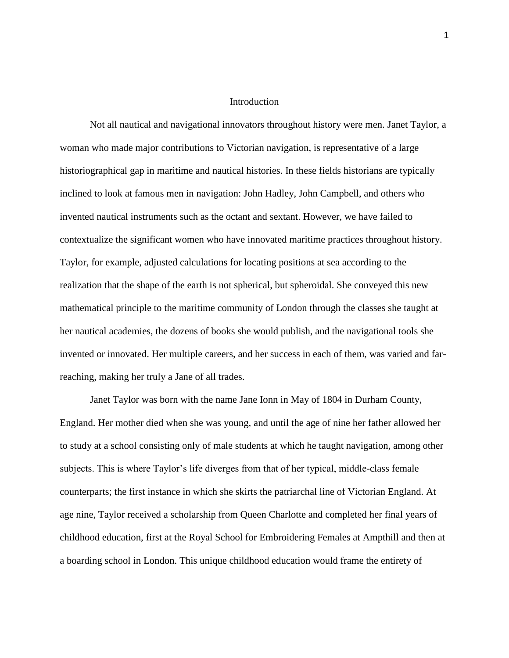## Introduction

Not all nautical and navigational innovators throughout history were men. Janet Taylor, a woman who made major contributions to Victorian navigation, is representative of a large historiographical gap in maritime and nautical histories. In these fields historians are typically inclined to look at famous men in navigation: John Hadley, John Campbell, and others who invented nautical instruments such as the octant and sextant. However, we have failed to contextualize the significant women who have innovated maritime practices throughout history. Taylor, for example, adjusted calculations for locating positions at sea according to the realization that the shape of the earth is not spherical, but spheroidal. She conveyed this new mathematical principle to the maritime community of London through the classes she taught at her nautical academies, the dozens of books she would publish, and the navigational tools she invented or innovated. Her multiple careers, and her success in each of them, was varied and farreaching, making her truly a Jane of all trades.

Janet Taylor was born with the name Jane Ionn in May of 1804 in Durham County, England. Her mother died when she was young, and until the age of nine her father allowed her to study at a school consisting only of male students at which he taught navigation, among other subjects. This is where Taylor's life diverges from that of her typical, middle-class female counterparts; the first instance in which she skirts the patriarchal line of Victorian England. At age nine, Taylor received a scholarship from Queen Charlotte and completed her final years of childhood education, first at the Royal School for Embroidering Females at Ampthill and then at a boarding school in London. This unique childhood education would frame the entirety of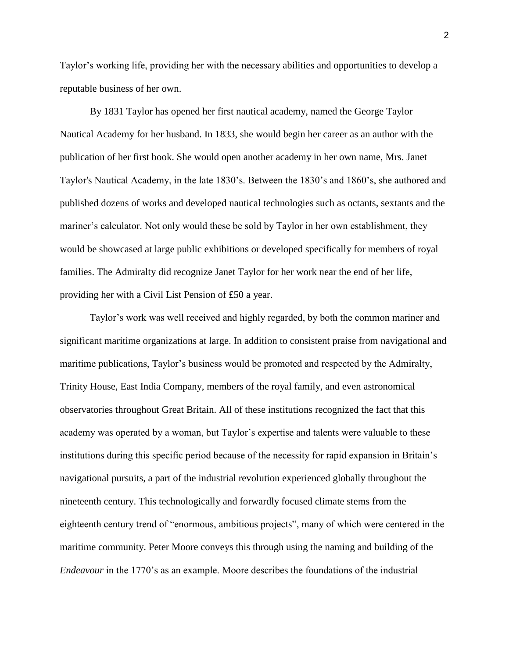Taylor's working life, providing her with the necessary abilities and opportunities to develop a reputable business of her own.

By 1831 Taylor has opened her first nautical academy, named the George Taylor Nautical Academy for her husband. In 1833, she would begin her career as an author with the publication of her first book. She would open another academy in her own name, Mrs. Janet Taylor's Nautical Academy, in the late 1830's. Between the 1830's and 1860's, she authored and published dozens of works and developed nautical technologies such as octants, sextants and the mariner's calculator. Not only would these be sold by Taylor in her own establishment, they would be showcased at large public exhibitions or developed specifically for members of royal families. The Admiralty did recognize Janet Taylor for her work near the end of her life, providing her with a Civil List Pension of £50 a year.

Taylor's work was well received and highly regarded, by both the common mariner and significant maritime organizations at large. In addition to consistent praise from navigational and maritime publications, Taylor's business would be promoted and respected by the Admiralty, Trinity House, East India Company, members of the royal family, and even astronomical observatories throughout Great Britain. All of these institutions recognized the fact that this academy was operated by a woman, but Taylor's expertise and talents were valuable to these institutions during this specific period because of the necessity for rapid expansion in Britain's navigational pursuits, a part of the industrial revolution experienced globally throughout the nineteenth century. This technologically and forwardly focused climate stems from the eighteenth century trend of "enormous, ambitious projects", many of which were centered in the maritime community. Peter Moore conveys this through using the naming and building of the *Endeavour* in the 1770's as an example. Moore describes the foundations of the industrial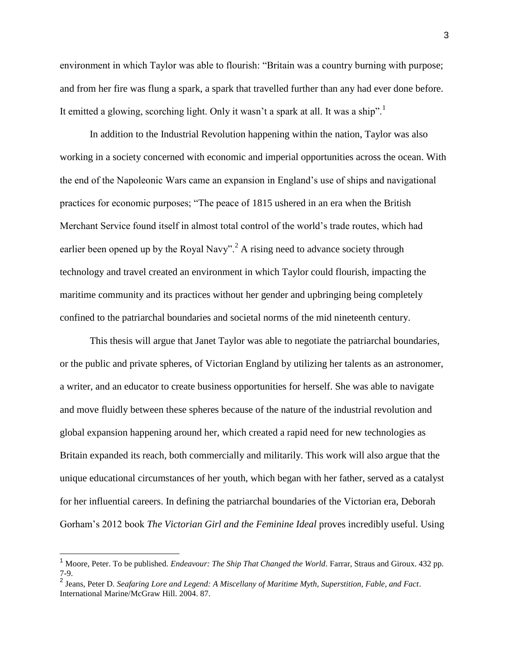environment in which Taylor was able to flourish: "Britain was a country burning with purpose; and from her fire was flung a spark, a spark that travelled further than any had ever done before. It emitted a glowing, scorching light. Only it wasn't a spark at all. It was a ship".

In addition to the Industrial Revolution happening within the nation, Taylor was also working in a society concerned with economic and imperial opportunities across the ocean. With the end of the Napoleonic Wars came an expansion in England's use of ships and navigational practices for economic purposes; "The peace of 1815 ushered in an era when the British Merchant Service found itself in almost total control of the world's trade routes, which had earlier been opened up by the Royal Navy".<sup>2</sup> A rising need to advance society through technology and travel created an environment in which Taylor could flourish, impacting the maritime community and its practices without her gender and upbringing being completely confined to the patriarchal boundaries and societal norms of the mid nineteenth century.

This thesis will argue that Janet Taylor was able to negotiate the patriarchal boundaries, or the public and private spheres, of Victorian England by utilizing her talents as an astronomer, a writer, and an educator to create business opportunities for herself. She was able to navigate and move fluidly between these spheres because of the nature of the industrial revolution and global expansion happening around her, which created a rapid need for new technologies as Britain expanded its reach, both commercially and militarily. This work will also argue that the unique educational circumstances of her youth, which began with her father, served as a catalyst for her influential careers. In defining the patriarchal boundaries of the Victorian era, Deborah Gorham's 2012 book *The Victorian Girl and the Feminine Ideal* proves incredibly useful. Using

<sup>1</sup> Moore, Peter. To be published. *Endeavour: The Ship That Changed the World*. Farrar, Straus and Giroux. 432 pp. 7-9.

<sup>2</sup> Jeans, Peter D. *Seafaring Lore and Legend: A Miscellany of Maritime Myth, Superstition, Fable, and Fact*. International Marine/McGraw Hill. 2004. 87.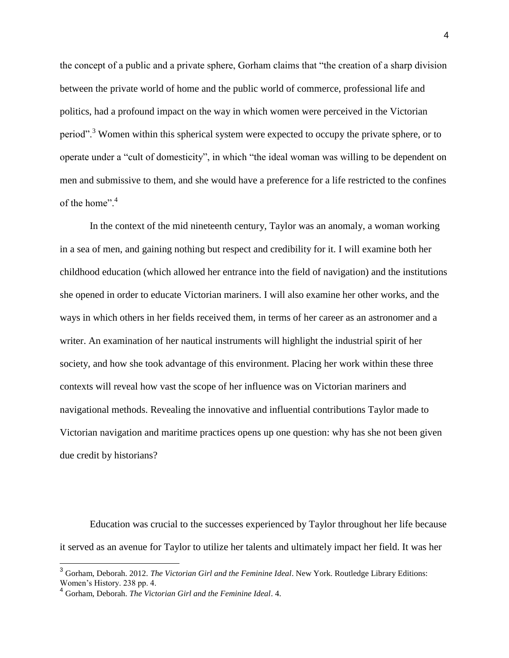the concept of a public and a private sphere, Gorham claims that "the creation of a sharp division between the private world of home and the public world of commerce, professional life and politics, had a profound impact on the way in which women were perceived in the Victorian period".<sup>3</sup> Women within this spherical system were expected to occupy the private sphere, or to operate under a "cult of domesticity", in which "the ideal woman was willing to be dependent on men and submissive to them, and she would have a preference for a life restricted to the confines of the home".<sup>4</sup>

In the context of the mid nineteenth century, Taylor was an anomaly, a woman working in a sea of men, and gaining nothing but respect and credibility for it. I will examine both her childhood education (which allowed her entrance into the field of navigation) and the institutions she opened in order to educate Victorian mariners. I will also examine her other works, and the ways in which others in her fields received them, in terms of her career as an astronomer and a writer. An examination of her nautical instruments will highlight the industrial spirit of her society, and how she took advantage of this environment. Placing her work within these three contexts will reveal how vast the scope of her influence was on Victorian mariners and navigational methods. Revealing the innovative and influential contributions Taylor made to Victorian navigation and maritime practices opens up one question: why has she not been given due credit by historians?

Education was crucial to the successes experienced by Taylor throughout her life because it served as an avenue for Taylor to utilize her talents and ultimately impact her field. It was her

<sup>3</sup> Gorham, Deborah. 2012. *The Victorian Girl and the Feminine Ideal*. New York. Routledge Library Editions: Women's History. 238 pp. 4.

<sup>4</sup> Gorham, Deborah. *The Victorian Girl and the Feminine Ideal*. 4.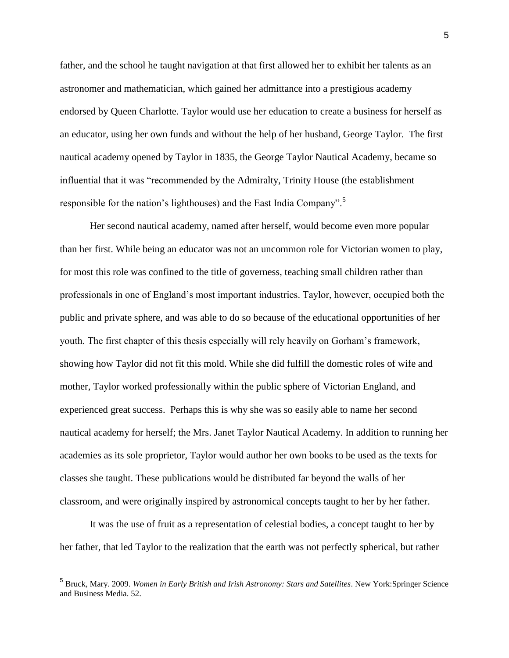father, and the school he taught navigation at that first allowed her to exhibit her talents as an astronomer and mathematician, which gained her admittance into a prestigious academy endorsed by Queen Charlotte. Taylor would use her education to create a business for herself as an educator, using her own funds and without the help of her husband, George Taylor. The first nautical academy opened by Taylor in 1835, the George Taylor Nautical Academy, became so influential that it was "recommended by the Admiralty, Trinity House (the establishment responsible for the nation's lighthouses) and the East India Company".<sup>5</sup>

Her second nautical academy, named after herself, would become even more popular than her first. While being an educator was not an uncommon role for Victorian women to play, for most this role was confined to the title of governess, teaching small children rather than professionals in one of England's most important industries. Taylor, however, occupied both the public and private sphere, and was able to do so because of the educational opportunities of her youth. The first chapter of this thesis especially will rely heavily on Gorham's framework, showing how Taylor did not fit this mold. While she did fulfill the domestic roles of wife and mother, Taylor worked professionally within the public sphere of Victorian England, and experienced great success. Perhaps this is why she was so easily able to name her second nautical academy for herself; the Mrs. Janet Taylor Nautical Academy. In addition to running her academies as its sole proprietor, Taylor would author her own books to be used as the texts for classes she taught. These publications would be distributed far beyond the walls of her classroom, and were originally inspired by astronomical concepts taught to her by her father.

It was the use of fruit as a representation of celestial bodies, a concept taught to her by her father, that led Taylor to the realization that the earth was not perfectly spherical, but rather

 5 Bruck, Mary. 2009. *Women in Early British and Irish Astronomy: Stars and Satellites*. New York:Springer Science and Business Media. 52.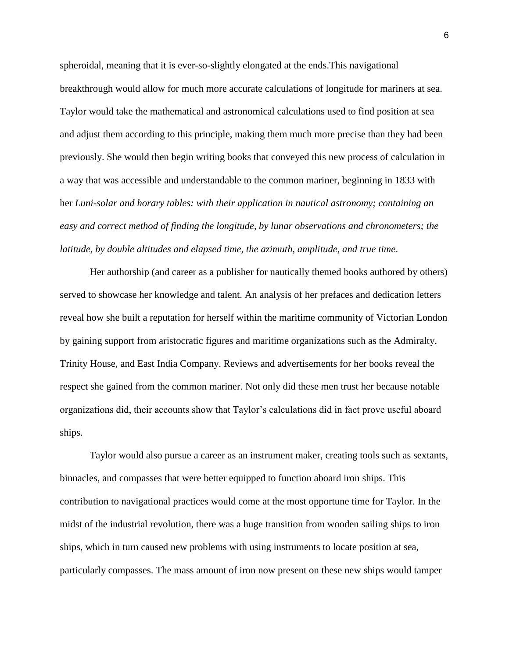spheroidal, meaning that it is ever-so-slightly elongated at the ends.This navigational breakthrough would allow for much more accurate calculations of longitude for mariners at sea. Taylor would take the mathematical and astronomical calculations used to find position at sea and adjust them according to this principle, making them much more precise than they had been previously. She would then begin writing books that conveyed this new process of calculation in a way that was accessible and understandable to the common mariner, beginning in 1833 with her *Luni-solar and horary tables: with their application in nautical astronomy; containing an easy and correct method of finding the longitude, by lunar observations and chronometers; the latitude, by double altitudes and elapsed time, the azimuth, amplitude, and true time*.

Her authorship (and career as a publisher for nautically themed books authored by others) served to showcase her knowledge and talent. An analysis of her prefaces and dedication letters reveal how she built a reputation for herself within the maritime community of Victorian London by gaining support from aristocratic figures and maritime organizations such as the Admiralty, Trinity House, and East India Company. Reviews and advertisements for her books reveal the respect she gained from the common mariner. Not only did these men trust her because notable organizations did, their accounts show that Taylor's calculations did in fact prove useful aboard ships.

Taylor would also pursue a career as an instrument maker, creating tools such as sextants, binnacles, and compasses that were better equipped to function aboard iron ships. This contribution to navigational practices would come at the most opportune time for Taylor. In the midst of the industrial revolution, there was a huge transition from wooden sailing ships to iron ships, which in turn caused new problems with using instruments to locate position at sea, particularly compasses. The mass amount of iron now present on these new ships would tamper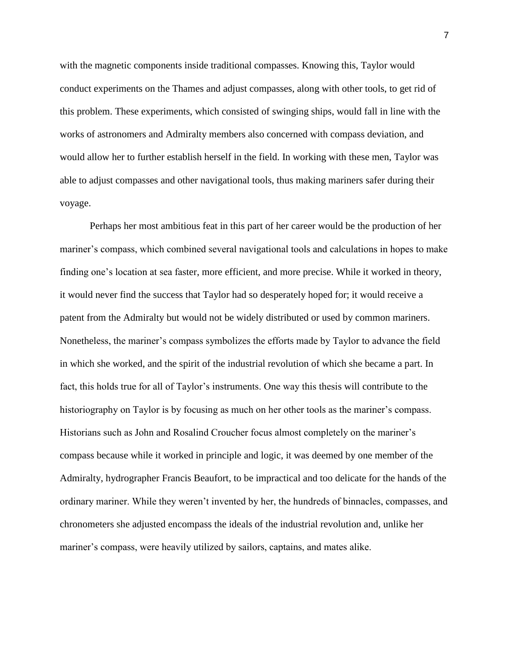with the magnetic components inside traditional compasses. Knowing this, Taylor would conduct experiments on the Thames and adjust compasses, along with other tools, to get rid of this problem. These experiments, which consisted of swinging ships, would fall in line with the works of astronomers and Admiralty members also concerned with compass deviation, and would allow her to further establish herself in the field. In working with these men, Taylor was able to adjust compasses and other navigational tools, thus making mariners safer during their voyage.

Perhaps her most ambitious feat in this part of her career would be the production of her mariner's compass, which combined several navigational tools and calculations in hopes to make finding one's location at sea faster, more efficient, and more precise. While it worked in theory, it would never find the success that Taylor had so desperately hoped for; it would receive a patent from the Admiralty but would not be widely distributed or used by common mariners. Nonetheless, the mariner's compass symbolizes the efforts made by Taylor to advance the field in which she worked, and the spirit of the industrial revolution of which she became a part. In fact, this holds true for all of Taylor's instruments. One way this thesis will contribute to the historiography on Taylor is by focusing as much on her other tools as the mariner's compass. Historians such as John and Rosalind Croucher focus almost completely on the mariner's compass because while it worked in principle and logic, it was deemed by one member of the Admiralty, hydrographer Francis Beaufort, to be impractical and too delicate for the hands of the ordinary mariner. While they weren't invented by her, the hundreds of binnacles, compasses, and chronometers she adjusted encompass the ideals of the industrial revolution and, unlike her mariner's compass, were heavily utilized by sailors, captains, and mates alike.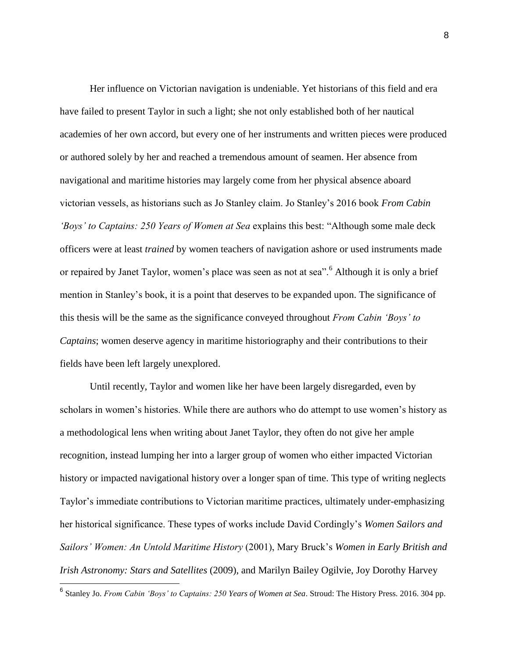Her influence on Victorian navigation is undeniable. Yet historians of this field and era have failed to present Taylor in such a light; she not only established both of her nautical academies of her own accord, but every one of her instruments and written pieces were produced or authored solely by her and reached a tremendous amount of seamen. Her absence from navigational and maritime histories may largely come from her physical absence aboard victorian vessels, as historians such as Jo Stanley claim. Jo Stanley's 2016 book *From Cabin 'Boys' to Captains: 250 Years of Women at Sea* explains this best: "Although some male deck officers were at least *trained* by women teachers of navigation ashore or used instruments made or repaired by Janet Taylor, women's place was seen as not at sea".<sup>6</sup> Although it is only a brief mention in Stanley's book, it is a point that deserves to be expanded upon. The significance of this thesis will be the same as the significance conveyed throughout *From Cabin 'Boys' to Captains*; women deserve agency in maritime historiography and their contributions to their fields have been left largely unexplored.

Until recently, Taylor and women like her have been largely disregarded, even by scholars in women's histories. While there are authors who do attempt to use women's history as a methodological lens when writing about Janet Taylor, they often do not give her ample recognition, instead lumping her into a larger group of women who either impacted Victorian history or impacted navigational history over a longer span of time. This type of writing neglects Taylor's immediate contributions to Victorian maritime practices, ultimately under-emphasizing her historical significance. These types of works include David Cordingly's *Women Sailors and Sailors' Women: An Untold Maritime History* (2001), Mary Bruck's *Women in Early British and Irish Astronomy: Stars and Satellites* (2009), and Marilyn Bailey Ogilvie, Joy Dorothy Harvey

 6 Stanley Jo. *From Cabin 'Boys' to Captains: 250 Years of Women at Sea*. Stroud: The History Press. 2016. 304 pp.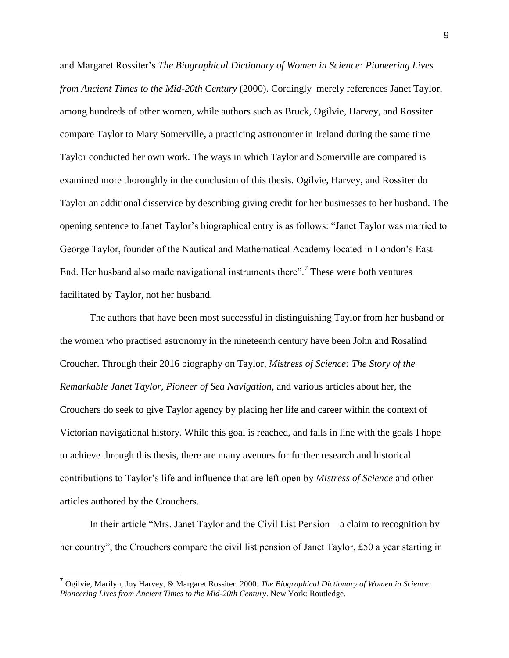and Margaret Rossiter's *The Biographical Dictionary of Women in Science: Pioneering Lives from Ancient Times to the Mid-20th Century* (2000). Cordingly merely references Janet Taylor, among hundreds of other women, while authors such as Bruck, Ogilvie, Harvey, and Rossiter compare Taylor to Mary Somerville, a practicing astronomer in Ireland during the same time Taylor conducted her own work. The ways in which Taylor and Somerville are compared is examined more thoroughly in the conclusion of this thesis. Ogilvie, Harvey, and Rossiter do Taylor an additional disservice by describing giving credit for her businesses to her husband. The opening sentence to Janet Taylor's biographical entry is as follows: "Janet Taylor was married to George Taylor, founder of the Nautical and Mathematical Academy located in London's East End. Her husband also made navigational instruments there".<sup>7</sup> These were both ventures facilitated by Taylor, not her husband.

The authors that have been most successful in distinguishing Taylor from her husband or the women who practised astronomy in the nineteenth century have been John and Rosalind Croucher. Through their 2016 biography on Taylor, *Mistress of Science: The Story of the Remarkable Janet Taylor, Pioneer of Sea Navigation*, and various articles about her, the Crouchers do seek to give Taylor agency by placing her life and career within the context of Victorian navigational history. While this goal is reached, and falls in line with the goals I hope to achieve through this thesis, there are many avenues for further research and historical contributions to Taylor's life and influence that are left open by *Mistress of Science* and other articles authored by the Crouchers.

In their article "Mrs. Janet Taylor and the Civil List Pension—a claim to recognition by her country", the Crouchers compare the civil list pension of Janet Taylor, £50 a year starting in

<sup>7</sup> Ogilvie, Marilyn, Joy Harvey, & Margaret Rossiter. 2000. *The Biographical Dictionary of Women in Science: Pioneering Lives from Ancient Times to the Mid-20th Century*. New York: Routledge.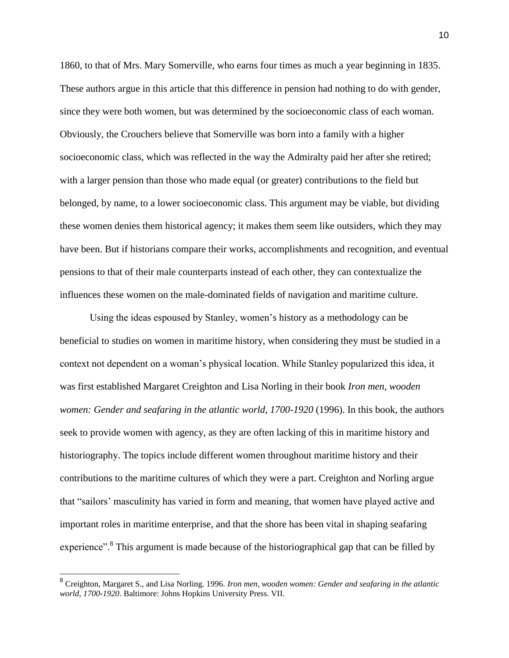1860, to that of Mrs. Mary Somerville, who earns four times as much a year beginning in 1835. These authors argue in this article that this difference in pension had nothing to do with gender, since they were both women, but was determined by the socioeconomic class of each woman. Obviously, the Crouchers believe that Somerville was born into a family with a higher socioeconomic class, which was reflected in the way the Admiralty paid her after she retired; with a larger pension than those who made equal (or greater) contributions to the field but belonged, by name, to a lower socioeconomic class. This argument may be viable, but dividing these women denies them historical agency; it makes them seem like outsiders, which they may have been. But if historians compare their works, accomplishments and recognition, and eventual pensions to that of their male counterparts instead of each other, they can contextualize the influences these women on the male-dominated fields of navigation and maritime culture.

Using the ideas espoused by Stanley, women's history as a methodology can be beneficial to studies on women in maritime history, when considering they must be studied in a context not dependent on a woman's physical location. While Stanley popularized this idea, it was first established Margaret Creighton and Lisa Norling in their book *Iron men, wooden women: Gender and seafaring in the atlantic world, 1700-1920* (1996). In this book, the authors seek to provide women with agency, as they are often lacking of this in maritime history and historiography. The topics include different women throughout maritime history and their contributions to the maritime cultures of which they were a part. Creighton and Norling argue that "sailors' masculinity has varied in form and meaning, that women have played active and important roles in maritime enterprise, and that the shore has been vital in shaping seafaring experience".<sup>8</sup> This argument is made because of the historiographical gap that can be filled by

<sup>8</sup> Creighton, Margaret S., and Lisa Norling. 1996. *Iron men, wooden women: Gender and seafaring in the atlantic world, 1700-1920*. Baltimore: Johns Hopkins University Press. VII.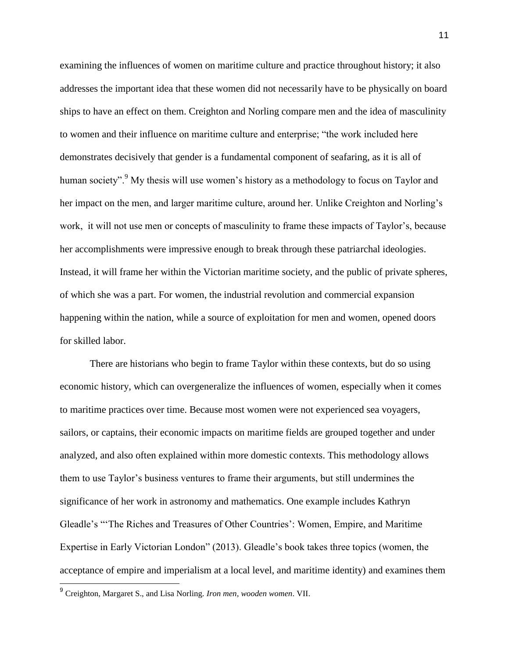examining the influences of women on maritime culture and practice throughout history; it also addresses the important idea that these women did not necessarily have to be physically on board ships to have an effect on them. Creighton and Norling compare men and the idea of masculinity to women and their influence on maritime culture and enterprise; "the work included here demonstrates decisively that gender is a fundamental component of seafaring, as it is all of human society".<sup>9</sup> My thesis will use women's history as a methodology to focus on Taylor and her impact on the men, and larger maritime culture, around her. Unlike Creighton and Norling's work, it will not use men or concepts of masculinity to frame these impacts of Taylor's, because her accomplishments were impressive enough to break through these patriarchal ideologies. Instead, it will frame her within the Victorian maritime society, and the public of private spheres, of which she was a part. For women, the industrial revolution and commercial expansion happening within the nation, while a source of exploitation for men and women, opened doors for skilled labor.

There are historians who begin to frame Taylor within these contexts, but do so using economic history, which can overgeneralize the influences of women, especially when it comes to maritime practices over time. Because most women were not experienced sea voyagers, sailors, or captains, their economic impacts on maritime fields are grouped together and under analyzed, and also often explained within more domestic contexts. This methodology allows them to use Taylor's business ventures to frame their arguments, but still undermines the significance of her work in astronomy and mathematics. One example includes Kathryn Gleadle's "'The Riches and Treasures of Other Countries': Women, Empire, and Maritime Expertise in Early Victorian London" (2013). Gleadle's book takes three topics (women, the acceptance of empire and imperialism at a local level, and maritime identity) and examines them

<sup>9</sup> Creighton, Margaret S., and Lisa Norling. *Iron men, wooden women*. VII.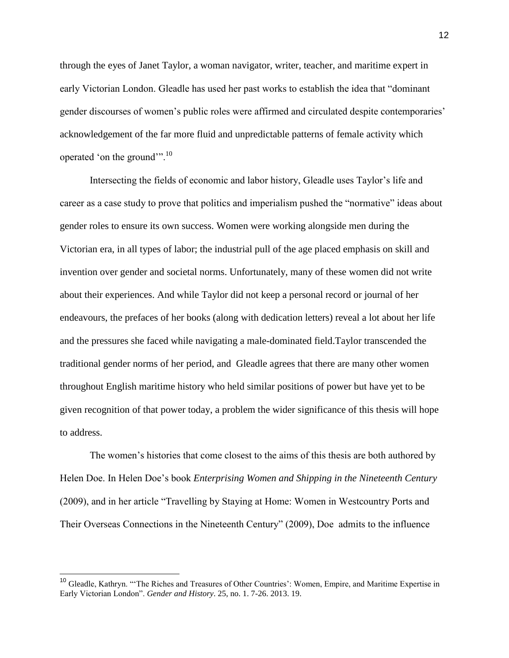through the eyes of Janet Taylor, a woman navigator, writer, teacher, and maritime expert in early Victorian London. Gleadle has used her past works to establish the idea that "dominant gender discourses of women's public roles were affirmed and circulated despite contemporaries' acknowledgement of the far more fluid and unpredictable patterns of female activity which operated 'on the ground'".<sup>10</sup>

Intersecting the fields of economic and labor history, Gleadle uses Taylor's life and career as a case study to prove that politics and imperialism pushed the "normative" ideas about gender roles to ensure its own success. Women were working alongside men during the Victorian era, in all types of labor; the industrial pull of the age placed emphasis on skill and invention over gender and societal norms. Unfortunately, many of these women did not write about their experiences. And while Taylor did not keep a personal record or journal of her endeavours, the prefaces of her books (along with dedication letters) reveal a lot about her life and the pressures she faced while navigating a male-dominated field.Taylor transcended the traditional gender norms of her period, and Gleadle agrees that there are many other women throughout English maritime history who held similar positions of power but have yet to be given recognition of that power today, a problem the wider significance of this thesis will hope to address.

The women's histories that come closest to the aims of this thesis are both authored by Helen Doe. In Helen Doe's book *Enterprising Women and Shipping in the Nineteenth Century* (2009), and in her article "Travelling by Staying at Home: Women in Westcountry Ports and Their Overseas Connections in the Nineteenth Century" (2009), Doe admits to the influence

<sup>&</sup>lt;sup>10</sup> Gleadle, Kathryn. "'The Riches and Treasures of Other Countries': Women, Empire, and Maritime Expertise in Early Victorian London". *Gender and History*. 25, no. 1. 7-26. 2013. 19.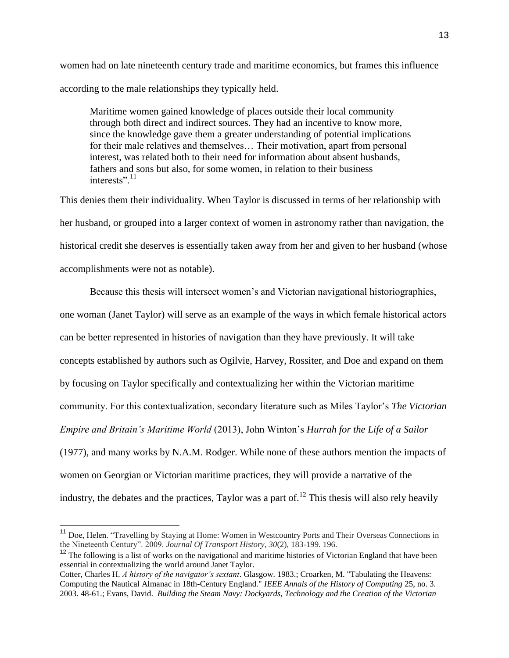women had on late nineteenth century trade and maritime economics, but frames this influence according to the male relationships they typically held.

Maritime women gained knowledge of places outside their local community through both direct and indirect sources. They had an incentive to know more, since the knowledge gave them a greater understanding of potential implications for their male relatives and themselves… Their motivation, apart from personal interest, was related both to their need for information about absent husbands, fathers and sons but also, for some women, in relation to their business interests".<sup>11</sup>

This denies them their individuality. When Taylor is discussed in terms of her relationship with her husband, or grouped into a larger context of women in astronomy rather than navigation, the historical credit she deserves is essentially taken away from her and given to her husband (whose accomplishments were not as notable).

Because this thesis will intersect women's and Victorian navigational historiographies, one woman (Janet Taylor) will serve as an example of the ways in which female historical actors can be better represented in histories of navigation than they have previously. It will take concepts established by authors such as Ogilvie, Harvey, Rossiter, and Doe and expand on them by focusing on Taylor specifically and contextualizing her within the Victorian maritime community. For this contextualization, secondary literature such as Miles Taylor's *The Victorian Empire and Britain's Maritime World* (2013), John Winton's *Hurrah for the Life of a Sailor* (1977), and many works by N.A.M. Rodger. While none of these authors mention the impacts of women on Georgian or Victorian maritime practices, they will provide a narrative of the industry, the debates and the practices, Taylor was a part of.<sup>12</sup> This thesis will also rely heavily

<sup>&</sup>lt;sup>11</sup> Doe, Helen. "Travelling by Staying at Home: Women in Westcountry Ports and Their Overseas Connections in the Nineteenth Century". 2009. *Journal Of Transport History*, *30*(2), 183-199. 196.

<sup>&</sup>lt;sup>12</sup> The following is a list of works on the navigational and maritime histories of Victorian England that have been essential in contextualizing the world around Janet Taylor.

Cotter, Charles H. *A history of the navigator's sextant*. Glasgow. 1983.; Croarken, M. "Tabulating the Heavens: Computing the Nautical Almanac in 18th-Century England." *IEEE Annals of the History of Computing* 25, no. 3. 2003. 48-61.; Evans, David. *Building the Steam Navy: Dockyards, Technology and the Creation of the Victorian*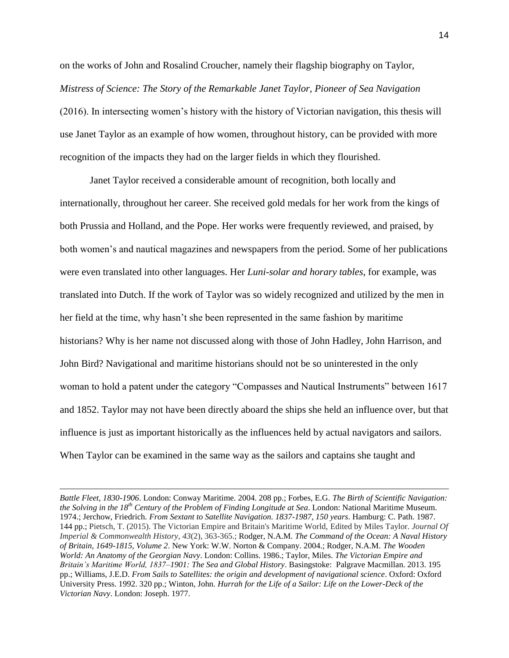on the works of John and Rosalind Croucher, namely their flagship biography on Taylor, *Mistress of Science: The Story of the Remarkable Janet Taylor, Pioneer of Sea Navigation* (2016). In intersecting women's history with the history of Victorian navigation, this thesis will use Janet Taylor as an example of how women, throughout history, can be provided with more recognition of the impacts they had on the larger fields in which they flourished.

Janet Taylor received a considerable amount of recognition, both locally and internationally, throughout her career. She received gold medals for her work from the kings of both Prussia and Holland, and the Pope. Her works were frequently reviewed, and praised, by both women's and nautical magazines and newspapers from the period. Some of her publications were even translated into other languages. Her *Luni-solar and horary tables*, for example, was translated into Dutch. If the work of Taylor was so widely recognized and utilized by the men in her field at the time, why hasn't she been represented in the same fashion by maritime historians? Why is her name not discussed along with those of John Hadley, John Harrison, and John Bird? Navigational and maritime historians should not be so uninterested in the only woman to hold a patent under the category "Compasses and Nautical Instruments" between 1617 and 1852. Taylor may not have been directly aboard the ships she held an influence over, but that influence is just as important historically as the influences held by actual navigators and sailors. When Taylor can be examined in the same way as the sailors and captains she taught and

*Battle Fleet, 1830-1906*. London: Conway Maritime. 2004. 208 pp.; Forbes, E.G. *The Birth of Scientific Navigation: the Solving in the 18th Century of the Problem of Finding Longitude at Sea*. London: National Maritime Museum. 1974.; Jerchow, Friedrich. *From Sextant to Satellite Navigation. 1837-1987, 150 years*. Hamburg: C. Path. 1987. 144 pp.; Pietsch, T. (2015). The Victorian Empire and Britain's Maritime World, Edited by Miles Taylor. *Journal Of Imperial & Commonwealth History*, *43*(2), 363-365.; Rodger, N.A.M. *The Command of the Ocean: A Naval History of Britain, 1649-1815, Volume 2*. New York: W.W. Norton & Company. 2004.; Rodger, N.A.M. *The Wooden World: An Anatomy of the Georgian Navy*. London: Collins. 1986.; Taylor, Miles. *The Victorian Empire and Britain's Maritime World, 1837–1901: The Sea and Global History*. Basingstoke: Palgrave Macmillan. 2013. 195 pp.; Williams, J.E.D. *From Sails to Satellites: the origin and development of navigational science*. Oxford: Oxford University Press. 1992. 320 pp.; Winton, John. *Hurrah for the Life of a Sailor: Life on the Lower-Deck of the Victorian Navy*. London: Joseph. 1977.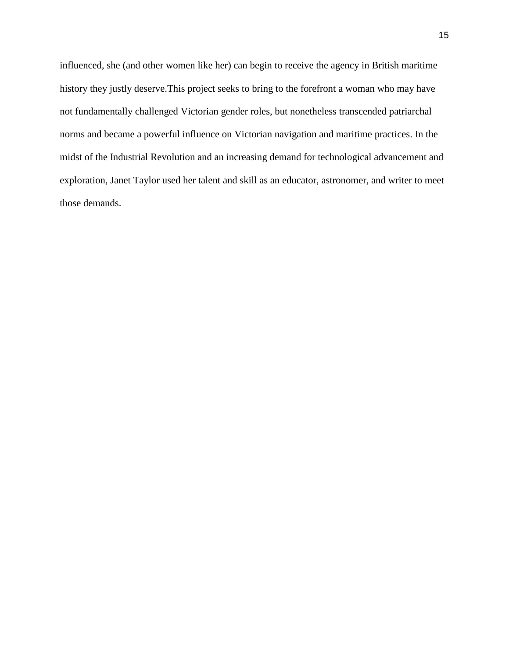influenced, she (and other women like her) can begin to receive the agency in British maritime history they justly deserve.This project seeks to bring to the forefront a woman who may have not fundamentally challenged Victorian gender roles, but nonetheless transcended patriarchal norms and became a powerful influence on Victorian navigation and maritime practices. In the midst of the Industrial Revolution and an increasing demand for technological advancement and exploration, Janet Taylor used her talent and skill as an educator, astronomer, and writer to meet those demands.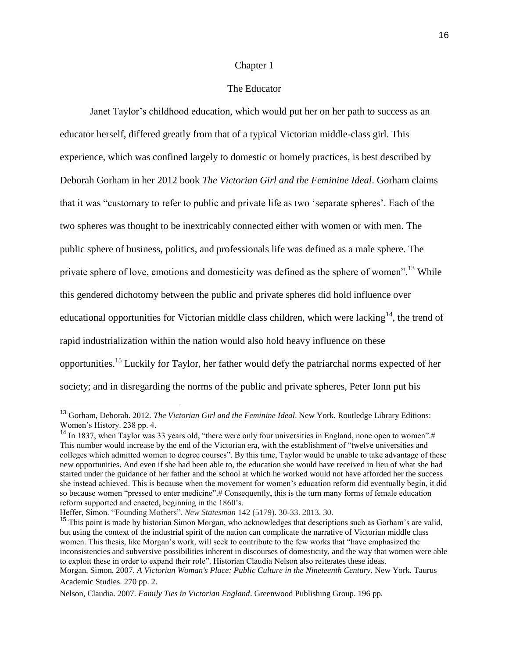### Chapter 1

### The Educator

Janet Taylor's childhood education, which would put her on her path to success as an educator herself, differed greatly from that of a typical Victorian middle-class girl. This experience, which was confined largely to domestic or homely practices, is best described by Deborah Gorham in her 2012 book *The Victorian Girl and the Feminine Ideal*. Gorham claims that it was "customary to refer to public and private life as two 'separate spheres'. Each of the two spheres was thought to be inextricably connected either with women or with men. The public sphere of business, politics, and professionals life was defined as a male sphere. The private sphere of love, emotions and domesticity was defined as the sphere of women".<sup>13</sup> While this gendered dichotomy between the public and private spheres did hold influence over educational opportunities for Victorian middle class children, which were lacking<sup>14</sup>, the trend of rapid industrialization within the nation would also hold heavy influence on these opportunities.<sup>15</sup> Luckily for Taylor, her father would defy the patriarchal norms expected of her society; and in disregarding the norms of the public and private spheres, Peter Ionn put his

<sup>13</sup> Gorham, Deborah. 2012. *The Victorian Girl and the Feminine Ideal*. New York. Routledge Library Editions: Women's History. 238 pp. 4.

<sup>&</sup>lt;sup>14</sup> In 1837, when Taylor was 33 years old, "there were only four universities in England, none open to women".# This number would increase by the end of the Victorian era, with the establishment of "twelve universities and colleges which admitted women to degree courses". By this time, Taylor would be unable to take advantage of these new opportunities. And even if she had been able to, the education she would have received in lieu of what she had started under the guidance of her father and the school at which he worked would not have afforded her the success she instead achieved. This is because when the movement for women's education reform did eventually begin, it did so because women "pressed to enter medicine".# Consequently, this is the turn many forms of female education reform supported and enacted, beginning in the 1860's.

Heffer, Simon. "Founding Mothers". *New Statesman* 142 (5179). 30-33. 2013. 30.

<sup>&</sup>lt;sup>15</sup> This point is made by historian Simon Morgan, who acknowledges that descriptions such as Gorham's are valid, but using the context of the industrial spirit of the nation can complicate the narrative of Victorian middle class women. This thesis, like Morgan's work, will seek to contribute to the few works that "have emphasized the inconsistencies and subversive possibilities inherent in discourses of domesticity, and the way that women were able to exploit these in order to expand their role". Historian Claudia Nelson also reiterates these ideas.

Morgan, Simon. 2007. *A Victorian Woman's Place: Public Culture in the Nineteenth Century*. New York. Taurus Academic Studies. 270 pp. 2.

Nelson, Claudia. 2007. *Family Ties in Victorian England*. Greenwood Publishing Group. 196 pp.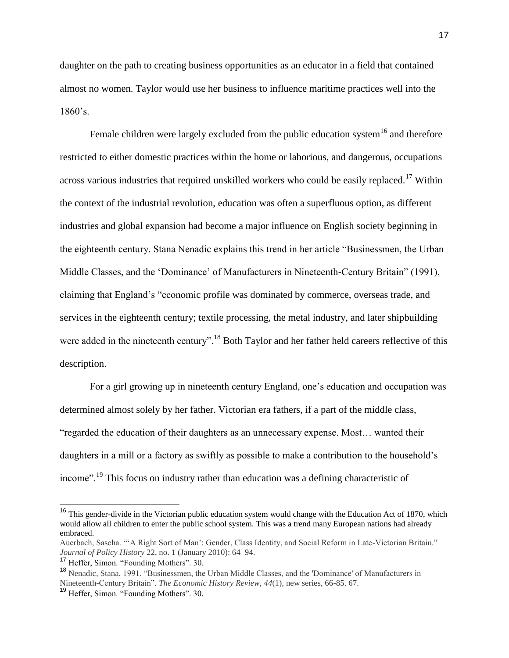daughter on the path to creating business opportunities as an educator in a field that contained almost no women. Taylor would use her business to influence maritime practices well into the 1860's.

Female children were largely excluded from the public education system<sup>16</sup> and therefore restricted to either domestic practices within the home or laborious, and dangerous, occupations across various industries that required unskilled workers who could be easily replaced.<sup>17</sup> Within the context of the industrial revolution, education was often a superfluous option, as different industries and global expansion had become a major influence on English society beginning in the eighteenth century. Stana Nenadic explains this trend in her article "Businessmen, the Urban Middle Classes, and the 'Dominance' of Manufacturers in Nineteenth-Century Britain" (1991), claiming that England's "economic profile was dominated by commerce, overseas trade, and services in the eighteenth century; textile processing, the metal industry, and later shipbuilding were added in the nineteenth century".<sup>18</sup> Both Taylor and her father held careers reflective of this description.

For a girl growing up in nineteenth century England, one's education and occupation was determined almost solely by her father. Victorian era fathers, if a part of the middle class, "regarded the education of their daughters as an unnecessary expense. Most… wanted their daughters in a mill or a factory as swiftly as possible to make a contribution to the household's income".<sup>19</sup> This focus on industry rather than education was a defining characteristic of

 $16$  This gender-divide in the Victorian public education system would change with the Education Act of 1870, which would allow all children to enter the public school system. This was a trend many European nations had already embraced.

Auerbach, Sascha. "'A Right Sort of Man': Gender, Class Identity, and Social Reform in Late-Victorian Britain." *Journal of Policy History* 22, no. 1 (January 2010): 64–94.

<sup>&</sup>lt;sup>17</sup> Heffer, Simon. "Founding Mothers". 30.

<sup>&</sup>lt;sup>18</sup> Nenadic, Stana. 1991. "Businessmen, the Urban Middle Classes, and the 'Dominance' of Manufacturers in Nineteenth-Century Britain". *The Economic History Review, 44*(1), new series, 66-85. 67.

<sup>19</sup> Heffer, Simon. "Founding Mothers". 30.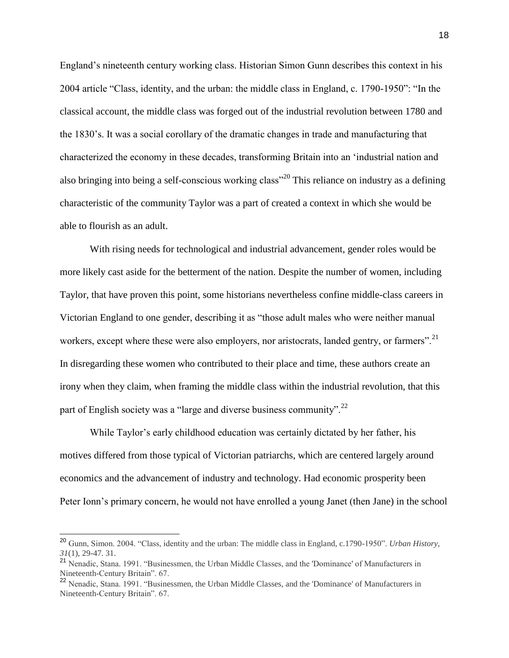England's nineteenth century working class. Historian Simon Gunn describes this context in his 2004 article "Class, identity, and the urban: the middle class in England, c. 1790-1950": "In the classical account, the middle class was forged out of the industrial revolution between 1780 and the 1830's. It was a social corollary of the dramatic changes in trade and manufacturing that characterized the economy in these decades, transforming Britain into an 'industrial nation and also bringing into being a self-conscious working class<sup>",20</sup> This reliance on industry as a defining characteristic of the community Taylor was a part of created a context in which she would be able to flourish as an adult.

With rising needs for technological and industrial advancement, gender roles would be more likely cast aside for the betterment of the nation. Despite the number of women, including Taylor, that have proven this point, some historians nevertheless confine middle-class careers in Victorian England to one gender, describing it as "those adult males who were neither manual workers, except where these were also employers, nor aristocrats, landed gentry, or farmers".  $^{21}$ In disregarding these women who contributed to their place and time, these authors create an irony when they claim, when framing the middle class within the industrial revolution, that this part of English society was a "large and diverse business community".<sup>22</sup>

While Taylor's early childhood education was certainly dictated by her father, his motives differed from those typical of Victorian patriarchs, which are centered largely around economics and the advancement of industry and technology. Had economic prosperity been Peter Ionn's primary concern, he would not have enrolled a young Janet (then Jane) in the school

<sup>20</sup> Gunn, Simon. 2004. "Class, identity and the urban: The middle class in England, c.1790-1950". *Urban History, 31*(1), 29-47. 31.

<sup>&</sup>lt;sup>21</sup> Nenadic, Stana. 1991. "Businessmen, the Urban Middle Classes, and the 'Dominance' of Manufacturers in Nineteenth-Century Britain". 67.

<sup>&</sup>lt;sup>22</sup> Nenadic, Stana. 1991. "Businessmen, the Urban Middle Classes, and the 'Dominance' of Manufacturers in Nineteenth-Century Britain". 67.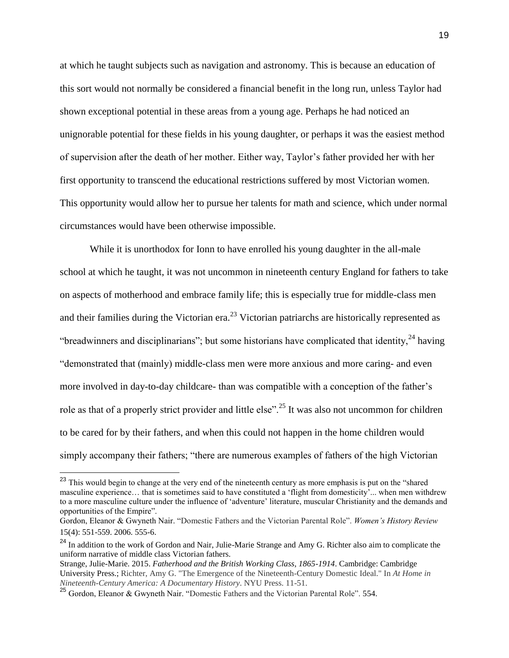at which he taught subjects such as navigation and astronomy. This is because an education of this sort would not normally be considered a financial benefit in the long run, unless Taylor had shown exceptional potential in these areas from a young age. Perhaps he had noticed an unignorable potential for these fields in his young daughter, or perhaps it was the easiest method of supervision after the death of her mother. Either way, Taylor's father provided her with her first opportunity to transcend the educational restrictions suffered by most Victorian women. This opportunity would allow her to pursue her talents for math and science, which under normal circumstances would have been otherwise impossible.

While it is unorthodox for Ionn to have enrolled his young daughter in the all-male school at which he taught, it was not uncommon in nineteenth century England for fathers to take on aspects of motherhood and embrace family life; this is especially true for middle-class men and their families during the Victorian era.<sup>23</sup> Victorian patriarchs are historically represented as "breadwinners and disciplinarians"; but some historians have complicated that identity,  $^{24}$  having "demonstrated that (mainly) middle-class men were more anxious and more caring- and even more involved in day-to-day childcare- than was compatible with a conception of the father's role as that of a properly strict provider and little else".<sup>25</sup> It was also not uncommon for children to be cared for by their fathers, and when this could not happen in the home children would simply accompany their fathers; "there are numerous examples of fathers of the high Victorian

<sup>&</sup>lt;sup>23</sup> This would begin to change at the very end of the nineteenth century as more emphasis is put on the "shared masculine experience… that is sometimes said to have constituted a 'flight from domesticity'... when men withdrew to a more masculine culture under the influence of 'adventure' literature, muscular Christianity and the demands and opportunities of the Empire".

Gordon, Eleanor & Gwyneth Nair. "Domestic Fathers and the Victorian Parental Role". *Women's History Review* 15(4): 551-559. 2006. 555-6.

<sup>&</sup>lt;sup>24</sup> In addition to the work of Gordon and Nair, Julie-Marie Strange and Amy G. Richter also aim to complicate the uniform narrative of middle class Victorian fathers.

Strange, Julie-Marie. 2015. *Fatherhood and the British Working Class, 1865-1914*. Cambridge: Cambridge University Press.; Richter, Amy G. "The Emergence of the Nineteenth-Century Domestic Ideal." In *At Home in Nineteenth-Century America: A Documentary History*. NYU Press. 11-51.

<sup>25</sup> Gordon, Eleanor & Gwyneth Nair. "Domestic Fathers and the Victorian Parental Role". 554.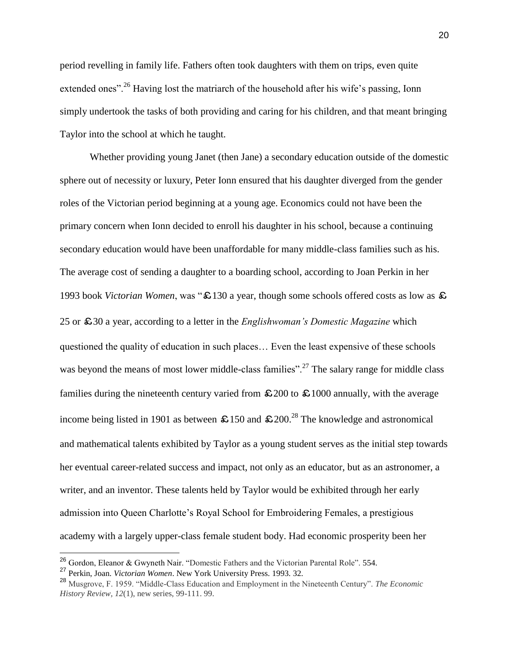period revelling in family life. Fathers often took daughters with them on trips, even quite extended ones".<sup>26</sup> Having lost the matriarch of the household after his wife's passing, Ionn simply undertook the tasks of both providing and caring for his children, and that meant bringing Taylor into the school at which he taught.

Whether providing young Janet (then Jane) a secondary education outside of the domestic sphere out of necessity or luxury, Peter Ionn ensured that his daughter diverged from the gender roles of the Victorian period beginning at a young age. Economics could not have been the primary concern when Ionn decided to enroll his daughter in his school, because a continuing secondary education would have been unaffordable for many middle-class families such as his. The average cost of sending a daughter to a boarding school, according to Joan Perkin in her 1993 book *Victorian Women*, was "£130 a year, though some schools offered costs as low as £ 25 or £30 a year, according to a letter in the *Englishwoman's Domestic Magazine* which questioned the quality of education in such places… Even the least expensive of these schools was beyond the means of most lower middle-class families".<sup>27</sup> The salary range for middle class families during the nineteenth century varied from  $\pounds 200$  to  $\pounds 1000$  annually, with the average income being listed in 1901 as between  $\text{\$}150$  and  $\text{\$}200$ .<sup>28</sup> The knowledge and astronomical and mathematical talents exhibited by Taylor as a young student serves as the initial step towards her eventual career-related success and impact, not only as an educator, but as an astronomer, a writer, and an inventor. These talents held by Taylor would be exhibited through her early admission into Queen Charlotte's Royal School for Embroidering Females, a prestigious academy with a largely upper-class female student body. Had economic prosperity been her

 $^{26}$  Gordon, Eleanor & Gwyneth Nair. "Domestic Fathers and the Victorian Parental Role". 554.

<sup>27</sup> Perkin, Joan. *Victorian Women*. New York University Press. 1993. 32.

<sup>28</sup> Musgrove, F. 1959. "Middle-Class Education and Employment in the Nineteenth Century". *The Economic History Review, 12*(1), new series, 99-111. 99.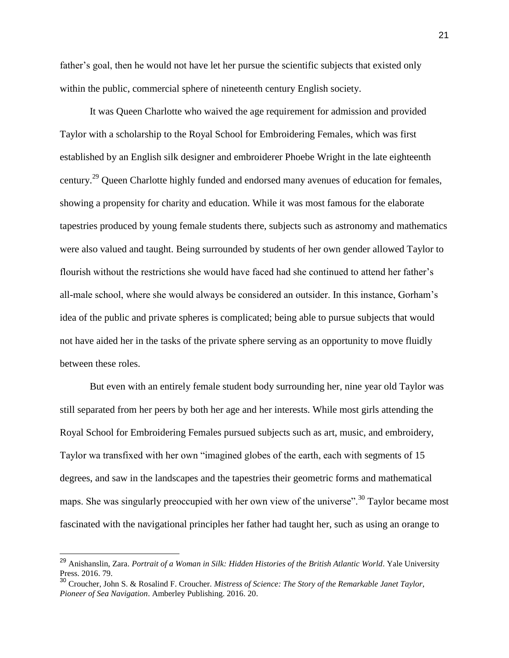father's goal, then he would not have let her pursue the scientific subjects that existed only within the public, commercial sphere of nineteenth century English society.

It was Queen Charlotte who waived the age requirement for admission and provided Taylor with a scholarship to the Royal School for Embroidering Females, which was first established by an English silk designer and embroiderer Phoebe Wright in the late eighteenth century.<sup>29</sup> Queen Charlotte highly funded and endorsed many avenues of education for females, showing a propensity for charity and education. While it was most famous for the elaborate tapestries produced by young female students there, subjects such as astronomy and mathematics were also valued and taught. Being surrounded by students of her own gender allowed Taylor to flourish without the restrictions she would have faced had she continued to attend her father's all-male school, where she would always be considered an outsider. In this instance, Gorham's idea of the public and private spheres is complicated; being able to pursue subjects that would not have aided her in the tasks of the private sphere serving as an opportunity to move fluidly between these roles.

But even with an entirely female student body surrounding her, nine year old Taylor was still separated from her peers by both her age and her interests. While most girls attending the Royal School for Embroidering Females pursued subjects such as art, music, and embroidery, Taylor wa transfixed with her own "imagined globes of the earth, each with segments of 15 degrees, and saw in the landscapes and the tapestries their geometric forms and mathematical maps. She was singularly preoccupied with her own view of the universe".<sup>30</sup> Taylor became most fascinated with the navigational principles her father had taught her, such as using an orange to

<sup>29</sup> Anishanslin, Zara. *Portrait of a Woman in Silk: Hidden Histories of the British Atlantic World*. Yale University Press. 2016. 79.

<sup>30</sup> Croucher, John S. & Rosalind F. Croucher. *Mistress of Science: The Story of the Remarkable Janet Taylor, Pioneer of Sea Navigation*. Amberley Publishing. 2016. 20.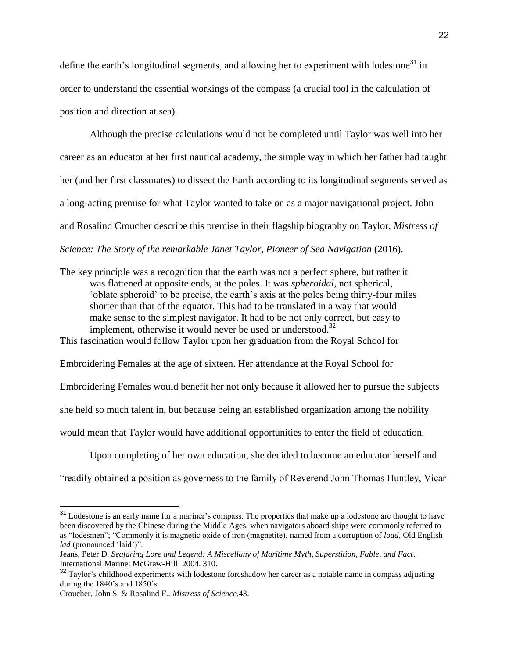define the earth's longitudinal segments, and allowing her to experiment with lodestone<sup>31</sup> in order to understand the essential workings of the compass (a crucial tool in the calculation of position and direction at sea).

Although the precise calculations would not be completed until Taylor was well into her career as an educator at her first nautical academy, the simple way in which her father had taught her (and her first classmates) to dissect the Earth according to its longitudinal segments served as a long-acting premise for what Taylor wanted to take on as a major navigational project. John and Rosalind Croucher describe this premise in their flagship biography on Taylor, *Mistress of Science: The Story of the remarkable Janet Taylor, Pioneer of Sea Navigation* (2016).

The key principle was a recognition that the earth was not a perfect sphere, but rather it was flattened at opposite ends, at the poles. It was *spheroidal*, not spherical, 'oblate spheroid' to be precise, the earth's axis at the poles being thirty-four miles shorter than that of the equator. This had to be translated in a way that would make sense to the simplest navigator. It had to be not only correct, but easy to implement, otherwise it would never be used or understood.<sup>32</sup>

This fascination would follow Taylor upon her graduation from the Royal School for

Embroidering Females at the age of sixteen. Her attendance at the Royal School for

Embroidering Females would benefit her not only because it allowed her to pursue the subjects

she held so much talent in, but because being an established organization among the nobility

would mean that Taylor would have additional opportunities to enter the field of education.

Upon completing of her own education, she decided to become an educator herself and

"readily obtained a position as governess to the family of Reverend John Thomas Huntley, Vicar

<sup>&</sup>lt;sup>31</sup> Lodestone is an early name for a mariner's compass. The properties that make up a lodestone are thought to have been discovered by the Chinese during the Middle Ages, when navigators aboard ships were commonly referred to as "lodesmen"; "Commonly it is magnetic oxide of iron (magnetite), named from a corruption of *load*, Old English *lad* (pronounced 'laid')".

Jeans, Peter D. *Seafaring Lore and Legend: A Miscellany of Maritime Myth, Superstition, Fable, and Fact*. International Marine: McGraw-Hill. 2004. 310.

<sup>&</sup>lt;sup>32</sup> Taylor's childhood experiments with lodestone foreshadow her career as a notable name in compass adjusting during the 1840's and 1850's.

Croucher, John S. & Rosalind F.. *Mistress of Science.*43.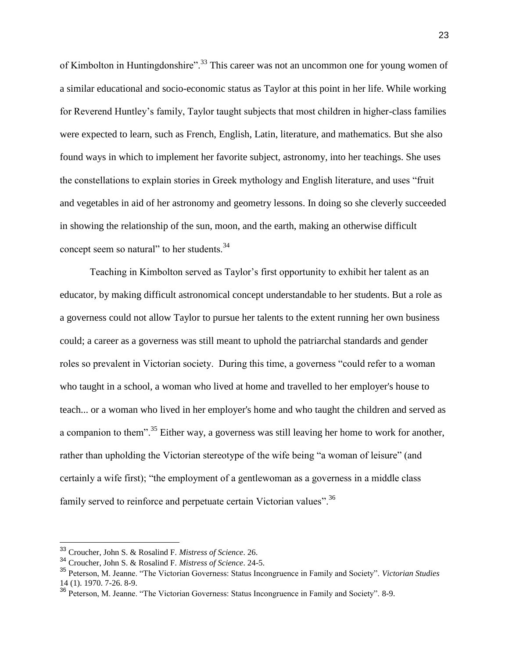of Kimbolton in Huntingdonshire".<sup>33</sup> This career was not an uncommon one for young women of a similar educational and socio-economic status as Taylor at this point in her life. While working for Reverend Huntley's family, Taylor taught subjects that most children in higher-class families were expected to learn, such as French, English, Latin, literature, and mathematics. But she also found ways in which to implement her favorite subject, astronomy, into her teachings. She uses the constellations to explain stories in Greek mythology and English literature, and uses "fruit and vegetables in aid of her astronomy and geometry lessons. In doing so she cleverly succeeded in showing the relationship of the sun, moon, and the earth, making an otherwise difficult concept seem so natural" to her students.<sup>34</sup>

Teaching in Kimbolton served as Taylor's first opportunity to exhibit her talent as an educator, by making difficult astronomical concept understandable to her students. But a role as a governess could not allow Taylor to pursue her talents to the extent running her own business could; a career as a governess was still meant to uphold the patriarchal standards and gender roles so prevalent in Victorian society. During this time, a governess "could refer to a woman who taught in a school, a woman who lived at home and travelled to her employer's house to teach... or a woman who lived in her employer's home and who taught the children and served as a companion to them".<sup>35</sup> Either way, a governess was still leaving her home to work for another, rather than upholding the Victorian stereotype of the wife being "a woman of leisure" (and certainly a wife first); "the employment of a gentlewoman as a governess in a middle class family served to reinforce and perpetuate certain Victorian values".<sup>36</sup>

<sup>33</sup> Croucher, John S. & Rosalind F. *Mistress of Science*. 26.

<sup>34</sup> Croucher, John S. & Rosalind F. *Mistress of Science*. 24-5.

<sup>35</sup> Peterson, M. Jeanne. "The Victorian Governess: Status Incongruence in Family and Society". *Victorian Studies* 14 (1). 1970. 7-26. 8-9.

<sup>36</sup> Peterson, M. Jeanne. "The Victorian Governess: Status Incongruence in Family and Society". 8-9.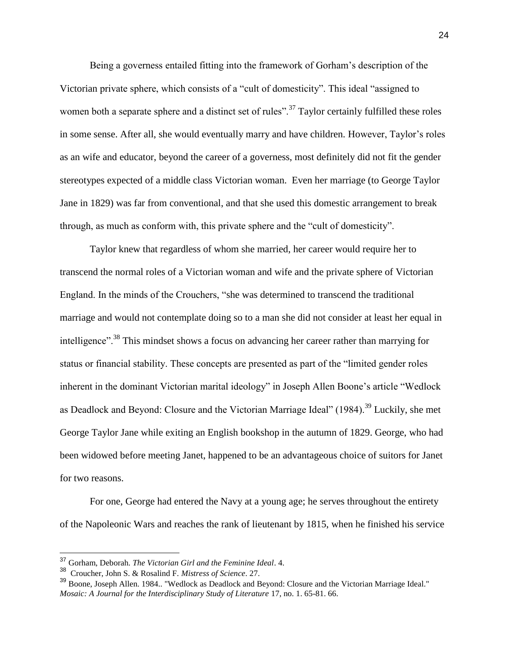Being a governess entailed fitting into the framework of Gorham's description of the Victorian private sphere, which consists of a "cult of domesticity". This ideal "assigned to women both a separate sphere and a distinct set of rules".<sup>37</sup> Taylor certainly fulfilled these roles in some sense. After all, she would eventually marry and have children. However, Taylor's roles as an wife and educator, beyond the career of a governess, most definitely did not fit the gender stereotypes expected of a middle class Victorian woman. Even her marriage (to George Taylor Jane in 1829) was far from conventional, and that she used this domestic arrangement to break through, as much as conform with, this private sphere and the "cult of domesticity".

Taylor knew that regardless of whom she married, her career would require her to transcend the normal roles of a Victorian woman and wife and the private sphere of Victorian England. In the minds of the Crouchers, "she was determined to transcend the traditional marriage and would not contemplate doing so to a man she did not consider at least her equal in intelligence".<sup>38</sup> This mindset shows a focus on advancing her career rather than marrying for status or financial stability. These concepts are presented as part of the "limited gender roles inherent in the dominant Victorian marital ideology" in Joseph Allen Boone's article "Wedlock as Deadlock and Beyond: Closure and the Victorian Marriage Ideal" (1984).<sup>39</sup> Luckily, she met George Taylor Jane while exiting an English bookshop in the autumn of 1829. George, who had been widowed before meeting Janet, happened to be an advantageous choice of suitors for Janet for two reasons.

For one, George had entered the Navy at a young age; he serves throughout the entirety of the Napoleonic Wars and reaches the rank of lieutenant by 1815, when he finished his service

<sup>37</sup> Gorham, Deborah. *The Victorian Girl and the Feminine Ideal*. 4.

<sup>38</sup> Croucher, John S. & Rosalind F. *Mistress of Science*. 27.

<sup>39</sup> Boone, Joseph Allen. 1984.. "Wedlock as Deadlock and Beyond: Closure and the Victorian Marriage Ideal." *Mosaic: A Journal for the Interdisciplinary Study of Literature* 17, no. 1. 65-81. 66.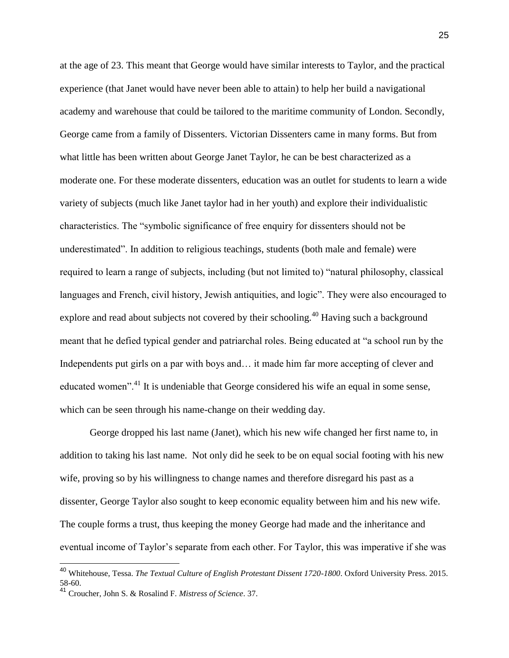at the age of 23. This meant that George would have similar interests to Taylor, and the practical experience (that Janet would have never been able to attain) to help her build a navigational academy and warehouse that could be tailored to the maritime community of London. Secondly, George came from a family of Dissenters. Victorian Dissenters came in many forms. But from what little has been written about George Janet Taylor, he can be best characterized as a moderate one. For these moderate dissenters, education was an outlet for students to learn a wide variety of subjects (much like Janet taylor had in her youth) and explore their individualistic characteristics. The "symbolic significance of free enquiry for dissenters should not be underestimated". In addition to religious teachings, students (both male and female) were required to learn a range of subjects, including (but not limited to) "natural philosophy, classical languages and French, civil history, Jewish antiquities, and logic". They were also encouraged to explore and read about subjects not covered by their schooling.<sup>40</sup> Having such a background meant that he defied typical gender and patriarchal roles. Being educated at "a school run by the Independents put girls on a par with boys and... it made him far more accepting of clever and educated women".<sup>41</sup> It is undeniable that George considered his wife an equal in some sense, which can be seen through his name-change on their wedding day.

George dropped his last name (Janet), which his new wife changed her first name to, in addition to taking his last name. Not only did he seek to be on equal social footing with his new wife, proving so by his willingness to change names and therefore disregard his past as a dissenter, George Taylor also sought to keep economic equality between him and his new wife. The couple forms a trust, thus keeping the money George had made and the inheritance and eventual income of Taylor's separate from each other. For Taylor, this was imperative if she was

<sup>40</sup> Whitehouse, Tessa. *The Textual Culture of English Protestant Dissent 1720-1800*. Oxford University Press. 2015. 58-60.

<sup>41</sup> Croucher, John S. & Rosalind F. *Mistress of Science*. 37.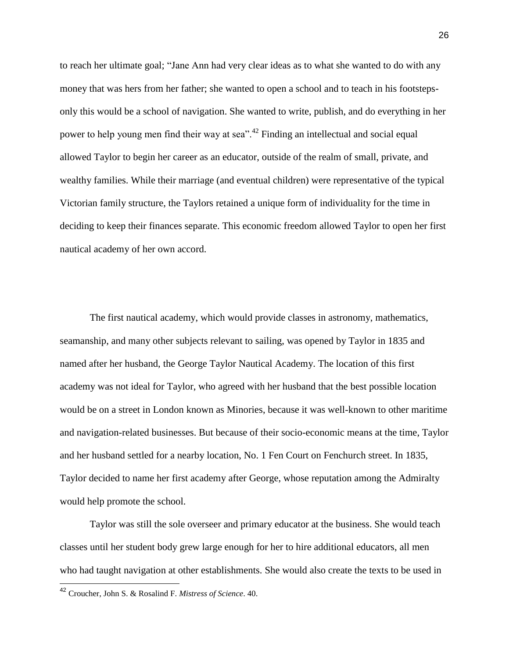to reach her ultimate goal; "Jane Ann had very clear ideas as to what she wanted to do with any money that was hers from her father; she wanted to open a school and to teach in his footstepsonly this would be a school of navigation. She wanted to write, publish, and do everything in her power to help young men find their way at sea".<sup>42</sup> Finding an intellectual and social equal allowed Taylor to begin her career as an educator, outside of the realm of small, private, and wealthy families. While their marriage (and eventual children) were representative of the typical Victorian family structure, the Taylors retained a unique form of individuality for the time in deciding to keep their finances separate. This economic freedom allowed Taylor to open her first nautical academy of her own accord.

The first nautical academy, which would provide classes in astronomy, mathematics, seamanship, and many other subjects relevant to sailing, was opened by Taylor in 1835 and named after her husband, the George Taylor Nautical Academy. The location of this first academy was not ideal for Taylor, who agreed with her husband that the best possible location would be on a street in London known as Minories, because it was well-known to other maritime and navigation-related businesses. But because of their socio-economic means at the time, Taylor and her husband settled for a nearby location, No. 1 Fen Court on Fenchurch street. In 1835, Taylor decided to name her first academy after George, whose reputation among the Admiralty would help promote the school.

Taylor was still the sole overseer and primary educator at the business. She would teach classes until her student body grew large enough for her to hire additional educators, all men who had taught navigation at other establishments. She would also create the texts to be used in

<sup>42</sup> Croucher, John S. & Rosalind F. *Mistress of Science*. 40.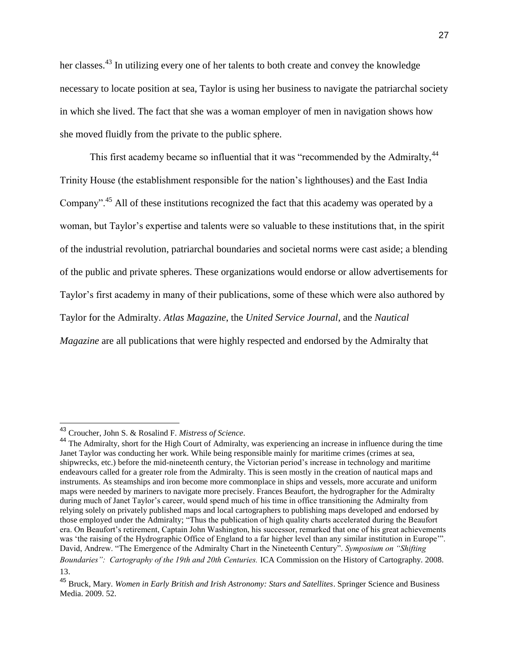her classes.<sup>43</sup> In utilizing every one of her talents to both create and convey the knowledge necessary to locate position at sea, Taylor is using her business to navigate the patriarchal society in which she lived. The fact that she was a woman employer of men in navigation shows how she moved fluidly from the private to the public sphere.

This first academy became so influential that it was "recommended by the Admiralty,<sup>44</sup> Trinity House (the establishment responsible for the nation's lighthouses) and the East India Company".<sup>45</sup> All of these institutions recognized the fact that this academy was operated by a woman, but Taylor's expertise and talents were so valuable to these institutions that, in the spirit of the industrial revolution, patriarchal boundaries and societal norms were cast aside; a blending of the public and private spheres. These organizations would endorse or allow advertisements for Taylor's first academy in many of their publications, some of these which were also authored by Taylor for the Admiralty. *Atlas Magazine*, the *United Service Journal*, and the *Nautical Magazine* are all publications that were highly respected and endorsed by the Admiralty that

<sup>43</sup> Croucher, John S. & Rosalind F. *Mistress of Science*.

<sup>&</sup>lt;sup>44</sup> The Admiralty, short for the High Court of Admiralty, was experiencing an increase in influence during the time Janet Taylor was conducting her work. While being responsible mainly for maritime crimes (crimes at sea, shipwrecks, etc.) before the mid-nineteenth century, the Victorian period's increase in technology and maritime endeavours called for a greater role from the Admiralty. This is seen mostly in the creation of nautical maps and instruments. As steamships and iron become more commonplace in ships and vessels, more accurate and uniform maps were needed by mariners to navigate more precisely. Frances Beaufort, the hydrographer for the Admiralty during much of Janet Taylor's career, would spend much of his time in office transitioning the Admiralty from relying solely on privately published maps and local cartographers to publishing maps developed and endorsed by those employed under the Admiralty; "Thus the publication of high quality charts accelerated during the Beaufort era. On Beaufort's retirement, Captain John Washington, his successor, remarked that one of his great achievements was 'the raising of the Hydrographic Office of England to a far higher level than any similar institution in Europe'". David, Andrew. "The Emergence of the Admiralty Chart in the Nineteenth Century". *Symposium on "Shifting Boundaries": Cartography of the 19th and 20th Centuries.* ICA Commission on the History of Cartography. 2008. 13.

<sup>45</sup> Bruck, Mary. *Women in Early British and Irish Astronomy: Stars and Satellites*. Springer Science and Business Media. 2009. 52.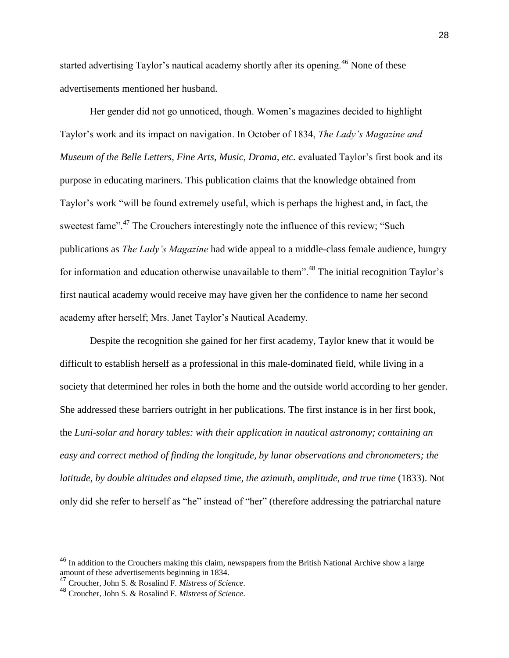started advertising Taylor's nautical academy shortly after its opening.<sup>46</sup> None of these advertisements mentioned her husband.

Her gender did not go unnoticed, though. Women's magazines decided to highlight Taylor's work and its impact on navigation. In October of 1834, *The Lady's Magazine and Museum of the Belle Letters, Fine Arts, Music, Drama, etc.* evaluated Taylor's first book and its purpose in educating mariners. This publication claims that the knowledge obtained from Taylor's work "will be found extremely useful, which is perhaps the highest and, in fact, the sweetest fame".<sup>47</sup> The Crouchers interestingly note the influence of this review; "Such publications as *The Lady's Magazine* had wide appeal to a middle-class female audience, hungry for information and education otherwise unavailable to them".<sup>48</sup> The initial recognition Taylor's first nautical academy would receive may have given her the confidence to name her second academy after herself; Mrs. Janet Taylor's Nautical Academy.

Despite the recognition she gained for her first academy, Taylor knew that it would be difficult to establish herself as a professional in this male-dominated field, while living in a society that determined her roles in both the home and the outside world according to her gender. She addressed these barriers outright in her publications. The first instance is in her first book, the *Luni-solar and horary tables: with their application in nautical astronomy; containing an easy and correct method of finding the longitude, by lunar observations and chronometers; the latitude, by double altitudes and elapsed time, the azimuth, amplitude, and true time* (1833). Not only did she refer to herself as "he" instead of "her" (therefore addressing the patriarchal nature

<sup>&</sup>lt;sup>46</sup> In addition to the Crouchers making this claim, newspapers from the British National Archive show a large amount of these advertisements beginning in 1834.

<sup>47</sup> Croucher, John S. & Rosalind F. *Mistress of Science*.

<sup>48</sup> Croucher, John S. & Rosalind F. *Mistress of Science*.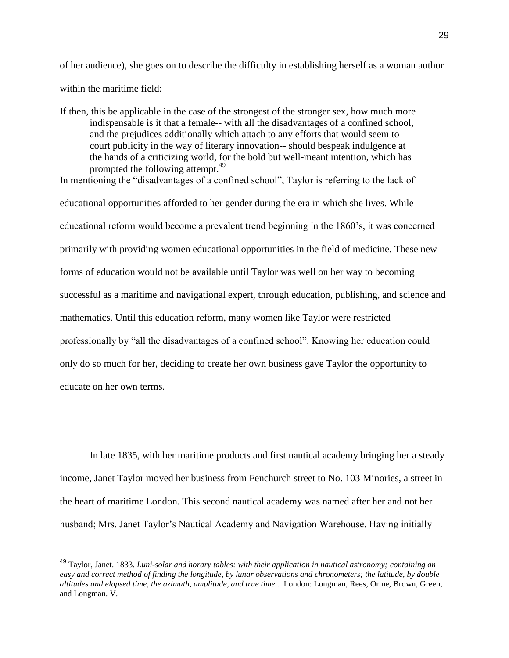of her audience), she goes on to describe the difficulty in establishing herself as a woman author within the maritime field:

If then, this be applicable in the case of the strongest of the stronger sex, how much more indispensable is it that a female-- with all the disadvantages of a confined school, and the prejudices additionally which attach to any efforts that would seem to court publicity in the way of literary innovation-- should bespeak indulgence at the hands of a criticizing world, for the bold but well-meant intention, which has prompted the following attempt.<sup>49</sup>

In mentioning the "disadvantages of a confined school", Taylor is referring to the lack of educational opportunities afforded to her gender during the era in which she lives. While educational reform would become a prevalent trend beginning in the 1860's, it was concerned primarily with providing women educational opportunities in the field of medicine. These new forms of education would not be available until Taylor was well on her way to becoming successful as a maritime and navigational expert, through education, publishing, and science and mathematics. Until this education reform, many women like Taylor were restricted professionally by "all the disadvantages of a confined school". Knowing her education could only do so much for her, deciding to create her own business gave Taylor the opportunity to educate on her own terms.

In late 1835, with her maritime products and first nautical academy bringing her a steady income, Janet Taylor moved her business from Fenchurch street to No. 103 Minories, a street in the heart of maritime London. This second nautical academy was named after her and not her husband; Mrs. Janet Taylor's Nautical Academy and Navigation Warehouse. Having initially

<sup>49</sup> Taylor, Janet. 1833. *Luni-solar and horary tables: with their application in nautical astronomy; containing an easy and correct method of finding the longitude, by lunar observations and chronometers; the latitude, by double altitudes and elapsed time, the azimuth, amplitude, and true time...* London: Longman, Rees, Orme, Brown, Green, and Longman. V.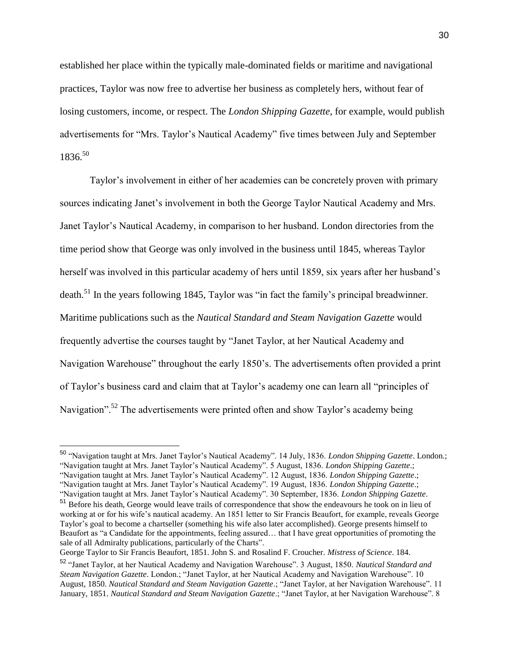established her place within the typically male-dominated fields or maritime and navigational practices, Taylor was now free to advertise her business as completely hers, without fear of losing customers, income, or respect. The *London Shipping Gazette*, for example, would publish advertisements for "Mrs. Taylor's Nautical Academy" five times between July and September 1836.<sup>50</sup>

Taylor's involvement in either of her academies can be concretely proven with primary sources indicating Janet's involvement in both the George Taylor Nautical Academy and Mrs. Janet Taylor's Nautical Academy, in comparison to her husband. London directories from the time period show that George was only involved in the business until 1845, whereas Taylor herself was involved in this particular academy of hers until 1859, six years after her husband's death.<sup>51</sup> In the years following 1845, Taylor was "in fact the family's principal breadwinner. Maritime publications such as the *Nautical Standard and Steam Navigation Gazette* would frequently advertise the courses taught by "Janet Taylor, at her Nautical Academy and Navigation Warehouse" throughout the early 1850's. The advertisements often provided a print of Taylor's business card and claim that at Taylor's academy one can learn all "principles of Navigation".<sup>52</sup> The advertisements were printed often and show Taylor's academy being

George Taylor to Sir Francis Beaufort, 1851. John S. and Rosalind F. Croucher. *Mistress of Science*. 184.

<sup>50</sup> "Navigation taught at Mrs. Janet Taylor's Nautical Academy". 14 July, 1836. *London Shipping Gazette*. London.; "Navigation taught at Mrs. Janet Taylor's Nautical Academy". 5 August, 1836. *London Shipping Gazette*.; "Navigation taught at Mrs. Janet Taylor's Nautical Academy". 12 August, 1836. *London Shipping Gazette*.; "Navigation taught at Mrs. Janet Taylor's Nautical Academy". 19 August, 1836. *London Shipping Gazette*.; "Navigation taught at Mrs. Janet Taylor's Nautical Academy". 30 September, 1836. *London Shipping Gazette*.

<sup>&</sup>lt;sup>51</sup> Before his death, George would leave trails of correspondence that show the endeavours he took on in lieu of working at or for his wife's nautical academy. An 1851 letter to Sir Francis Beaufort, for example, reveals George Taylor's goal to become a chartseller (something his wife also later accomplished). George presents himself to Beaufort as "a Candidate for the appointments, feeling assured… that I have great opportunities of promoting the sale of all Admiralty publications, particularly of the Charts".

<sup>52</sup> "Janet Taylor, at her Nautical Academy and Navigation Warehouse". 3 August, 1850. *Nautical Standard and Steam Navigation Gazette*. London.; "Janet Taylor, at her Nautical Academy and Navigation Warehouse". 10 August, 1850. *Nautical Standard and Steam Navigation Gazette*.; "Janet Taylor, at her Navigation Warehouse". 11 January, 1851. *Nautical Standard and Steam Navigation Gazette*.; "Janet Taylor, at her Navigation Warehouse". 8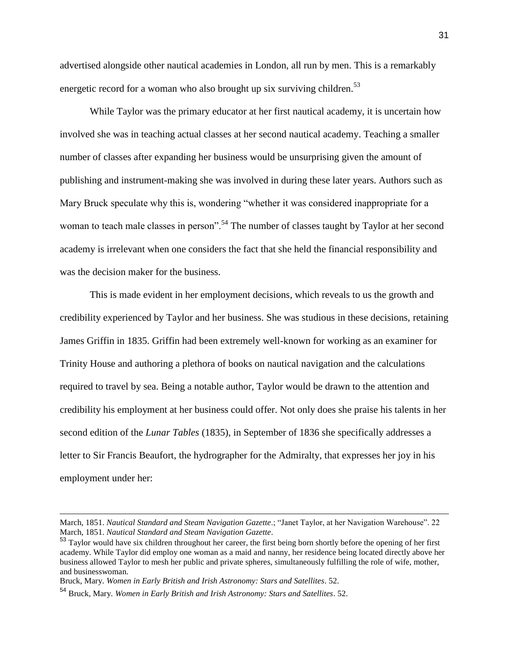advertised alongside other nautical academies in London, all run by men. This is a remarkably energetic record for a woman who also brought up six surviving children.<sup>53</sup>

While Taylor was the primary educator at her first nautical academy, it is uncertain how involved she was in teaching actual classes at her second nautical academy. Teaching a smaller number of classes after expanding her business would be unsurprising given the amount of publishing and instrument-making she was involved in during these later years. Authors such as Mary Bruck speculate why this is, wondering "whether it was considered inappropriate for a woman to teach male classes in person".<sup>54</sup> The number of classes taught by Taylor at her second academy is irrelevant when one considers the fact that she held the financial responsibility and was the decision maker for the business.

This is made evident in her employment decisions, which reveals to us the growth and credibility experienced by Taylor and her business. She was studious in these decisions, retaining James Griffin in 1835. Griffin had been extremely well-known for working as an examiner for Trinity House and authoring a plethora of books on nautical navigation and the calculations required to travel by sea. Being a notable author, Taylor would be drawn to the attention and credibility his employment at her business could offer. Not only does she praise his talents in her second edition of the *Lunar Tables* (1835), in September of 1836 she specifically addresses a letter to Sir Francis Beaufort, the hydrographer for the Admiralty, that expresses her joy in his employment under her:

March, 1851. *Nautical Standard and Steam Navigation Gazette*.; "Janet Taylor, at her Navigation Warehouse". 22 March, 1851. *Nautical Standard and Steam Navigation Gazette*.

<sup>&</sup>lt;sup>53</sup> Taylor would have six children throughout her career, the first being born shortly before the opening of her first academy. While Taylor did employ one woman as a maid and nanny, her residence being located directly above her business allowed Taylor to mesh her public and private spheres, simultaneously fulfilling the role of wife, mother, and businesswoman.

Bruck, Mary. *Women in Early British and Irish Astronomy: Stars and Satellites*. 52.

<sup>54</sup> Bruck, Mary. *Women in Early British and Irish Astronomy: Stars and Satellites*. 52.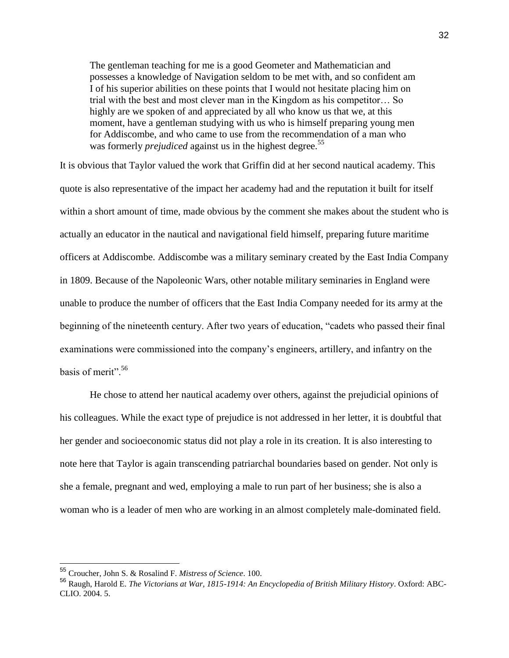The gentleman teaching for me is a good Geometer and Mathematician and possesses a knowledge of Navigation seldom to be met with, and so confident am I of his superior abilities on these points that I would not hesitate placing him on trial with the best and most clever man in the Kingdom as his competitor… So highly are we spoken of and appreciated by all who know us that we, at this moment, have a gentleman studying with us who is himself preparing young men for Addiscombe, and who came to use from the recommendation of a man who was formerly *prejudiced* against us in the highest degree.<sup>55</sup>

It is obvious that Taylor valued the work that Griffin did at her second nautical academy. This quote is also representative of the impact her academy had and the reputation it built for itself within a short amount of time, made obvious by the comment she makes about the student who is actually an educator in the nautical and navigational field himself, preparing future maritime officers at Addiscombe. Addiscombe was a military seminary created by the East India Company in 1809. Because of the Napoleonic Wars, other notable military seminaries in England were unable to produce the number of officers that the East India Company needed for its army at the beginning of the nineteenth century. After two years of education, "cadets who passed their final examinations were commissioned into the company's engineers, artillery, and infantry on the basis of merit".<sup>56</sup>

He chose to attend her nautical academy over others, against the prejudicial opinions of his colleagues. While the exact type of prejudice is not addressed in her letter, it is doubtful that her gender and socioeconomic status did not play a role in its creation. It is also interesting to note here that Taylor is again transcending patriarchal boundaries based on gender. Not only is she a female, pregnant and wed, employing a male to run part of her business; she is also a woman who is a leader of men who are working in an almost completely male-dominated field.

<sup>55</sup> Croucher, John S. & Rosalind F. *Mistress of Science*. 100.

<sup>56</sup> Raugh, Harold E. *The Victorians at War, 1815-1914: An Encyclopedia of British Military History*. Oxford: ABC-CLIO. 2004. 5.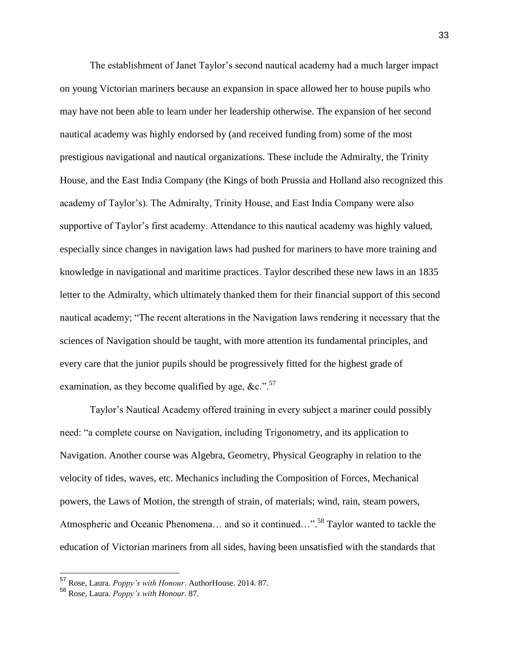The establishment of Janet Taylor's second nautical academy had a much larger impact on young Victorian mariners because an expansion in space allowed her to house pupils who may have not been able to learn under her leadership otherwise. The expansion of her second nautical academy was highly endorsed by (and received funding from) some of the most prestigious navigational and nautical organizations. These include the Admiralty, the Trinity House, and the East India Company (the Kings of both Prussia and Holland also recognized this academy of Taylor's). The Admiralty, Trinity House, and East India Company were also supportive of Taylor's first academy. Attendance to this nautical academy was highly valued, especially since changes in navigation laws had pushed for mariners to have more training and knowledge in navigational and maritime practices. Taylor described these new laws in an 1835 letter to the Admiralty, which ultimately thanked them for their financial support of this second nautical academy; "The recent alterations in the Navigation laws rendering it necessary that the sciences of Navigation should be taught, with more attention its fundamental principles, and every care that the junior pupils should be progressively fitted for the highest grade of examination, as they become qualified by age,  $&c.$ ".<sup>57</sup>

Taylor's Nautical Academy offered training in every subject a mariner could possibly need: "a complete course on Navigation, including Trigonometry, and its application to Navigation. Another course was Algebra, Geometry, Physical Geography in relation to the velocity of tides, waves, etc. Mechanics including the Composition of Forces, Mechanical powers, the Laws of Motion, the strength of strain, of materials; wind, rain, steam powers, Atmospheric and Oceanic Phenomena... and so it continued...".<sup>58</sup> Taylor wanted to tackle the education of Victorian mariners from all sides, having been unsatisfied with the standards that

<sup>57</sup> Rose, Laura. *Poppy's with Honour*. AuthorHouse. 2014. 87.

<sup>58</sup> Rose, Laura. *Poppy's with Honour*. 87.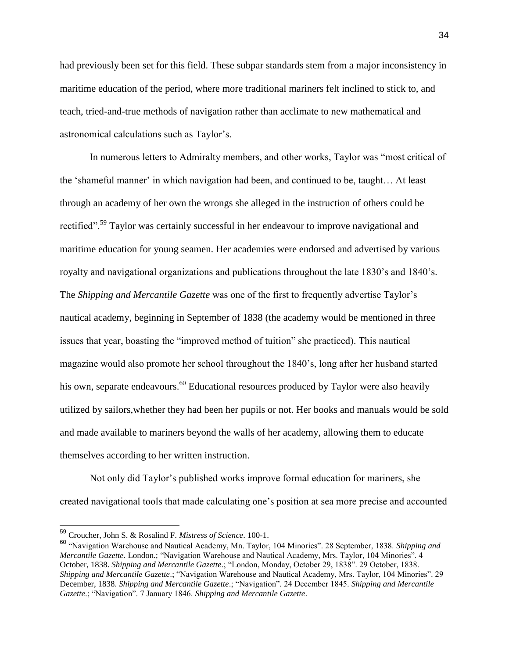had previously been set for this field. These subpar standards stem from a major inconsistency in maritime education of the period, where more traditional mariners felt inclined to stick to, and teach, tried-and-true methods of navigation rather than acclimate to new mathematical and astronomical calculations such as Taylor's.

In numerous letters to Admiralty members, and other works, Taylor was "most critical of the 'shameful manner' in which navigation had been, and continued to be, taught… At least through an academy of her own the wrongs she alleged in the instruction of others could be rectified".<sup>59</sup> Taylor was certainly successful in her endeavour to improve navigational and maritime education for young seamen. Her academies were endorsed and advertised by various royalty and navigational organizations and publications throughout the late 1830's and 1840's. The *Shipping and Mercantile Gazette* was one of the first to frequently advertise Taylor's nautical academy, beginning in September of 1838 (the academy would be mentioned in three issues that year, boasting the "improved method of tuition" she practiced). This nautical magazine would also promote her school throughout the 1840's, long after her husband started his own, separate endeavours.<sup>60</sup> Educational resources produced by Taylor were also heavily utilized by sailors,whether they had been her pupils or not. Her books and manuals would be sold and made available to mariners beyond the walls of her academy, allowing them to educate themselves according to her written instruction.

Not only did Taylor's published works improve formal education for mariners, she created navigational tools that made calculating one's position at sea more precise and accounted

<sup>59</sup> Croucher, John S. & Rosalind F. *Mistress of Science*. 100-1.

<sup>60</sup> "Navigation Warehouse and Nautical Academy, Mn. Taylor, 104 Minories". 28 September, 1838. *Shipping and Mercantile Gazette*. London.; "Navigation Warehouse and Nautical Academy, Mrs. Taylor, 104 Minories". 4 October, 1838. *Shipping and Mercantile Gazette*.; "London, Monday, October 29, 1838". 29 October, 1838. *Shipping and Mercantile Gazette*.; "Navigation Warehouse and Nautical Academy, Mrs. Taylor, 104 Minories". 29 December, 1838. *Shipping and Mercantile Gazette*.; "Navigation". 24 December 1845. *Shipping and Mercantile Gazette*.; "Navigation". 7 January 1846. *Shipping and Mercantile Gazette*.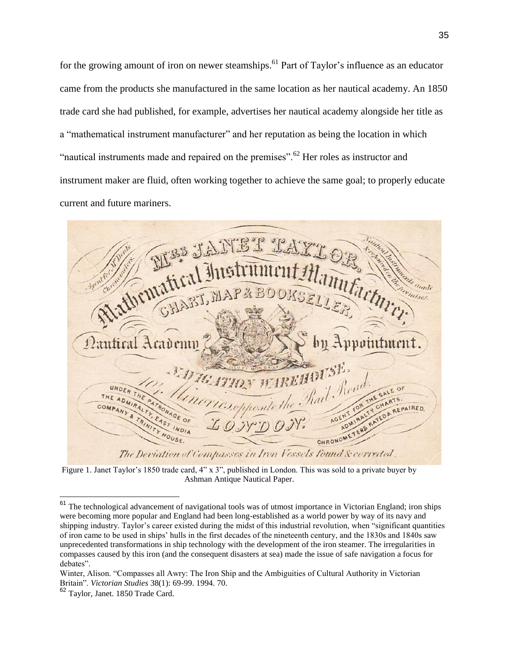for the growing amount of iron on newer steamships.<sup>61</sup> Part of Taylor's influence as an educator came from the products she manufactured in the same location as her nautical academy. An 1850 trade card she had published, for example, advertises her nautical academy alongside her title as a "mathematical instrument manufacturer" and her reputation as being the location in which "nautical instruments made and repaired on the premises".<sup>62</sup> Her roles as instructor and instrument maker are fluid, often working together to achieve the same goal; to properly educate current and future mariners.

unfactor ovointment ATHEY WAREHOUSE, SALE OF honte t COM REPAIRED. ADN HOUSE. CHRONOME The Deviation of Compasses in Iron Vessels found & corrected.

Figure 1. Janet Taylor's 1850 trade card, 4" x 3", published in London. This was sold to a private buyer by Ashman Antique Nautical Paper.

<sup>&</sup>lt;sup>61</sup> The technological advancement of navigational tools was of utmost importance in Victorian England; iron ships were becoming more popular and England had been long-established as a world power by way of its navy and shipping industry. Taylor's career existed during the midst of this industrial revolution, when "significant quantities of iron came to be used in ships' hulls in the first decades of the nineteenth century, and the 1830s and 1840s saw unprecedented transformations in ship technology with the development of the iron steamer. The irregularities in compasses caused by this iron (and the consequent disasters at sea) made the issue of safe navigation a focus for debates".

Winter, Alison. "Compasses all Awry: The Iron Ship and the Ambiguities of Cultural Authority in Victorian Britain". *Victorian Studies* 38(1): 69-99. 1994. 70.

<sup>62</sup> Taylor, Janet. 1850 Trade Card.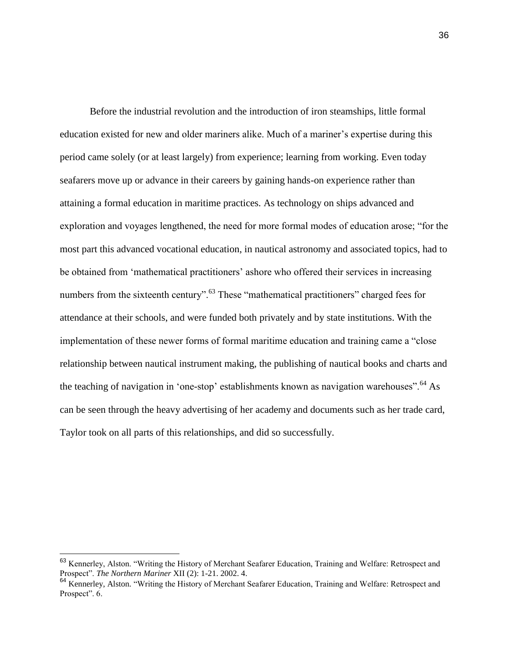Before the industrial revolution and the introduction of iron steamships, little formal education existed for new and older mariners alike. Much of a mariner's expertise during this period came solely (or at least largely) from experience; learning from working. Even today seafarers move up or advance in their careers by gaining hands-on experience rather than attaining a formal education in maritime practices. As technology on ships advanced and exploration and voyages lengthened, the need for more formal modes of education arose; "for the most part this advanced vocational education, in nautical astronomy and associated topics, had to be obtained from 'mathematical practitioners' ashore who offered their services in increasing numbers from the sixteenth century".<sup>63</sup> These "mathematical practitioners" charged fees for attendance at their schools, and were funded both privately and by state institutions. With the implementation of these newer forms of formal maritime education and training came a "close relationship between nautical instrument making, the publishing of nautical books and charts and the teaching of navigation in 'one-stop' establishments known as navigation warehouses".<sup>64</sup> As can be seen through the heavy advertising of her academy and documents such as her trade card, Taylor took on all parts of this relationships, and did so successfully.

<sup>&</sup>lt;sup>63</sup> Kennerley, Alston. "Writing the History of Merchant Seafarer Education, Training and Welfare: Retrospect and Prospect". *The Northern Mariner* XII (2): 1-21. 2002. 4.

<sup>&</sup>lt;sup>64</sup> Kennerley, Alston. "Writing the History of Merchant Seafarer Education, Training and Welfare: Retrospect and Prospect". 6.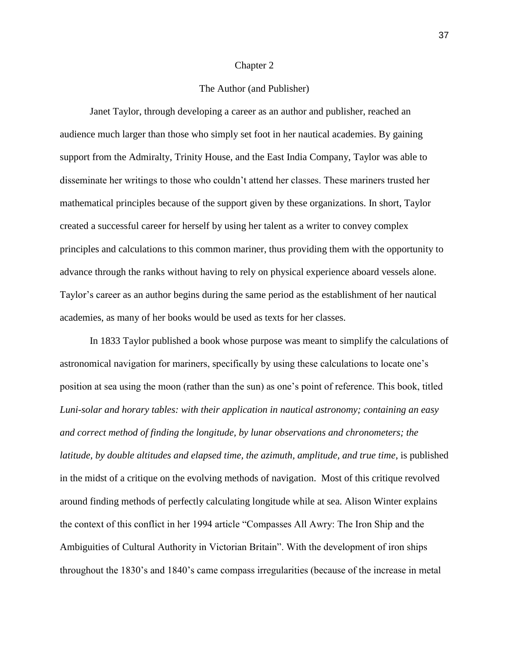## Chapter 2

## The Author (and Publisher)

Janet Taylor, through developing a career as an author and publisher, reached an audience much larger than those who simply set foot in her nautical academies. By gaining support from the Admiralty, Trinity House, and the East India Company, Taylor was able to disseminate her writings to those who couldn't attend her classes. These mariners trusted her mathematical principles because of the support given by these organizations. In short, Taylor created a successful career for herself by using her talent as a writer to convey complex principles and calculations to this common mariner, thus providing them with the opportunity to advance through the ranks without having to rely on physical experience aboard vessels alone. Taylor's career as an author begins during the same period as the establishment of her nautical academies, as many of her books would be used as texts for her classes.

In 1833 Taylor published a book whose purpose was meant to simplify the calculations of astronomical navigation for mariners, specifically by using these calculations to locate one's position at sea using the moon (rather than the sun) as one's point of reference. This book, titled *Luni-solar and horary tables: with their application in nautical astronomy; containing an easy and correct method of finding the longitude, by lunar observations and chronometers; the latitude, by double altitudes and elapsed time, the azimuth, amplitude, and true time*, is published in the midst of a critique on the evolving methods of navigation. Most of this critique revolved around finding methods of perfectly calculating longitude while at sea. Alison Winter explains the context of this conflict in her 1994 article "Compasses All Awry: The Iron Ship and the Ambiguities of Cultural Authority in Victorian Britain". With the development of iron ships throughout the 1830's and 1840's came compass irregularities (because of the increase in metal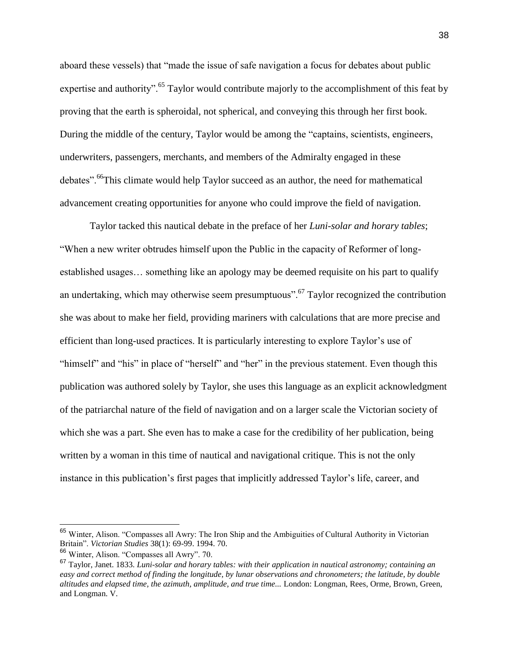aboard these vessels) that "made the issue of safe navigation a focus for debates about public expertise and authority".<sup>65</sup> Taylor would contribute majorly to the accomplishment of this feat by proving that the earth is spheroidal, not spherical, and conveying this through her first book. During the middle of the century, Taylor would be among the "captains, scientists, engineers, underwriters, passengers, merchants, and members of the Admiralty engaged in these debates".<sup>66</sup>This climate would help Taylor succeed as an author, the need for mathematical advancement creating opportunities for anyone who could improve the field of navigation.

Taylor tacked this nautical debate in the preface of her *Luni-solar and horary tables*; "When a new writer obtrudes himself upon the Public in the capacity of Reformer of longestablished usages… something like an apology may be deemed requisite on his part to qualify an undertaking, which may otherwise seem presumptuous".<sup>67</sup> Taylor recognized the contribution she was about to make her field, providing mariners with calculations that are more precise and efficient than long-used practices. It is particularly interesting to explore Taylor's use of "himself" and "his" in place of "herself" and "her" in the previous statement. Even though this publication was authored solely by Taylor, she uses this language as an explicit acknowledgment of the patriarchal nature of the field of navigation and on a larger scale the Victorian society of which she was a part. She even has to make a case for the credibility of her publication, being written by a woman in this time of nautical and navigational critique. This is not the only instance in this publication's first pages that implicitly addressed Taylor's life, career, and

<sup>&</sup>lt;sup>65</sup> Winter, Alison. "Compasses all Awry: The Iron Ship and the Ambiguities of Cultural Authority in Victorian Britain". *Victorian Studies* 38(1): 69-99. 1994. 70.

<sup>66</sup> Winter, Alison. "Compasses all Awry". 70.

<sup>67</sup> Taylor, Janet. 1833. *Luni-solar and horary tables: with their application in nautical astronomy; containing an easy and correct method of finding the longitude, by lunar observations and chronometers; the latitude, by double altitudes and elapsed time, the azimuth, amplitude, and true time...* London: Longman, Rees, Orme, Brown, Green, and Longman. V.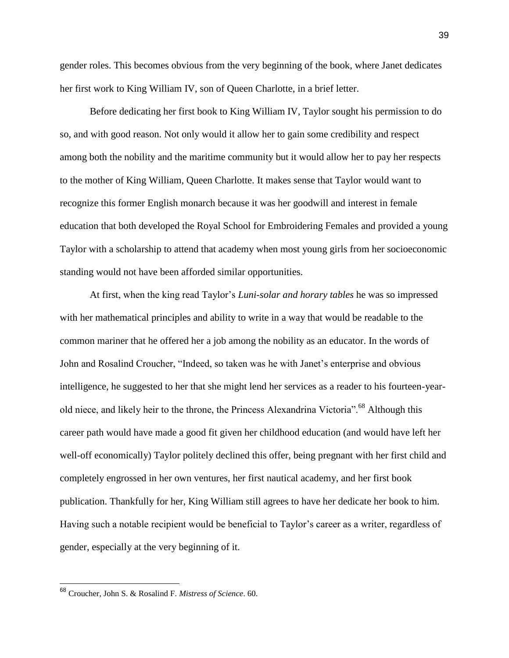gender roles. This becomes obvious from the very beginning of the book, where Janet dedicates her first work to King William IV, son of Queen Charlotte, in a brief letter.

Before dedicating her first book to King William IV, Taylor sought his permission to do so, and with good reason. Not only would it allow her to gain some credibility and respect among both the nobility and the maritime community but it would allow her to pay her respects to the mother of King William, Queen Charlotte. It makes sense that Taylor would want to recognize this former English monarch because it was her goodwill and interest in female education that both developed the Royal School for Embroidering Females and provided a young Taylor with a scholarship to attend that academy when most young girls from her socioeconomic standing would not have been afforded similar opportunities.

At first, when the king read Taylor's *Luni-solar and horary tables* he was so impressed with her mathematical principles and ability to write in a way that would be readable to the common mariner that he offered her a job among the nobility as an educator. In the words of John and Rosalind Croucher, "Indeed, so taken was he with Janet's enterprise and obvious intelligence, he suggested to her that she might lend her services as a reader to his fourteen-yearold niece, and likely heir to the throne, the Princess Alexandrina Victoria".<sup>68</sup> Although this career path would have made a good fit given her childhood education (and would have left her well-off economically) Taylor politely declined this offer, being pregnant with her first child and completely engrossed in her own ventures, her first nautical academy, and her first book publication. Thankfully for her, King William still agrees to have her dedicate her book to him. Having such a notable recipient would be beneficial to Taylor's career as a writer, regardless of gender, especially at the very beginning of it.

<sup>68</sup> Croucher, John S. & Rosalind F. *Mistress of Science*. 60.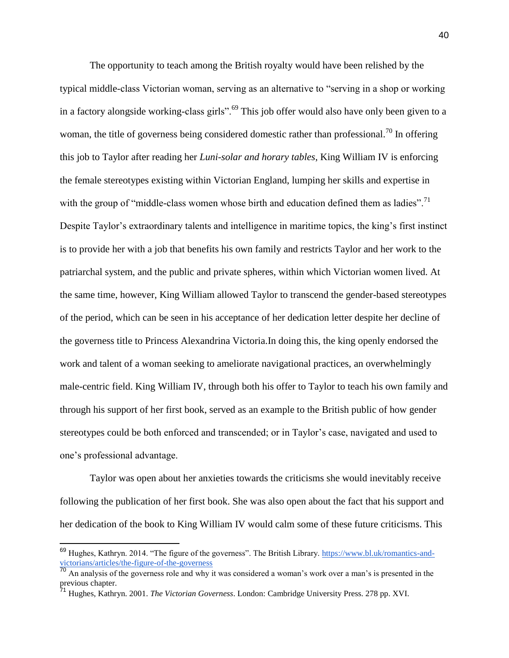The opportunity to teach among the British royalty would have been relished by the typical middle-class Victorian woman, serving as an alternative to "serving in a shop or working in a factory alongside working-class girls".<sup>69</sup> This job offer would also have only been given to a woman, the title of governess being considered domestic rather than professional.<sup>70</sup> In offering this job to Taylor after reading her *Luni-solar and horary tables*, King William IV is enforcing the female stereotypes existing within Victorian England, lumping her skills and expertise in with the group of "middle-class women whose birth and education defined them as ladies".<sup>71</sup> Despite Taylor's extraordinary talents and intelligence in maritime topics, the king's first instinct is to provide her with a job that benefits his own family and restricts Taylor and her work to the patriarchal system, and the public and private spheres, within which Victorian women lived. At the same time, however, King William allowed Taylor to transcend the gender-based stereotypes of the period, which can be seen in his acceptance of her dedication letter despite her decline of the governess title to Princess Alexandrina Victoria.In doing this, the king openly endorsed the work and talent of a woman seeking to ameliorate navigational practices, an overwhelmingly male-centric field. King William IV, through both his offer to Taylor to teach his own family and through his support of her first book, served as an example to the British public of how gender stereotypes could be both enforced and transcended; or in Taylor's case, navigated and used to one's professional advantage.

Taylor was open about her anxieties towards the criticisms she would inevitably receive following the publication of her first book. She was also open about the fact that his support and her dedication of the book to King William IV would calm some of these future criticisms. This

<sup>&</sup>lt;sup>69</sup> Hughes, Kathryn. 2014. "The figure of the governess". The British Library. [https://www.bl.uk/romantics-and](https://www.bl.uk/romantics-and-victorians/articles/the-figure-of-the-governess)[victorians/articles/the-figure-of-the-governess](https://www.bl.uk/romantics-and-victorians/articles/the-figure-of-the-governess)

<sup>&</sup>lt;sup>70</sup> An analysis of the governess role and why it was considered a woman's work over a man's is presented in the previous chapter.

<sup>71</sup> Hughes, Kathryn. 2001. *The Victorian Governess*. London: Cambridge University Press. 278 pp. XVI.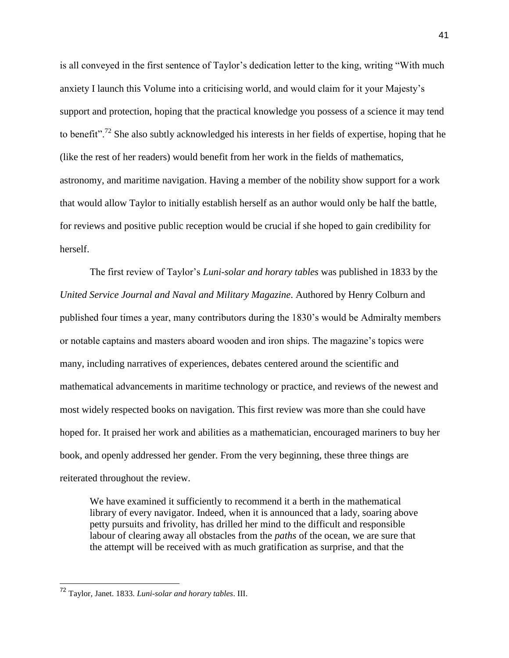is all conveyed in the first sentence of Taylor's dedication letter to the king, writing "With much anxiety I launch this Volume into a criticising world, and would claim for it your Majesty's support and protection, hoping that the practical knowledge you possess of a science it may tend to benefit".<sup>72</sup> She also subtly acknowledged his interests in her fields of expertise, hoping that he (like the rest of her readers) would benefit from her work in the fields of mathematics, astronomy, and maritime navigation. Having a member of the nobility show support for a work that would allow Taylor to initially establish herself as an author would only be half the battle, for reviews and positive public reception would be crucial if she hoped to gain credibility for herself.

The first review of Taylor's *Luni-solar and horary tables* was published in 1833 by the *United Service Journal and Naval and Military Magazine*. Authored by Henry Colburn and published four times a year, many contributors during the 1830's would be Admiralty members or notable captains and masters aboard wooden and iron ships. The magazine's topics were many, including narratives of experiences, debates centered around the scientific and mathematical advancements in maritime technology or practice, and reviews of the newest and most widely respected books on navigation. This first review was more than she could have hoped for. It praised her work and abilities as a mathematician, encouraged mariners to buy her book, and openly addressed her gender. From the very beginning, these three things are reiterated throughout the review.

We have examined it sufficiently to recommend it a berth in the mathematical library of every navigator. Indeed, when it is announced that a lady, soaring above petty pursuits and frivolity, has drilled her mind to the difficult and responsible labour of clearing away all obstacles from the *paths* of the ocean, we are sure that the attempt will be received with as much gratification as surprise, and that the

<sup>72</sup> Taylor, Janet. 1833. *Luni-solar and horary tables*. III.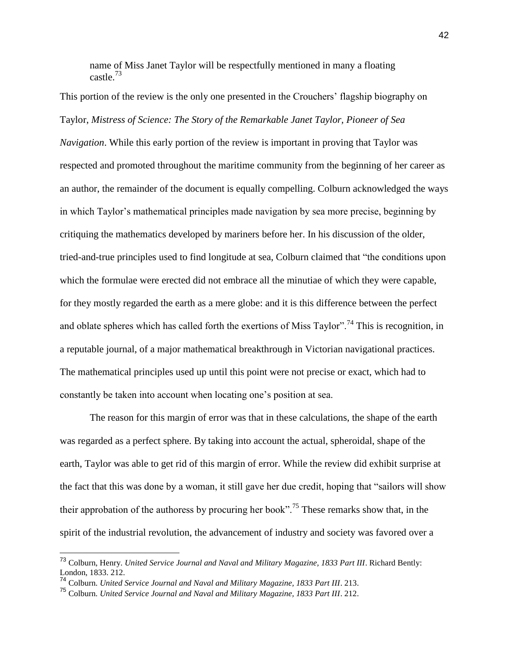name of Miss Janet Taylor will be respectfully mentioned in many a floating castle.<sup>73</sup>

This portion of the review is the only one presented in the Crouchers' flagship biography on Taylor, *Mistress of Science: The Story of the Remarkable Janet Taylor, Pioneer of Sea Navigation*. While this early portion of the review is important in proving that Taylor was respected and promoted throughout the maritime community from the beginning of her career as an author, the remainder of the document is equally compelling. Colburn acknowledged the ways in which Taylor's mathematical principles made navigation by sea more precise, beginning by critiquing the mathematics developed by mariners before her. In his discussion of the older, tried-and-true principles used to find longitude at sea, Colburn claimed that "the conditions upon which the formulae were erected did not embrace all the minutiae of which they were capable, for they mostly regarded the earth as a mere globe: and it is this difference between the perfect and oblate spheres which has called forth the exertions of Miss Taylor".<sup>74</sup> This is recognition, in a reputable journal, of a major mathematical breakthrough in Victorian navigational practices. The mathematical principles used up until this point were not precise or exact, which had to constantly be taken into account when locating one's position at sea.

The reason for this margin of error was that in these calculations, the shape of the earth was regarded as a perfect sphere. By taking into account the actual, spheroidal, shape of the earth, Taylor was able to get rid of this margin of error. While the review did exhibit surprise at the fact that this was done by a woman, it still gave her due credit, hoping that "sailors will show their approbation of the authoress by procuring her book".<sup>75</sup> These remarks show that, in the spirit of the industrial revolution, the advancement of industry and society was favored over a

<sup>73</sup> Colburn, Henry. *United Service Journal and Naval and Military Magazine, 1833 Part III*. Richard Bently: London, 1833. 212.

<sup>74</sup> Colburn. *United Service Journal and Naval and Military Magazine, 1833 Part III*. 213.

<sup>75</sup> Colburn. *United Service Journal and Naval and Military Magazine, 1833 Part III*. 212.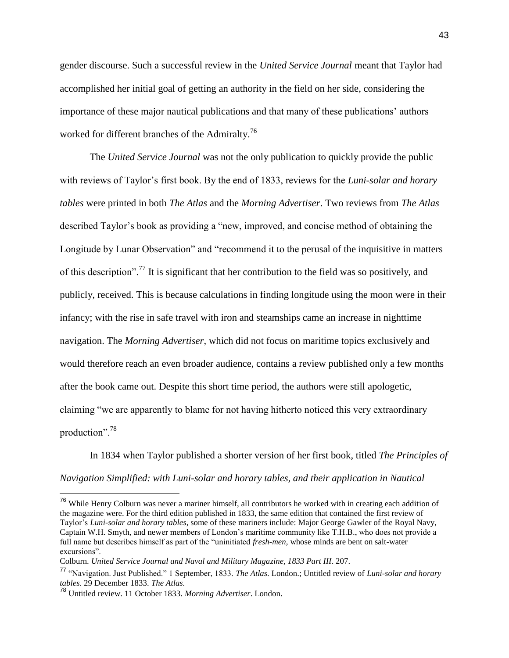gender discourse. Such a successful review in the *United Service Journal* meant that Taylor had accomplished her initial goal of getting an authority in the field on her side, considering the importance of these major nautical publications and that many of these publications' authors worked for different branches of the Admiralty.<sup>76</sup>

The *United Service Journal* was not the only publication to quickly provide the public with reviews of Taylor's first book. By the end of 1833, reviews for the *Luni-solar and horary tables* were printed in both *The Atlas* and the *Morning Advertiser*. Two reviews from *The Atlas* described Taylor's book as providing a "new, improved, and concise method of obtaining the Longitude by Lunar Observation" and "recommend it to the perusal of the inquisitive in matters of this description".<sup>77</sup> It is significant that her contribution to the field was so positively, and publicly, received. This is because calculations in finding longitude using the moon were in their infancy; with the rise in safe travel with iron and steamships came an increase in nighttime navigation. The *Morning Advertiser*, which did not focus on maritime topics exclusively and would therefore reach an even broader audience, contains a review published only a few months after the book came out. Despite this short time period, the authors were still apologetic, claiming "we are apparently to blame for not having hitherto noticed this very extraordinary production".<sup>78</sup>

In 1834 when Taylor published a shorter version of her first book, titled *The Principles of Navigation Simplified: with Luni-solar and horary tables, and their application in Nautical* 

<sup>&</sup>lt;sup>76</sup> While Henry Colburn was never a mariner himself, all contributors he worked with in creating each addition of the magazine were. For the third edition published in 1833, the same edition that contained the first review of Taylor's *Luni-solar and horary tables*, some of these mariners include: Major George Gawler of the Royal Navy, Captain W.H. Smyth, and newer members of London's maritime community like T.H.B., who does not provide a full name but describes himself as part of the "uninitiated *fresh-men*, whose minds are bent on salt-water excursions".

Colburn. *United Service Journal and Naval and Military Magazine, 1833 Part III*. 207.

<sup>77</sup> "Navigation. Just Published." 1 September, 1833. *The Atlas*. London.; Untitled review of *Luni-solar and horary tables*. 29 December 1833. *The Atlas.*

<sup>78</sup> Untitled review. 11 October 1833. *Morning Advertiser*. London.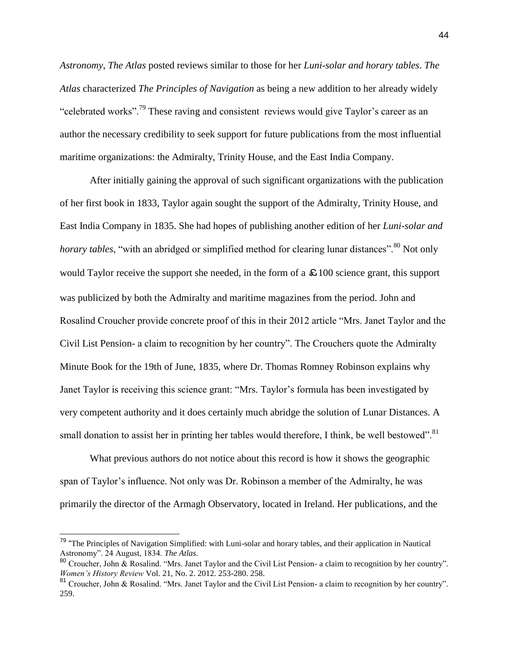*Astronomy*, *The Atlas* posted reviews similar to those for her *Luni-solar and horary tables*. *The Atlas* characterized *The Principles of Navigation* as being a new addition to her already widely "celebrated works".<sup>79</sup> These raving and consistent reviews would give Taylor's career as an author the necessary credibility to seek support for future publications from the most influential maritime organizations: the Admiralty, Trinity House, and the East India Company.

After initially gaining the approval of such significant organizations with the publication of her first book in 1833, Taylor again sought the support of the Admiralty, Trinity House, and East India Company in 1835. She had hopes of publishing another edition of her *Luni-solar and horary tables*, "with an abridged or simplified method for clearing lunar distances".<sup>80</sup> Not only would Taylor receive the support she needed, in the form of a  $\epsilon$  100 science grant, this support was publicized by both the Admiralty and maritime magazines from the period. John and Rosalind Croucher provide concrete proof of this in their 2012 article "Mrs. Janet Taylor and the Civil List Pension- a claim to recognition by her country". The Crouchers quote the Admiralty Minute Book for the 19th of June, 1835, where Dr. Thomas Romney Robinson explains why Janet Taylor is receiving this science grant: "Mrs. Taylor's formula has been investigated by very competent authority and it does certainly much abridge the solution of Lunar Distances. A small donation to assist her in printing her tables would therefore, I think, be well bestowed".<sup>81</sup>

What previous authors do not notice about this record is how it shows the geographic span of Taylor's influence. Not only was Dr. Robinson a member of the Admiralty, he was primarily the director of the Armagh Observatory, located in Ireland. Her publications, and the

<sup>&</sup>lt;sup>79</sup> "The Principles of Navigation Simplified: with Luni-solar and horary tables, and their application in Nautical Astronomy". 24 August, 1834. *The Atlas*.

<sup>&</sup>lt;sup>80</sup> Croucher, John & Rosalind. "Mrs. Janet Taylor and the Civil List Pension- a claim to recognition by her country". *Women's History Review* Vol. 21, No. 2. 2012. 253-280. 258.

<sup>&</sup>lt;sup>81</sup> Croucher, John & Rosalind. "Mrs. Janet Taylor and the Civil List Pension- a claim to recognition by her country". 259.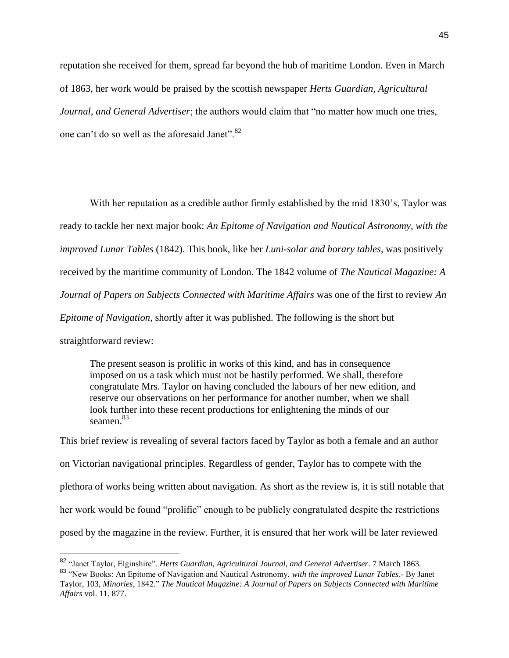reputation she received for them, spread far beyond the hub of maritime London. Even in March of 1863, her work would be praised by the scottish newspaper *Herts Guardian, Agricultural Journal, and General Advertiser*; the authors would claim that "no matter how much one tries, one can't do so well as the aforesaid Janet".<sup>82</sup>

With her reputation as a credible author firmly established by the mid 1830's, Taylor was ready to tackle her next major book: *An Epitome of Navigation and Nautical Astronomy, with the improved Lunar Tables* (1842). This book, like her *Luni-solar and horary tables*, was positively received by the maritime community of London. The 1842 volume of *The Nautical Magazine: A Journal of Papers on Subjects Connected with Maritime Affairs* was one of the first to review *An Epitome of Navigation*, shortly after it was published. The following is the short but straightforward review:

The present season is prolific in works of this kind, and has in consequence imposed on us a task which must not be hastily performed. We shall, therefore congratulate Mrs. Taylor on having concluded the labours of her new edition, and reserve our observations on her performance for another number, when we shall look further into these recent productions for enlightening the minds of our seamen.<sup>83</sup>

This brief review is revealing of several factors faced by Taylor as both a female and an author on Victorian navigational principles. Regardless of gender, Taylor has to compete with the plethora of works being written about navigation. As short as the review is, it is still notable that her work would be found "prolific" enough to be publicly congratulated despite the restrictions posed by the magazine in the review. Further, it is ensured that her work will be later reviewed

<sup>82</sup> "Janet Taylor, Elginshire". *Herts Guardian, Agricultural Journal, and General Advertiser*. 7 March 1863. <sup>83</sup> "New Books: An Epitome of Navigation and Nautical Astronomy, *with the improved Lunar Tables*.- By Janet Taylor, 103, *Minories*, 1842." *The Nautical Magazine: A Journal of Papers on Subjects Connected with Maritime Affairs* vol. 11. 877.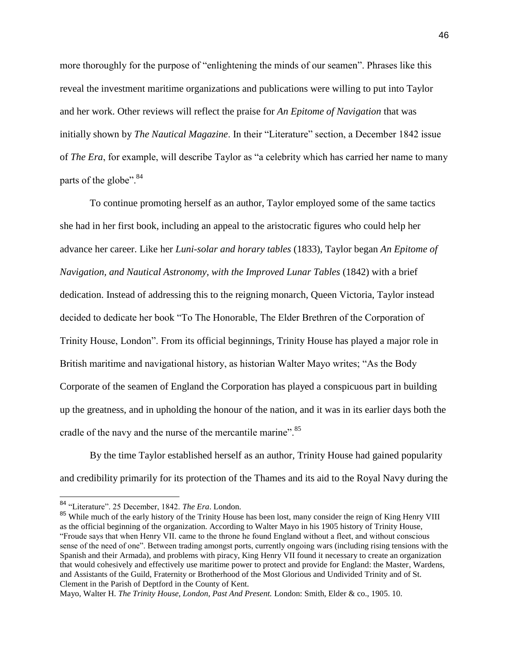more thoroughly for the purpose of "enlightening the minds of our seamen". Phrases like this reveal the investment maritime organizations and publications were willing to put into Taylor and her work. Other reviews will reflect the praise for *An Epitome of Navigation* that was initially shown by *The Nautical Magazine*. In their "Literature" section, a December 1842 issue of *The Era*, for example, will describe Taylor as "a celebrity which has carried her name to many parts of the globe".<sup>84</sup>

To continue promoting herself as an author, Taylor employed some of the same tactics she had in her first book, including an appeal to the aristocratic figures who could help her advance her career. Like her *Luni-solar and horary tables* (1833), Taylor began *An Epitome of Navigation, and Nautical Astronomy, with the Improved Lunar Tables* (1842) with a brief dedication. Instead of addressing this to the reigning monarch, Queen Victoria, Taylor instead decided to dedicate her book "To The Honorable, The Elder Brethren of the Corporation of Trinity House, London". From its official beginnings, Trinity House has played a major role in British maritime and navigational history, as historian Walter Mayo writes; "As the Body Corporate of the seamen of England the Corporation has played a conspicuous part in building up the greatness, and in upholding the honour of the nation, and it was in its earlier days both the cradle of the navy and the nurse of the mercantile marine".<sup>85</sup>

By the time Taylor established herself as an author, Trinity House had gained popularity and credibility primarily for its protection of the Thames and its aid to the Royal Navy during the

<sup>84</sup> "Literature". 25 December, 1842. *The Era*. London.

<sup>&</sup>lt;sup>85</sup> While much of the early history of the Trinity House has been lost, many consider the reign of King Henry VIII as the official beginning of the organization. According to Walter Mayo in his 1905 history of Trinity House, "Froude says that when Henry VII. came to the throne he found England without a fleet, and without conscious sense of the need of one". Between trading amongst ports, currently ongoing wars (including rising tensions with the Spanish and their Armada), and problems with piracy, King Henry VII found it necessary to create an organization that would cohesively and effectively use maritime power to protect and provide for England: the Master, Wardens, and Assistants of the Guild, Fraternity or Brotherhood of the Most Glorious and Undivided Trinity and of St. Clement in the Parish of Deptford in the County of Kent.

Mayo, Walter H. *The Trinity House, London, Past And Present.* London: Smith, Elder & co., 1905. 10.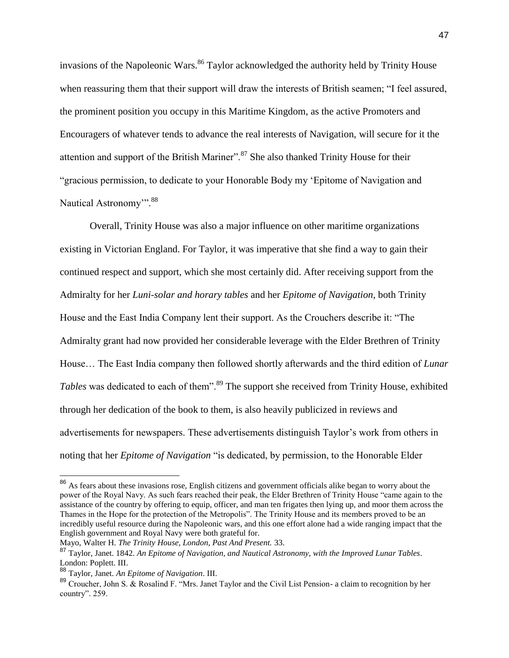invasions of the Napoleonic Wars.<sup>86</sup> Taylor acknowledged the authority held by Trinity House when reassuring them that their support will draw the interests of British seamen; "I feel assured, the prominent position you occupy in this Maritime Kingdom, as the active Promoters and Encouragers of whatever tends to advance the real interests of Navigation, will secure for it the attention and support of the British Mariner".<sup>87</sup> She also thanked Trinity House for their "gracious permission, to dedicate to your Honorable Body my 'Epitome of Navigation and Nautical Astronomy".<sup>88</sup>

Overall, Trinity House was also a major influence on other maritime organizations existing in Victorian England. For Taylor, it was imperative that she find a way to gain their continued respect and support, which she most certainly did. After receiving support from the Admiralty for her *Luni-solar and horary tables* and her *Epitome of Navigation*, both Trinity House and the East India Company lent their support. As the Crouchers describe it: "The Admiralty grant had now provided her considerable leverage with the Elder Brethren of Trinity House… The East India company then followed shortly afterwards and the third edition of *Lunar*  Tables was dedicated to each of them".<sup>89</sup> The support she received from Trinity House, exhibited through her dedication of the book to them, is also heavily publicized in reviews and advertisements for newspapers. These advertisements distinguish Taylor's work from others in noting that her *Epitome of Navigation* "is dedicated, by permission, to the Honorable Elder

<sup>&</sup>lt;sup>86</sup> As fears about these invasions rose, English citizens and government officials alike began to worry about the power of the Royal Navy. As such fears reached their peak, the Elder Brethren of Trinity House "came again to the assistance of the country by offering to equip, officer, and man ten frigates then lying up, and moor them across the Thames in the Hope for the protection of the Metropolis". The Trinity House and its members proved to be an incredibly useful resource during the Napoleonic wars, and this one effort alone had a wide ranging impact that the English government and Royal Navy were both grateful for.

Mayo, Walter H. *The Trinity House, London, Past And Present.* 33.

<sup>87</sup> Taylor, Janet. 1842. *An Epitome of Navigation, and Nautical Astronomy, with the Improved Lunar Tables*. London: Poplett. III.

<sup>88</sup> Taylor, Janet. *An Epitome of Navigation*. III.

<sup>89</sup> Croucher, John S. & Rosalind F. "Mrs. Janet Taylor and the Civil List Pension- a claim to recognition by her country". 259.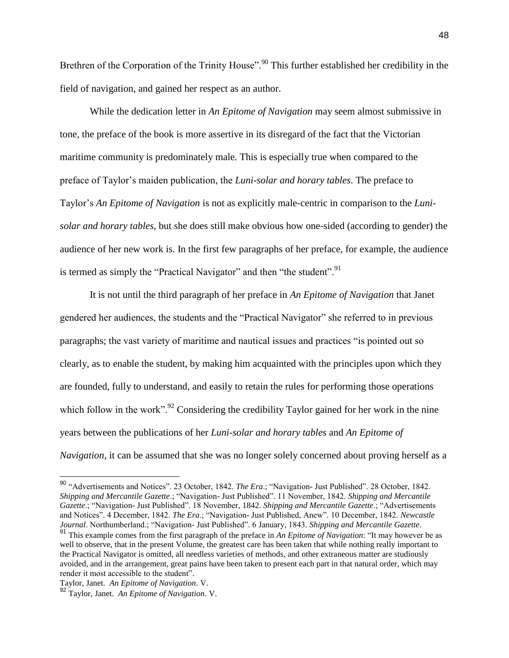Brethren of the Corporation of the Trinity House".<sup>90</sup> This further established her credibility in the field of navigation, and gained her respect as an author.

While the dedication letter in *An Epitome of Navigation* may seem almost submissive in tone, the preface of the book is more assertive in its disregard of the fact that the Victorian maritime community is predominately male. This is especially true when compared to the preface of Taylor's maiden publication, the *Luni-solar and horary tables*. The preface to Taylor's *An Epitome of Navigation* is not as explicitly male-centric in comparison to the *Lunisolar and horary tables*, but she does still make obvious how one-sided (according to gender) the audience of her new work is. In the first few paragraphs of her preface, for example, the audience is termed as simply the "Practical Navigator" and then "the student".<sup>91</sup>

It is not until the third paragraph of her preface in *An Epitome of Navigation* that Janet gendered her audiences, the students and the "Practical Navigator" she referred to in previous paragraphs; the vast variety of maritime and nautical issues and practices "is pointed out so clearly, as to enable the student, by making him acquainted with the principles upon which they are founded, fully to understand, and easily to retain the rules for performing those operations which follow in the work".<sup>92</sup> Considering the credibility Taylor gained for her work in the nine years between the publications of her *Luni-solar and horary tables* and *An Epitome of Navigation*, it can be assumed that she was no longer solely concerned about proving herself as a

<sup>90</sup> "Advertisements and Notices". 23 October, 1842. *The Era*.; "Navigation- Just Published". 28 October, 1842. *Shipping and Mercantile Gazette*.; "Navigation- Just Published". 11 November, 1842. *Shipping and Mercantile Gazette*.; "Navigation- Just Published". 18 November, 1842. *Shipping and Mercantile Gazette*.; "Advertisements and Notices". 4 December, 1842. *The Era*.; "Navigation- Just Published, Anew". 10 December, 1842. *Newcastle Journal*. Northumberland.; "Navigation- Just Published". 6 January, 1843. *Shipping and Mercantile Gazette*.

<sup>91</sup> This example comes from the first paragraph of the preface in *An Epitome of Navigation*: "It may however be as well to observe, that in the present Volume, the greatest care has been taken that while nothing really important to the Practical Navigator is omitted, all needless varieties of methods, and other extraneous matter are studiously avoided, and in the arrangement, great pains have been taken to present each part in that natural order, which may render it most accessible to the student".

Taylor, Janet. *An Epitome of Navigation*. V.

<sup>92</sup> Taylor, Janet. *An Epitome of Navigation*. V.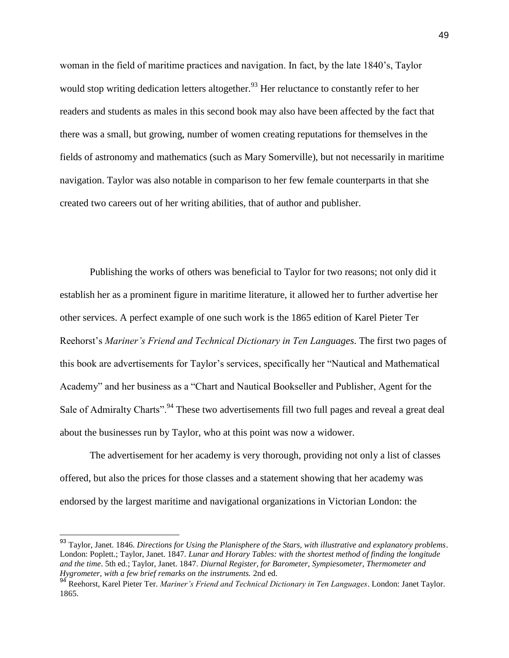woman in the field of maritime practices and navigation. In fact, by the late 1840's, Taylor would stop writing dedication letters altogether.<sup>93</sup> Her reluctance to constantly refer to her readers and students as males in this second book may also have been affected by the fact that there was a small, but growing, number of women creating reputations for themselves in the fields of astronomy and mathematics (such as Mary Somerville), but not necessarily in maritime navigation. Taylor was also notable in comparison to her few female counterparts in that she created two careers out of her writing abilities, that of author and publisher.

Publishing the works of others was beneficial to Taylor for two reasons; not only did it establish her as a prominent figure in maritime literature, it allowed her to further advertise her other services. A perfect example of one such work is the 1865 edition of Karel Pieter Ter Reehorst's *Mariner's Friend and Technical Dictionary in Ten Languages*. The first two pages of this book are advertisements for Taylor's services, specifically her "Nautical and Mathematical Academy" and her business as a "Chart and Nautical Bookseller and Publisher, Agent for the Sale of Admiralty Charts".<sup>94</sup> These two advertisements fill two full pages and reveal a great deal about the businesses run by Taylor, who at this point was now a widower.

The advertisement for her academy is very thorough, providing not only a list of classes offered, but also the prices for those classes and a statement showing that her academy was endorsed by the largest maritime and navigational organizations in Victorian London: the

<sup>93</sup> Taylor, Janet. 1846. *Directions for Using the Planisphere of the Stars, with illustrative and explanatory problems*. London: Poplett.; Taylor, Janet. 1847. *Lunar and Horary Tables: with the shortest method of finding the longitude and the time*. 5th ed.; Taylor, Janet. 1847. *Diurnal Register, for Barometer, Sympiesometer, Thermometer and Hygrometer, with a few brief remarks on the instruments.* 2nd ed.

<sup>94</sup> Reehorst, Karel Pieter Ter. *Mariner's Friend and Technical Dictionary in Ten Languages*. London: Janet Taylor. 1865.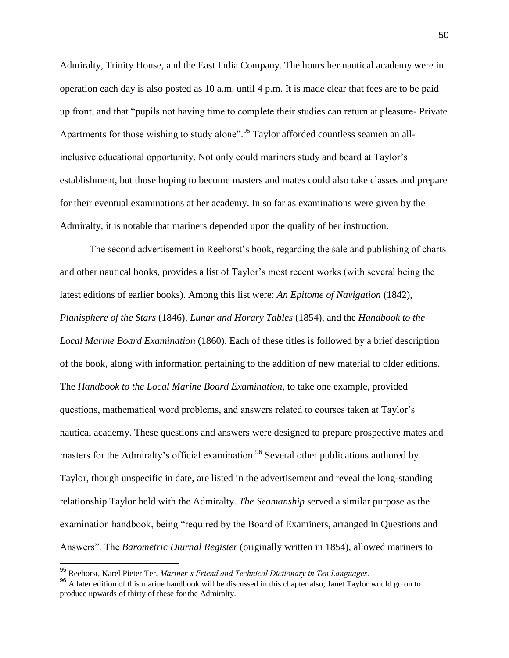Admiralty, Trinity House, and the East India Company. The hours her nautical academy were in operation each day is also posted as 10 a.m. until 4 p.m. It is made clear that fees are to be paid up front, and that "pupils not having time to complete their studies can return at pleasure- Private Apartments for those wishing to study alone".<sup>95</sup> Taylor afforded countless seamen an allinclusive educational opportunity. Not only could mariners study and board at Taylor's establishment, but those hoping to become masters and mates could also take classes and prepare for their eventual examinations at her academy. In so far as examinations were given by the Admiralty, it is notable that mariners depended upon the quality of her instruction.

The second advertisement in Reehorst's book, regarding the sale and publishing of charts and other nautical books, provides a list of Taylor's most recent works (with several being the latest editions of earlier books). Among this list were: *An Epitome of Navigation* (1842), *Planisphere of the Stars* (1846), *Lunar and Horary Tables* (1854), and the *Handbook to the Local Marine Board Examination* (1860). Each of these titles is followed by a brief description of the book, along with information pertaining to the addition of new material to older editions. The *Handbook to the Local Marine Board Examination*, to take one example, provided questions, mathematical word problems, and answers related to courses taken at Taylor's nautical academy. These questions and answers were designed to prepare prospective mates and masters for the Admiralty's official examination.<sup>96</sup> Several other publications authored by Taylor, though unspecific in date, are listed in the advertisement and reveal the long-standing relationship Taylor held with the Admiralty. *The Seamanship* served a similar purpose as the examination handbook, being "required by the Board of Examiners, arranged in Questions and Answers". The *Barometric Diurnal Register* (originally written in 1854), allowed mariners to

<sup>95</sup> Reehorst, Karel Pieter Ter. *Mariner's Friend and Technical Dictionary in Ten Languages*.

<sup>&</sup>lt;sup>96</sup> A later edition of this marine handbook will be discussed in this chapter also; Janet Taylor would go on to produce upwards of thirty of these for the Admiralty.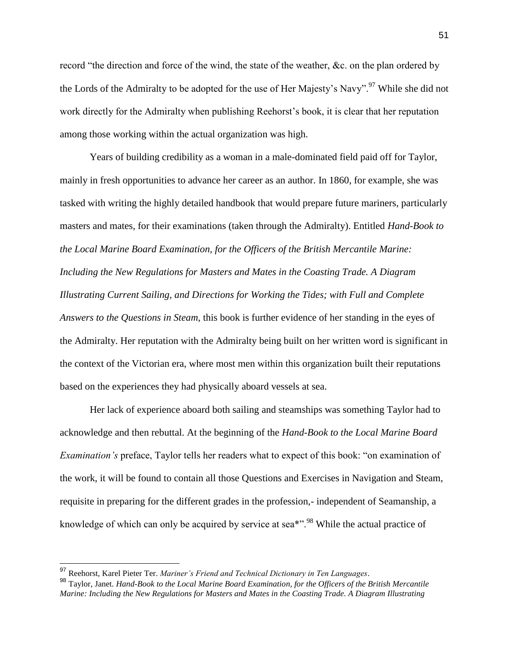record "the direction and force of the wind, the state of the weather, &c. on the plan ordered by the Lords of the Admiralty to be adopted for the use of Her Majesty's Navy".<sup>97</sup> While she did not work directly for the Admiralty when publishing Reehorst's book, it is clear that her reputation among those working within the actual organization was high.

Years of building credibility as a woman in a male-dominated field paid off for Taylor, mainly in fresh opportunities to advance her career as an author. In 1860, for example, she was tasked with writing the highly detailed handbook that would prepare future mariners, particularly masters and mates, for their examinations (taken through the Admiralty). Entitled *Hand-Book to the Local Marine Board Examination, for the Officers of the British Mercantile Marine: Including the New Regulations for Masters and Mates in the Coasting Trade. A Diagram Illustrating Current Sailing, and Directions for Working the Tides; with Full and Complete Answers to the Questions in Steam*, this book is further evidence of her standing in the eyes of the Admiralty. Her reputation with the Admiralty being built on her written word is significant in the context of the Victorian era, where most men within this organization built their reputations based on the experiences they had physically aboard vessels at sea.

Her lack of experience aboard both sailing and steamships was something Taylor had to acknowledge and then rebuttal. At the beginning of the *Hand-Book to the Local Marine Board Examination's* preface, Taylor tells her readers what to expect of this book: "on examination of the work, it will be found to contain all those Questions and Exercises in Navigation and Steam, requisite in preparing for the different grades in the profession,- independent of Seamanship, a knowledge of which can only be acquired by service at sea<sup>\*".98</sup> While the actual practice of

<sup>97</sup> Reehorst, Karel Pieter Ter. *Mariner's Friend and Technical Dictionary in Ten Languages*.

<sup>98</sup> Taylor, Janet. *Hand-Book to the Local Marine Board Examination, for the Officers of the British Mercantile Marine: Including the New Regulations for Masters and Mates in the Coasting Trade. A Diagram Illustrating*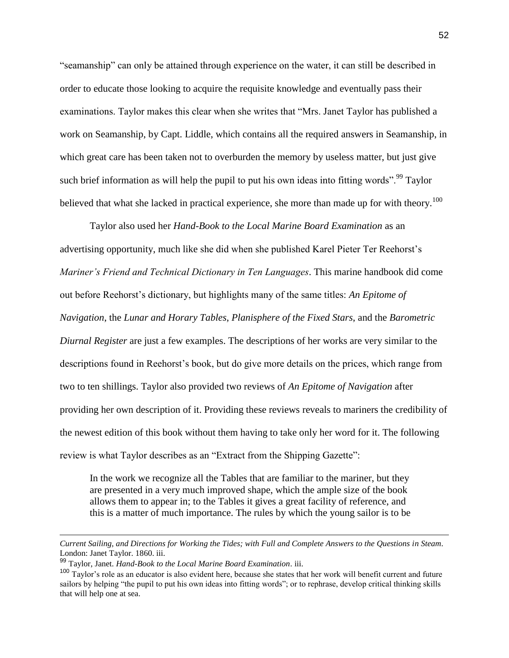"seamanship" can only be attained through experience on the water, it can still be described in order to educate those looking to acquire the requisite knowledge and eventually pass their examinations. Taylor makes this clear when she writes that "Mrs. Janet Taylor has published a work on Seamanship, by Capt. Liddle, which contains all the required answers in Seamanship, in which great care has been taken not to overburden the memory by useless matter, but just give such brief information as will help the pupil to put his own ideas into fitting words".<sup>99</sup> Taylor believed that what she lacked in practical experience, she more than made up for with theory.<sup>100</sup>

Taylor also used her *Hand-Book to the Local Marine Board Examination* as an advertising opportunity, much like she did when she published Karel Pieter Ter Reehorst's *Mariner's Friend and Technical Dictionary in Ten Languages*. This marine handbook did come out before Reehorst's dictionary, but highlights many of the same titles: *An Epitome of Navigation*, the *Lunar and Horary Tables*, *Planisphere of the Fixed Stars*, and the *Barometric Diurnal Register* are just a few examples. The descriptions of her works are very similar to the descriptions found in Reehorst's book, but do give more details on the prices, which range from two to ten shillings. Taylor also provided two reviews of *An Epitome of Navigation* after providing her own description of it. Providing these reviews reveals to mariners the credibility of the newest edition of this book without them having to take only her word for it. The following review is what Taylor describes as an "Extract from the Shipping Gazette":

In the work we recognize all the Tables that are familiar to the mariner, but they are presented in a very much improved shape, which the ample size of the book allows them to appear in; to the Tables it gives a great facility of reference, and this is a matter of much importance. The rules by which the young sailor is to be

*Current Sailing, and Directions for Working the Tides; with Full and Complete Answers to the Questions in Steam*. London: Janet Taylor. 1860. iii.

<sup>99</sup> Taylor, Janet. *Hand-Book to the Local Marine Board Examination*. iii.

 $100$  Taylor's role as an educator is also evident here, because she states that her work will benefit current and future sailors by helping "the pupil to put his own ideas into fitting words"; or to rephrase, develop critical thinking skills that will help one at sea.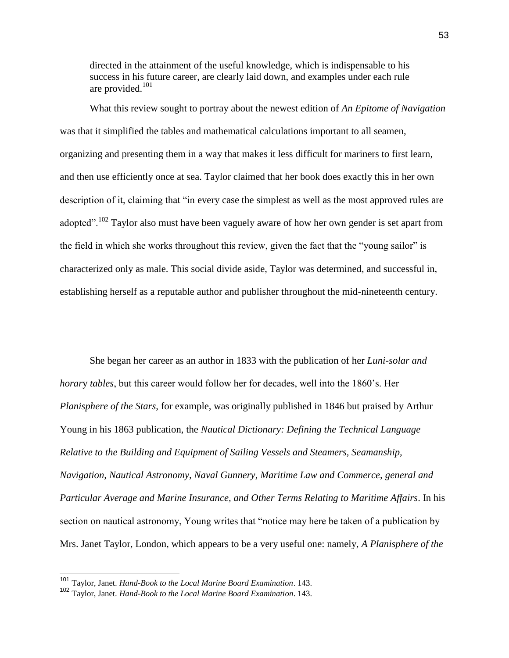directed in the attainment of the useful knowledge, which is indispensable to his success in his future career, are clearly laid down, and examples under each rule are provided. $101$ 

What this review sought to portray about the newest edition of *An Epitome of Navigation* was that it simplified the tables and mathematical calculations important to all seamen, organizing and presenting them in a way that makes it less difficult for mariners to first learn, and then use efficiently once at sea. Taylor claimed that her book does exactly this in her own description of it, claiming that "in every case the simplest as well as the most approved rules are adopted".<sup>102</sup> Taylor also must have been vaguely aware of how her own gender is set apart from the field in which she works throughout this review, given the fact that the "young sailor" is characterized only as male. This social divide aside, Taylor was determined, and successful in, establishing herself as a reputable author and publisher throughout the mid-nineteenth century.

She began her career as an author in 1833 with the publication of her *Luni-solar and horar*y *tables*, but this career would follow her for decades, well into the 1860's. Her *Planisphere of the Stars*, for example, was originally published in 1846 but praised by Arthur Young in his 1863 publication, the *Nautical Dictionary: Defining the Technical Language Relative to the Building and Equipment of Sailing Vessels and Steamers, Seamanship, Navigation, Nautical Astronomy, Naval Gunnery, Maritime Law and Commerce, general and Particular Average and Marine Insurance, and Other Terms Relating to Maritime Affairs*. In his section on nautical astronomy, Young writes that "notice may here be taken of a publication by Mrs. Janet Taylor, London, which appears to be a very useful one: namely, *A Planisphere of the* 

<sup>101</sup> Taylor, Janet. *Hand-Book to the Local Marine Board Examination*. 143.

<sup>102</sup> Taylor, Janet. *Hand-Book to the Local Marine Board Examination*. 143.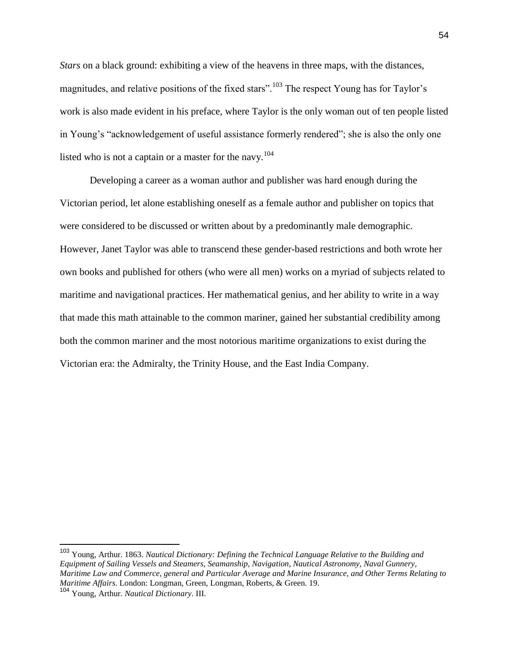*Stars* on a black ground: exhibiting a view of the heavens in three maps, with the distances, magnitudes, and relative positions of the fixed stars".<sup>103</sup> The respect Young has for Taylor's work is also made evident in his preface, where Taylor is the only woman out of ten people listed in Young's "acknowledgement of useful assistance formerly rendered"; she is also the only one listed who is not a captain or a master for the navy. $104$ 

Developing a career as a woman author and publisher was hard enough during the Victorian period, let alone establishing oneself as a female author and publisher on topics that were considered to be discussed or written about by a predominantly male demographic. However, Janet Taylor was able to transcend these gender-based restrictions and both wrote her own books and published for others (who were all men) works on a myriad of subjects related to maritime and navigational practices. Her mathematical genius, and her ability to write in a way that made this math attainable to the common mariner, gained her substantial credibility among both the common mariner and the most notorious maritime organizations to exist during the Victorian era: the Admiralty, the Trinity House, and the East India Company.

<sup>103</sup> Young, Arthur. 1863. *Nautical Dictionary: Defining the Technical Language Relative to the Building and Equipment of Sailing Vessels and Steamers, Seamanship, Navigation, Nautical Astronomy, Naval Gunnery, Maritime Law and Commerce, general and Particular Average and Marine Insurance, and Other Terms Relating to Maritime Affairs*. London: Longman, Green, Longman, Roberts, & Green. 19.

<sup>104</sup> Young, Arthur. *Nautical Dictionary*. III.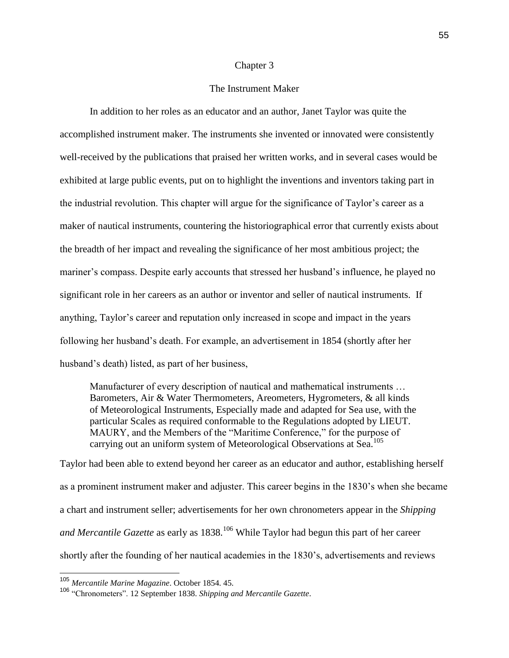## Chapter 3

## The Instrument Maker

In addition to her roles as an educator and an author, Janet Taylor was quite the accomplished instrument maker. The instruments she invented or innovated were consistently well-received by the publications that praised her written works, and in several cases would be exhibited at large public events, put on to highlight the inventions and inventors taking part in the industrial revolution. This chapter will argue for the significance of Taylor's career as a maker of nautical instruments, countering the historiographical error that currently exists about the breadth of her impact and revealing the significance of her most ambitious project; the mariner's compass. Despite early accounts that stressed her husband's influence, he played no significant role in her careers as an author or inventor and seller of nautical instruments. If anything, Taylor's career and reputation only increased in scope and impact in the years following her husband's death. For example, an advertisement in 1854 (shortly after her husband's death) listed, as part of her business,

Manufacturer of every description of nautical and mathematical instruments … Barometers, Air & Water Thermometers, Areometers, Hygrometers, & all kinds of Meteorological Instruments, Especially made and adapted for Sea use, with the particular Scales as required conformable to the Regulations adopted by LIEUT. MAURY, and the Members of the "Maritime Conference," for the purpose of carrying out an uniform system of Meteorological Observations at Sea.<sup>105</sup>

Taylor had been able to extend beyond her career as an educator and author, establishing herself as a prominent instrument maker and adjuster. This career begins in the 1830's when she became a chart and instrument seller; advertisements for her own chronometers appear in the *Shipping and Mercantile Gazette* as early as 1838.<sup>106</sup> While Taylor had begun this part of her career shortly after the founding of her nautical academies in the 1830's, advertisements and reviews

<sup>105</sup> *Mercantile Marine Magazine*. October 1854. 45.

<sup>106</sup> "Chronometers". 12 September 1838. *Shipping and Mercantile Gazette*.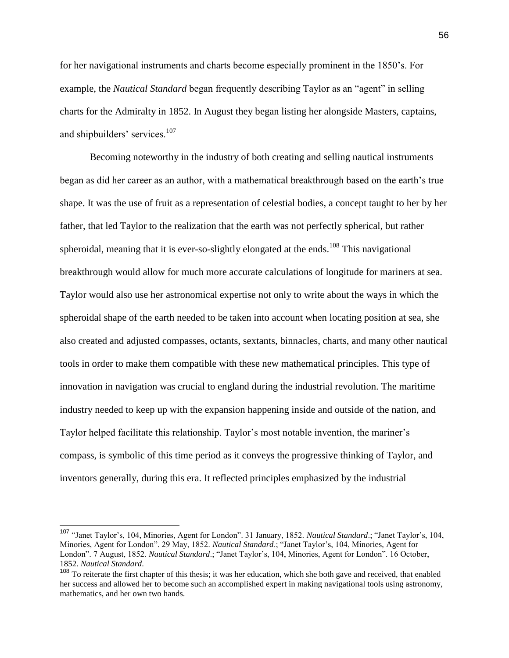for her navigational instruments and charts become especially prominent in the 1850's. For example, the *Nautical Standard* began frequently describing Taylor as an "agent" in selling charts for the Admiralty in 1852. In August they began listing her alongside Masters, captains, and shipbuilders' services.<sup>107</sup>

Becoming noteworthy in the industry of both creating and selling nautical instruments began as did her career as an author, with a mathematical breakthrough based on the earth's true shape. It was the use of fruit as a representation of celestial bodies, a concept taught to her by her father, that led Taylor to the realization that the earth was not perfectly spherical, but rather spheroidal, meaning that it is ever-so-slightly elongated at the ends.<sup>108</sup> This navigational breakthrough would allow for much more accurate calculations of longitude for mariners at sea. Taylor would also use her astronomical expertise not only to write about the ways in which the spheroidal shape of the earth needed to be taken into account when locating position at sea, she also created and adjusted compasses, octants, sextants, binnacles, charts, and many other nautical tools in order to make them compatible with these new mathematical principles. This type of innovation in navigation was crucial to england during the industrial revolution. The maritime industry needed to keep up with the expansion happening inside and outside of the nation, and Taylor helped facilitate this relationship. Taylor's most notable invention, the mariner's compass, is symbolic of this time period as it conveys the progressive thinking of Taylor, and inventors generally, during this era. It reflected principles emphasized by the industrial

<sup>107</sup> "Janet Taylor's, 104, Minories, Agent for London". 31 January, 1852. *Nautical Standard*.; "Janet Taylor's, 104, Minories, Agent for London". 29 May, 1852. *Nautical Standard*.; "Janet Taylor's, 104, Minories, Agent for London". 7 August, 1852. *Nautical Standard*.; "Janet Taylor's, 104, Minories, Agent for London". 16 October, 1852. *Nautical Standard*.

<sup>&</sup>lt;sup>108</sup> To reiterate the first chapter of this thesis; it was her education, which she both gave and received, that enabled her success and allowed her to become such an accomplished expert in making navigational tools using astronomy, mathematics, and her own two hands.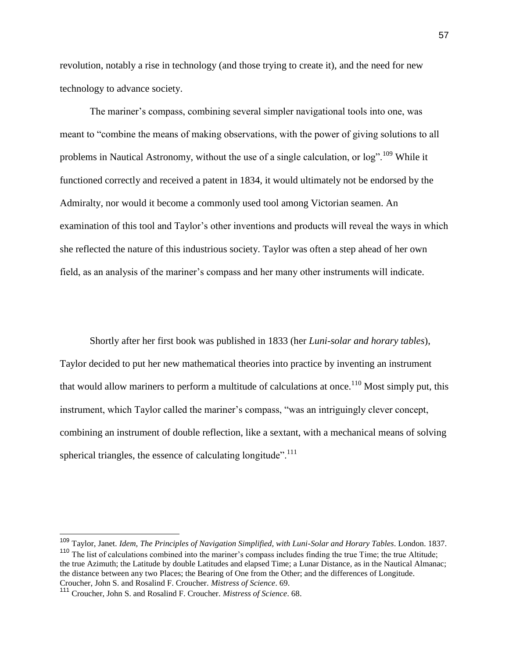revolution, notably a rise in technology (and those trying to create it), and the need for new technology to advance society.

The mariner's compass, combining several simpler navigational tools into one, was meant to "combine the means of making observations, with the power of giving solutions to all problems in Nautical Astronomy, without the use of a single calculation, or log".<sup>109</sup> While it functioned correctly and received a patent in 1834, it would ultimately not be endorsed by the Admiralty, nor would it become a commonly used tool among Victorian seamen. An examination of this tool and Taylor's other inventions and products will reveal the ways in which she reflected the nature of this industrious society. Taylor was often a step ahead of her own field, as an analysis of the mariner's compass and her many other instruments will indicate.

Shortly after her first book was published in 1833 (her *Luni-solar and horary tables*), Taylor decided to put her new mathematical theories into practice by inventing an instrument that would allow mariners to perform a multitude of calculations at once.<sup>110</sup> Most simply put, this instrument, which Taylor called the mariner's compass, "was an intriguingly clever concept, combining an instrument of double reflection, like a sextant, with a mechanical means of solving spherical triangles, the essence of calculating longitude". $111$ 

<sup>109</sup> Taylor, Janet. *Idem, The Principles of Navigation Simplified, with Luni-Solar and Horary Tables*. London. 1837. <sup>110</sup> The list of calculations combined into the mariner's compass includes finding the true Time; the true Altitude; the true Azimuth; the Latitude by double Latitudes and elapsed Time; a Lunar Distance, as in the Nautical Almanac; the distance between any two Places; the Bearing of One from the Other; and the differences of Longitude. Croucher, John S. and Rosalind F. Croucher. *Mistress of Science*. 69.

<sup>111</sup> Croucher, John S. and Rosalind F. Croucher. *Mistress of Science*. 68.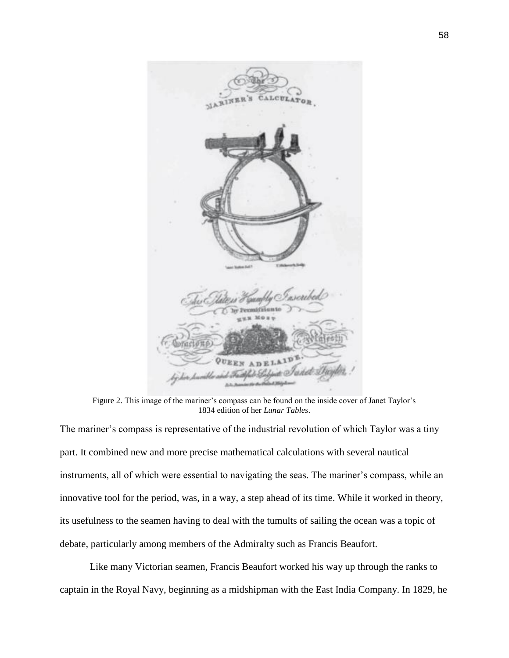

Figure 2. This image of the mariner's compass can be found on the inside cover of Janet Taylor's 1834 edition of her *Lunar Tables*.

The mariner's compass is representative of the industrial revolution of which Taylor was a tiny part. It combined new and more precise mathematical calculations with several nautical instruments, all of which were essential to navigating the seas. The mariner's compass, while an innovative tool for the period, was, in a way, a step ahead of its time. While it worked in theory, its usefulness to the seamen having to deal with the tumults of sailing the ocean was a topic of debate, particularly among members of the Admiralty such as Francis Beaufort.

Like many Victorian seamen, Francis Beaufort worked his way up through the ranks to captain in the Royal Navy, beginning as a midshipman with the East India Company. In 1829, he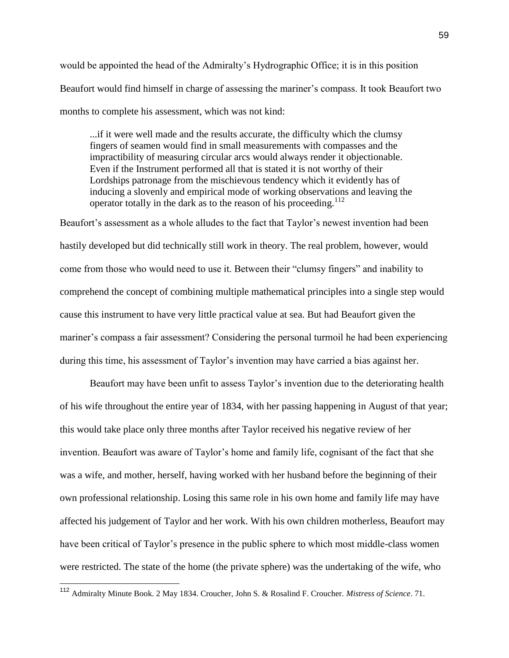would be appointed the head of the Admiralty's Hydrographic Office; it is in this position Beaufort would find himself in charge of assessing the mariner's compass. It took Beaufort two months to complete his assessment, which was not kind:

...if it were well made and the results accurate, the difficulty which the clumsy fingers of seamen would find in small measurements with compasses and the impractibility of measuring circular arcs would always render it objectionable. Even if the Instrument performed all that is stated it is not worthy of their Lordships patronage from the mischievous tendency which it evidently has of inducing a slovenly and empirical mode of working observations and leaving the operator totally in the dark as to the reason of his proceeding.<sup>112</sup>

Beaufort's assessment as a whole alludes to the fact that Taylor's newest invention had been hastily developed but did technically still work in theory. The real problem, however, would come from those who would need to use it. Between their "clumsy fingers" and inability to comprehend the concept of combining multiple mathematical principles into a single step would cause this instrument to have very little practical value at sea. But had Beaufort given the mariner's compass a fair assessment? Considering the personal turmoil he had been experiencing during this time, his assessment of Taylor's invention may have carried a bias against her.

Beaufort may have been unfit to assess Taylor's invention due to the deteriorating health of his wife throughout the entire year of 1834, with her passing happening in August of that year; this would take place only three months after Taylor received his negative review of her invention. Beaufort was aware of Taylor's home and family life, cognisant of the fact that she was a wife, and mother, herself, having worked with her husband before the beginning of their own professional relationship. Losing this same role in his own home and family life may have affected his judgement of Taylor and her work. With his own children motherless, Beaufort may have been critical of Taylor's presence in the public sphere to which most middle-class women were restricted. The state of the home (the private sphere) was the undertaking of the wife, who

<sup>112</sup> Admiralty Minute Book. 2 May 1834. Croucher, John S. & Rosalind F. Croucher. *Mistress of Science*. 71.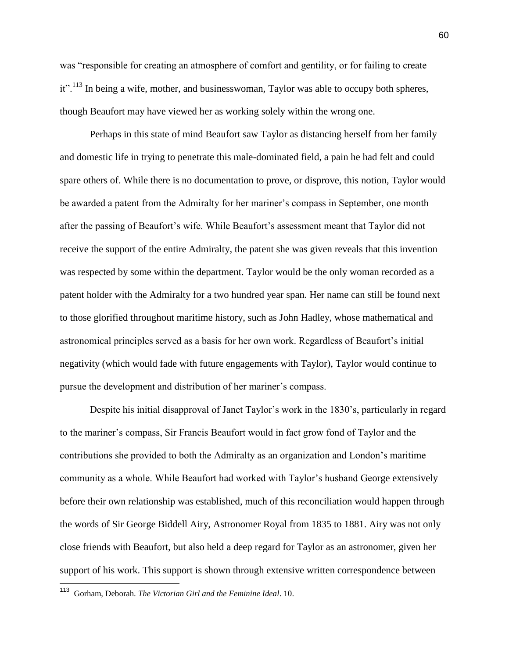was "responsible for creating an atmosphere of comfort and gentility, or for failing to create it".<sup>113</sup> In being a wife, mother, and businesswoman, Taylor was able to occupy both spheres, though Beaufort may have viewed her as working solely within the wrong one.

Perhaps in this state of mind Beaufort saw Taylor as distancing herself from her family and domestic life in trying to penetrate this male-dominated field, a pain he had felt and could spare others of. While there is no documentation to prove, or disprove, this notion, Taylor would be awarded a patent from the Admiralty for her mariner's compass in September, one month after the passing of Beaufort's wife. While Beaufort's assessment meant that Taylor did not receive the support of the entire Admiralty, the patent she was given reveals that this invention was respected by some within the department. Taylor would be the only woman recorded as a patent holder with the Admiralty for a two hundred year span. Her name can still be found next to those glorified throughout maritime history, such as John Hadley, whose mathematical and astronomical principles served as a basis for her own work. Regardless of Beaufort's initial negativity (which would fade with future engagements with Taylor), Taylor would continue to pursue the development and distribution of her mariner's compass.

Despite his initial disapproval of Janet Taylor's work in the 1830's, particularly in regard to the mariner's compass, Sir Francis Beaufort would in fact grow fond of Taylor and the contributions she provided to both the Admiralty as an organization and London's maritime community as a whole. While Beaufort had worked with Taylor's husband George extensively before their own relationship was established, much of this reconciliation would happen through the words of Sir George Biddell Airy, Astronomer Royal from 1835 to 1881. Airy was not only close friends with Beaufort, but also held a deep regard for Taylor as an astronomer, given her support of his work. This support is shown through extensive written correspondence between

 113 Gorham, Deborah. *The Victorian Girl and the Feminine Ideal*. 10.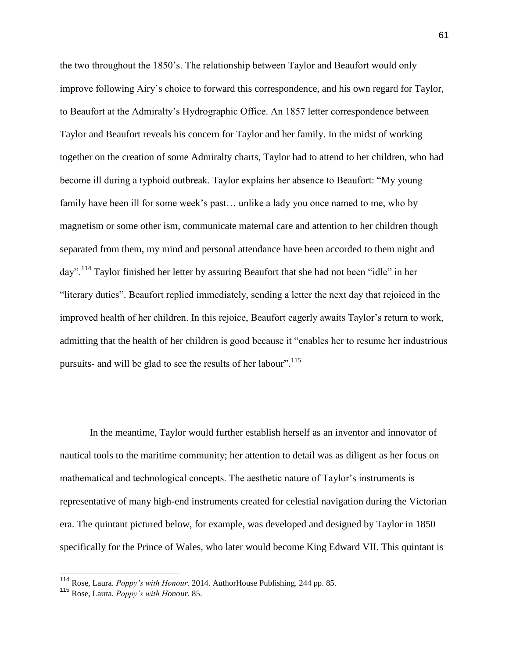the two throughout the 1850's. The relationship between Taylor and Beaufort would only improve following Airy's choice to forward this correspondence, and his own regard for Taylor, to Beaufort at the Admiralty's Hydrographic Office. An 1857 letter correspondence between Taylor and Beaufort reveals his concern for Taylor and her family. In the midst of working together on the creation of some Admiralty charts, Taylor had to attend to her children, who had become ill during a typhoid outbreak. Taylor explains her absence to Beaufort: "My young family have been ill for some week's past… unlike a lady you once named to me, who by magnetism or some other ism, communicate maternal care and attention to her children though separated from them, my mind and personal attendance have been accorded to them night and day".<sup>114</sup> Taylor finished her letter by assuring Beaufort that she had not been "idle" in her "literary duties". Beaufort replied immediately, sending a letter the next day that rejoiced in the improved health of her children. In this rejoice, Beaufort eagerly awaits Taylor's return to work, admitting that the health of her children is good because it "enables her to resume her industrious pursuits- and will be glad to see the results of her labour".<sup>115</sup>

In the meantime, Taylor would further establish herself as an inventor and innovator of nautical tools to the maritime community; her attention to detail was as diligent as her focus on mathematical and technological concepts. The aesthetic nature of Taylor's instruments is representative of many high-end instruments created for celestial navigation during the Victorian era. The quintant pictured below, for example, was developed and designed by Taylor in 1850 specifically for the Prince of Wales, who later would become King Edward VII. This quintant is

<sup>114</sup> Rose, Laura. *Poppy's with Honour*. 2014. AuthorHouse Publishing. 244 pp. 85.

<sup>115</sup> Rose, Laura. *Poppy's with Honour*. 85.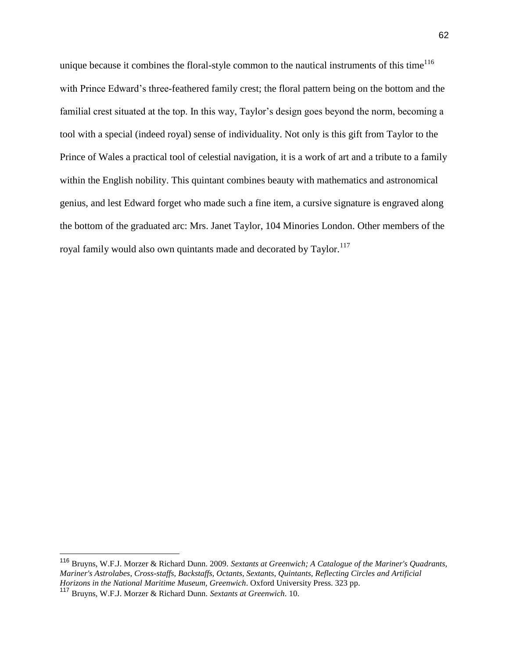unique because it combines the floral-style common to the nautical instruments of this time<sup>116</sup> with Prince Edward's three-feathered family crest; the floral pattern being on the bottom and the familial crest situated at the top. In this way, Taylor's design goes beyond the norm, becoming a tool with a special (indeed royal) sense of individuality. Not only is this gift from Taylor to the Prince of Wales a practical tool of celestial navigation, it is a work of art and a tribute to a family within the English nobility. This quintant combines beauty with mathematics and astronomical genius, and lest Edward forget who made such a fine item, a cursive signature is engraved along the bottom of the graduated arc: Mrs. Janet Taylor, 104 Minories London. Other members of the royal family would also own quintants made and decorated by Taylor.<sup>117</sup>

<sup>116</sup> Bruyns, W.F.J. Morzer & Richard Dunn. 2009. *Sextants at Greenwich; A Catalogue of the Mariner's Quadrants, Mariner's Astrolabes, Cross-staffs, Backstaffs, Octants, Sextants, Quintants, Reflecting Circles and Artificial Horizons in the National Maritime Museum, Greenwich*. Oxford University Press. 323 pp.

<sup>117</sup> Bruyns, W.F.J. Morzer & Richard Dunn. *Sextants at Greenwich*. 10.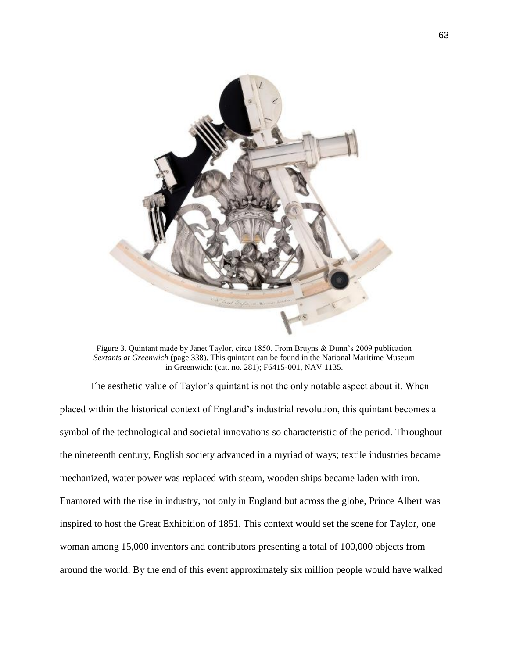

Figure 3. Quintant made by Janet Taylor, circa 1850. From Bruyns & Dunn's 2009 publication *Sextants at Greenwich* (page 338). This quintant can be found in the National Maritime Museum in Greenwich: (cat. no. 281); F6415-001, NAV 1135.

The aesthetic value of Taylor's quintant is not the only notable aspect about it. When placed within the historical context of England's industrial revolution, this quintant becomes a symbol of the technological and societal innovations so characteristic of the period. Throughout the nineteenth century, English society advanced in a myriad of ways; textile industries became mechanized, water power was replaced with steam, wooden ships became laden with iron. Enamored with the rise in industry, not only in England but across the globe, Prince Albert was inspired to host the Great Exhibition of 1851. This context would set the scene for Taylor, one woman among 15,000 inventors and contributors presenting a total of 100,000 objects from around the world. By the end of this event approximately six million people would have walked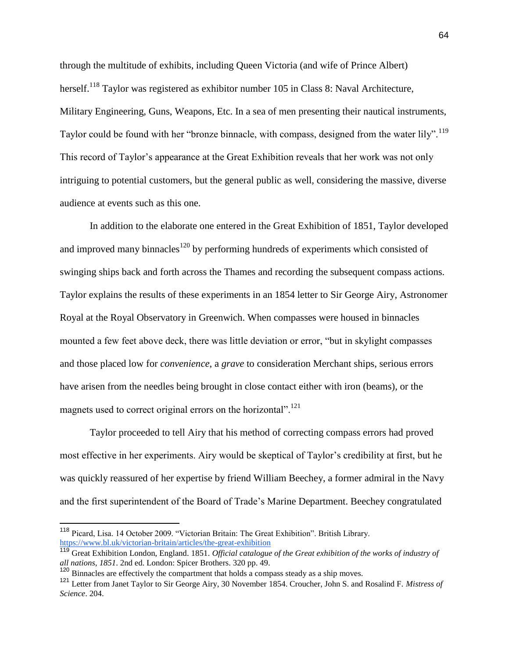through the multitude of exhibits, including Queen Victoria (and wife of Prince Albert) herself.<sup>118</sup> Taylor was registered as exhibitor number 105 in Class 8: Naval Architecture, Military Engineering, Guns, Weapons, Etc. In a sea of men presenting their nautical instruments, Taylor could be found with her "bronze binnacle, with compass, designed from the water lily".<sup>119</sup> This record of Taylor's appearance at the Great Exhibition reveals that her work was not only intriguing to potential customers, but the general public as well, considering the massive, diverse audience at events such as this one.

In addition to the elaborate one entered in the Great Exhibition of 1851, Taylor developed and improved many binnacles<sup>120</sup> by performing hundreds of experiments which consisted of swinging ships back and forth across the Thames and recording the subsequent compass actions. Taylor explains the results of these experiments in an 1854 letter to Sir George Airy, Astronomer Royal at the Royal Observatory in Greenwich. When compasses were housed in binnacles mounted a few feet above deck, there was little deviation or error, "but in skylight compasses and those placed low for *convenience*, a *grave* to consideration Merchant ships, serious errors have arisen from the needles being brought in close contact either with iron (beams), or the magnets used to correct original errors on the horizontal".<sup>121</sup>

Taylor proceeded to tell Airy that his method of correcting compass errors had proved most effective in her experiments. Airy would be skeptical of Taylor's credibility at first, but he was quickly reassured of her expertise by friend William Beechey, a former admiral in the Navy and the first superintendent of the Board of Trade's Marine Department. Beechey congratulated

<sup>&</sup>lt;sup>118</sup> Picard, Lisa[.](https://www.bl.uk/victorian-britain/articles/the-great-exhibition) 14 October 2009. "Victorian Britain: The Great Exhibition". British Library. <https://www.bl.uk/victorian-britain/articles/the-great-exhibition>

<sup>119</sup> Great Exhibition London, England. 1851. *Official catalogue of the Great exhibition of the works of industry of all nations, 1851*. 2nd ed. London: Spicer Brothers. 320 pp. 49.

 $120$  Binnacles are effectively the compartment that holds a compass steady as a ship moves.

<sup>121</sup> Letter from Janet Taylor to Sir George Airy, 30 November 1854. Croucher, John S. and Rosalind F. *Mistress of Science*. 204.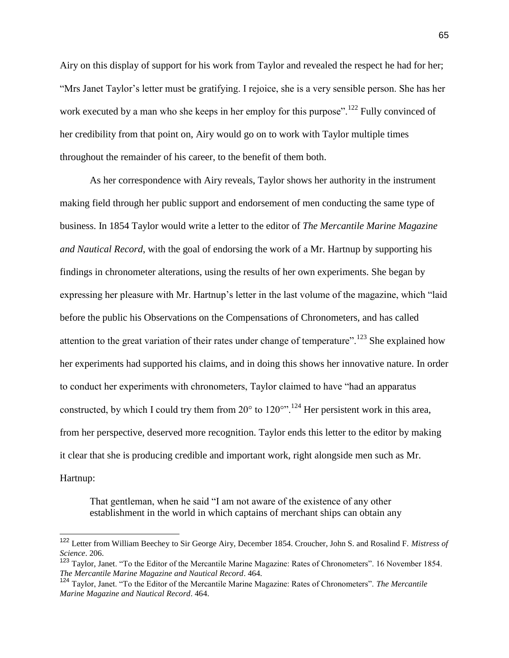Airy on this display of support for his work from Taylor and revealed the respect he had for her; "Mrs Janet Taylor's letter must be gratifying. I rejoice, she is a very sensible person. She has her work executed by a man who she keeps in her employ for this purpose".<sup>122</sup> Fully convinced of her credibility from that point on, Airy would go on to work with Taylor multiple times throughout the remainder of his career, to the benefit of them both.

As her correspondence with Airy reveals, Taylor shows her authority in the instrument making field through her public support and endorsement of men conducting the same type of business. In 1854 Taylor would write a letter to the editor of *The Mercantile Marine Magazine and Nautical Record*, with the goal of endorsing the work of a Mr. Hartnup by supporting his findings in chronometer alterations, using the results of her own experiments. She began by expressing her pleasure with Mr. Hartnup's letter in the last volume of the magazine, which "laid before the public his Observations on the Compensations of Chronometers, and has called attention to the great variation of their rates under change of temperature".<sup>123</sup> She explained how her experiments had supported his claims, and in doing this shows her innovative nature. In order to conduct her experiments with chronometers, Taylor claimed to have "had an apparatus constructed, by which I could try them from  $20^{\circ}$  to  $120^{\circ}$ ".<sup>124</sup> Her persistent work in this area, from her perspective, deserved more recognition. Taylor ends this letter to the editor by making it clear that she is producing credible and important work, right alongside men such as Mr. Hartnup:

That gentleman, when he said "I am not aware of the existence of any other establishment in the world in which captains of merchant ships can obtain any

<sup>122</sup> Letter from William Beechey to Sir George Airy, December 1854. Croucher, John S. and Rosalind F. *Mistress of Science*. 206.

<sup>123</sup> Taylor, Janet. "To the Editor of the Mercantile Marine Magazine: Rates of Chronometers". 16 November 1854. *The Mercantile Marine Magazine and Nautical Record*. 464.

<sup>124</sup> Taylor, Janet. "To the Editor of the Mercantile Marine Magazine: Rates of Chronometers". *The Mercantile Marine Magazine and Nautical Record*. 464.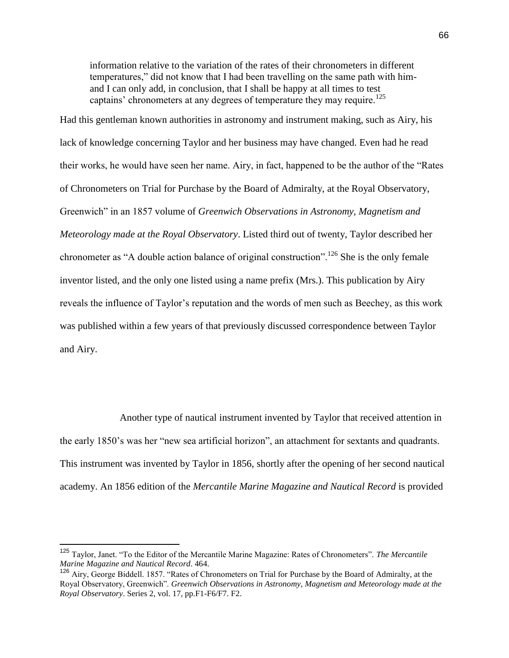information relative to the variation of the rates of their chronometers in different temperatures," did not know that I had been travelling on the same path with himand I can only add, in conclusion, that I shall be happy at all times to test captains' chronometers at any degrees of temperature they may require.<sup>125</sup>

Had this gentleman known authorities in astronomy and instrument making, such as Airy, his lack of knowledge concerning Taylor and her business may have changed. Even had he read their works, he would have seen her name. Airy, in fact, happened to be the author of the "Rates of Chronometers on Trial for Purchase by the Board of Admiralty, at the Royal Observatory, Greenwich" in an 1857 volume of *Greenwich Observations in Astronomy, Magnetism and Meteorology made at the Royal Observatory*. Listed third out of twenty, Taylor described her chronometer as "A double action balance of original construction".<sup>126</sup> She is the only female inventor listed, and the only one listed using a name prefix (Mrs.). This publication by Airy reveals the influence of Taylor's reputation and the words of men such as Beechey, as this work was published within a few years of that previously discussed correspondence between Taylor and Airy.

Another type of nautical instrument invented by Taylor that received attention in the early 1850's was her "new sea artificial horizon", an attachment for sextants and quadrants. This instrument was invented by Taylor in 1856, shortly after the opening of her second nautical academy. An 1856 edition of the *Mercantile Marine Magazine and Nautical Record* is provided

<sup>125</sup> Taylor, Janet. "To the Editor of the Mercantile Marine Magazine: Rates of Chronometers". *The Mercantile Marine Magazine and Nautical Record*. 464.

<sup>&</sup>lt;sup>126</sup> Airy, George Biddell. 1857. "Rates of Chronometers on Trial for Purchase by the Board of Admiralty, at the Royal Observatory, Greenwich". *Greenwich Observations in Astronomy, Magnetism and Meteorology made at the Royal Observatory*. Series 2, vol. 17, pp.F1-F6/F7. F2.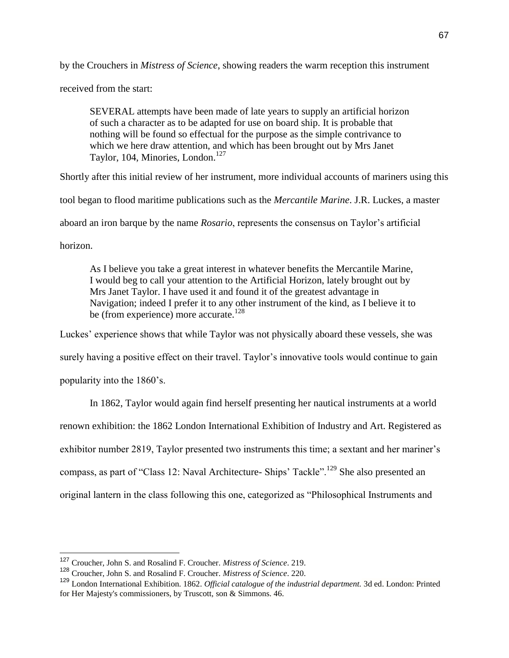by the Crouchers in *Mistress of Science*, showing readers the warm reception this instrument

received from the start:

SEVERAL attempts have been made of late years to supply an artificial horizon of such a character as to be adapted for use on board ship. It is probable that nothing will be found so effectual for the purpose as the simple contrivance to which we here draw attention, and which has been brought out by Mrs Janet Taylor, 104, Minories, London.<sup>127</sup>

Shortly after this initial review of her instrument, more individual accounts of mariners using this

tool began to flood maritime publications such as the *Mercantile Marine*. J.R. Luckes, a master

aboard an iron barque by the name *Rosario*, represents the consensus on Taylor's artificial

horizon.

As I believe you take a great interest in whatever benefits the Mercantile Marine, I would beg to call your attention to the Artificial Horizon, lately brought out by Mrs Janet Taylor. I have used it and found it of the greatest advantage in Navigation; indeed I prefer it to any other instrument of the kind, as I believe it to be (from experience) more accurate.<sup>128</sup>

Luckes' experience shows that while Taylor was not physically aboard these vessels, she was surely having a positive effect on their travel. Taylor's innovative tools would continue to gain popularity into the 1860's.

In 1862, Taylor would again find herself presenting her nautical instruments at a world renown exhibition: the 1862 London International Exhibition of Industry and Art. Registered as exhibitor number 2819, Taylor presented two instruments this time; a sextant and her mariner's compass, as part of "Class 12: Naval Architecture- Ships' Tackle".<sup>129</sup> She also presented an original lantern in the class following this one, categorized as "Philosophical Instruments and

<sup>127</sup> Croucher, John S. and Rosalind F. Croucher. *Mistress of Science*. 219.

<sup>128</sup> Croucher, John S. and Rosalind F. Croucher. *Mistress of Science*. 220.

<sup>129</sup> London International Exhibition. 1862. *Official catalogue of the industrial department.* 3d ed. London: Printed for Her Majesty's commissioners, by Truscott, son & Simmons. 46.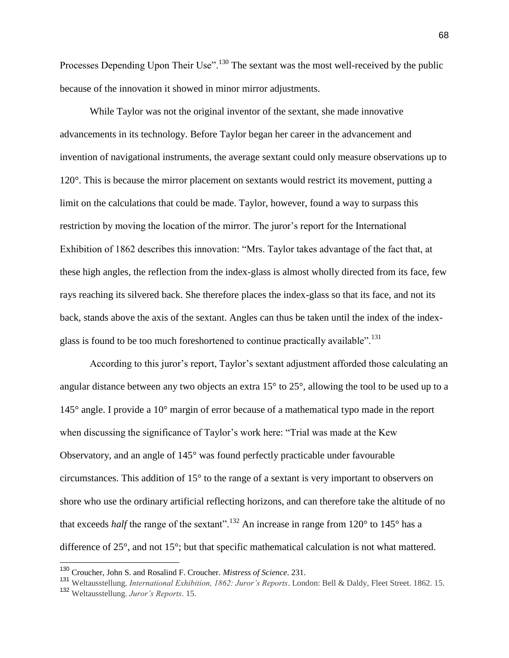Processes Depending Upon Their Use".<sup>130</sup> The sextant was the most well-received by the public because of the innovation it showed in minor mirror adjustments.

While Taylor was not the original inventor of the sextant, she made innovative advancements in its technology. Before Taylor began her career in the advancement and invention of navigational instruments, the average sextant could only measure observations up to 120°. This is because the mirror placement on sextants would restrict its movement, putting a limit on the calculations that could be made. Taylor, however, found a way to surpass this restriction by moving the location of the mirror. The juror's report for the International Exhibition of 1862 describes this innovation: "Mrs. Taylor takes advantage of the fact that, at these high angles, the reflection from the index-glass is almost wholly directed from its face, few rays reaching its silvered back. She therefore places the index-glass so that its face, and not its back, stands above the axis of the sextant. Angles can thus be taken until the index of the indexglass is found to be too much foreshortened to continue practically available".<sup>131</sup>

According to this juror's report, Taylor's sextant adjustment afforded those calculating an angular distance between any two objects an extra 15° to 25°, allowing the tool to be used up to a 145° angle. I provide a 10° margin of error because of a mathematical typo made in the report when discussing the significance of Taylor's work here: "Trial was made at the Kew Observatory, and an angle of 145° was found perfectly practicable under favourable circumstances. This addition of 15° to the range of a sextant is very important to observers on shore who use the ordinary artificial reflecting horizons, and can therefore take the altitude of no that exceeds *half* the range of the sextant".<sup>132</sup> An increase in range from  $120^{\circ}$  to  $145^{\circ}$  has a difference of 25°, and not 15°; but that specific mathematical calculation is not what mattered.

<sup>130</sup> Croucher, John S. and Rosalind F. Croucher. *Mistress of Science*. 231.

<sup>131</sup> Weltausstellung. *International Exhibition, 1862: Juror's Reports*. London: Bell & Daldy, Fleet Street. 1862. 15. <sup>132</sup> Weltausstellung. *Juror's Reports*. 15.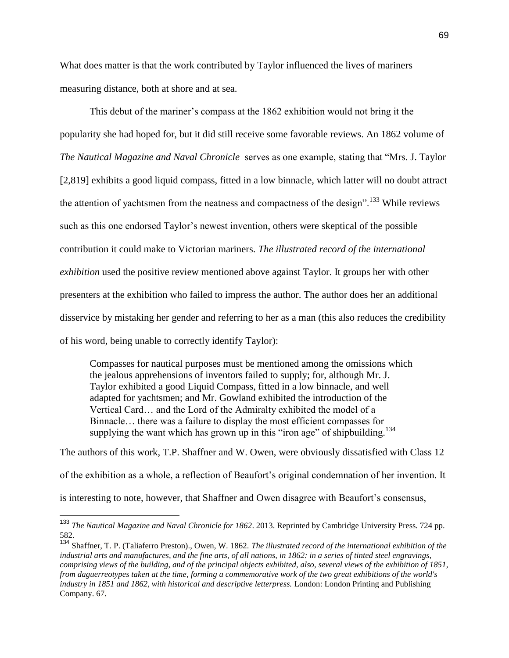What does matter is that the work contributed by Taylor influenced the lives of mariners measuring distance, both at shore and at sea.

This debut of the mariner's compass at the 1862 exhibition would not bring it the popularity she had hoped for, but it did still receive some favorable reviews. An 1862 volume of *The Nautical Magazine and Naval Chronicle* serves as one example, stating that "Mrs. J. Taylor [2,819] exhibits a good liquid compass, fitted in a low binnacle, which latter will no doubt attract the attention of yachtsmen from the neatness and compactness of the design".<sup>133</sup> While reviews such as this one endorsed Taylor's newest invention, others were skeptical of the possible contribution it could make to Victorian mariners. *The illustrated record of the international exhibition* used the positive review mentioned above against Taylor. It groups her with other presenters at the exhibition who failed to impress the author. The author does her an additional disservice by mistaking her gender and referring to her as a man (this also reduces the credibility of his word, being unable to correctly identify Taylor):

Compasses for nautical purposes must be mentioned among the omissions which the jealous apprehensions of inventors failed to supply; for, although Mr. J. Taylor exhibited a good Liquid Compass, fitted in a low binnacle, and well adapted for yachtsmen; and Mr. Gowland exhibited the introduction of the Vertical Card… and the Lord of the Admiralty exhibited the model of a Binnacle… there was a failure to display the most efficient compasses for supplying the want which has grown up in this "iron age" of shipbuilding.<sup>134</sup>

The authors of this work, T.P. Shaffner and W. Owen, were obviously dissatisfied with Class 12 of the exhibition as a whole, a reflection of Beaufort's original condemnation of her invention. It is interesting to note, however, that Shaffner and Owen disagree with Beaufort's consensus,

<sup>133</sup> *The Nautical Magazine and Naval Chronicle for 1862*. 2013. Reprinted by Cambridge University Press. 724 pp. 582.

<sup>134</sup> Shaffner, T. P. (Taliaferro Preston)., Owen, W. 1862. *The illustrated record of the international exhibition of the industrial arts and manufactures, and the fine arts, of all nations, in 1862: in a series of tinted steel engravings, comprising views of the building, and of the principal objects exhibited, also, several views of the exhibition of 1851, from daguerreotypes taken at the time, forming a commemorative work of the two great exhibitions of the world's industry in 1851 and 1862, with historical and descriptive letterpress.* London: London Printing and Publishing Company. 67.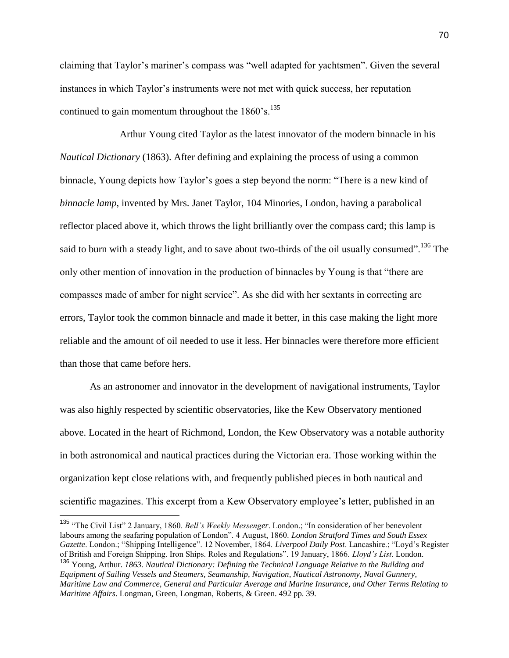claiming that Taylor's mariner's compass was "well adapted for yachtsmen". Given the several instances in which Taylor's instruments were not met with quick success, her reputation continued to gain momentum throughout the  $1860$ 's.<sup>135</sup>

Arthur Young cited Taylor as the latest innovator of the modern binnacle in his *Nautical Dictionary* (1863). After defining and explaining the process of using a common binnacle, Young depicts how Taylor's goes a step beyond the norm: "There is a new kind of *binnacle lamp*, invented by Mrs. Janet Taylor, 104 Minories, London, having a parabolical reflector placed above it, which throws the light brilliantly over the compass card; this lamp is said to burn with a steady light, and to save about two-thirds of the oil usually consumed". <sup>136</sup> The only other mention of innovation in the production of binnacles by Young is that "there are compasses made of amber for night service". As she did with her sextants in correcting arc errors, Taylor took the common binnacle and made it better, in this case making the light more reliable and the amount of oil needed to use it less. Her binnacles were therefore more efficient than those that came before hers.

As an astronomer and innovator in the development of navigational instruments, Taylor was also highly respected by scientific observatories, like the Kew Observatory mentioned above. Located in the heart of Richmond, London, the Kew Observatory was a notable authority in both astronomical and nautical practices during the Victorian era. Those working within the organization kept close relations with, and frequently published pieces in both nautical and scientific magazines. This excerpt from a Kew Observatory employee's letter, published in an

<sup>135</sup> "The Civil List" 2 January, 1860. *Bell's Weekly Messenger*. London.; "In consideration of her benevolent labours among the seafaring population of London". 4 August, 1860. *London Stratford Times and South Essex Gazette*. London.; "Shipping Intelligence". 12 November, 1864. *Liverpool Daily Post*. Lancashire.; "Loyd's Register of British and Foreign Shipping. Iron Ships. Roles and Regulations". 19 January, 1866. *Lloyd's List*. London. <sup>136</sup> Young, Arthur. *1863. Nautical Dictionary: Defining the Technical Language Relative to the Building and Equipment of Sailing Vessels and Steamers, Seamanship, Navigation, Nautical Astronomy, Naval Gunnery, Maritime Law and Commerce, General and Particular Average and Marine Insurance, and Other Terms Relating to Maritime Affairs*. Longman, Green, Longman, Roberts, & Green. 492 pp. 39.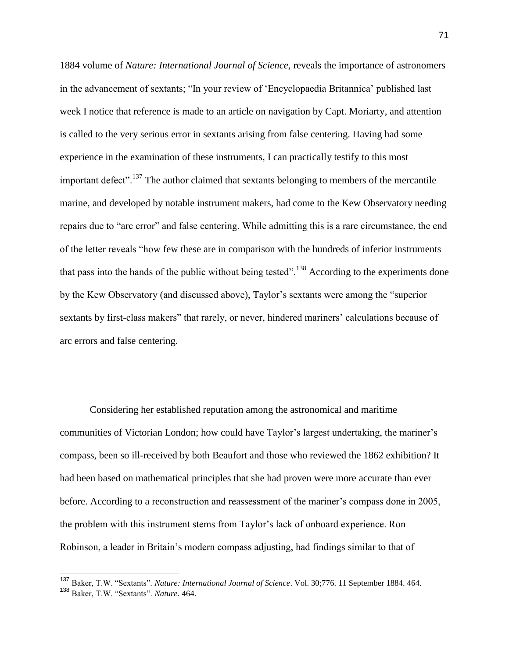1884 volume of *Nature: International Journal of Science*, reveals the importance of astronomers in the advancement of sextants; "In your review of 'Encyclopaedia Britannica' published last week I notice that reference is made to an article on navigation by Capt. Moriarty, and attention is called to the very serious error in sextants arising from false centering. Having had some experience in the examination of these instruments, I can practically testify to this most important defect".<sup>137</sup> The author claimed that sextants belonging to members of the mercantile marine, and developed by notable instrument makers, had come to the Kew Observatory needing repairs due to "arc error" and false centering. While admitting this is a rare circumstance, the end of the letter reveals "how few these are in comparison with the hundreds of inferior instruments that pass into the hands of the public without being tested".<sup>138</sup> According to the experiments done by the Kew Observatory (and discussed above), Taylor's sextants were among the "superior sextants by first-class makers" that rarely, or never, hindered mariners' calculations because of arc errors and false centering.

Considering her established reputation among the astronomical and maritime communities of Victorian London; how could have Taylor's largest undertaking, the mariner's compass, been so ill-received by both Beaufort and those who reviewed the 1862 exhibition? It had been based on mathematical principles that she had proven were more accurate than ever before. According to a reconstruction and reassessment of the mariner's compass done in 2005, the problem with this instrument stems from Taylor's lack of onboard experience. Ron Robinson, a leader in Britain's modern compass adjusting, had findings similar to that of

<sup>137</sup> Baker, T.W. "Sextants". *Nature: International Journal of Science*. Vol. 30;776. 11 September 1884. 464.

<sup>138</sup> Baker, T.W. "Sextants". *Nature*. 464.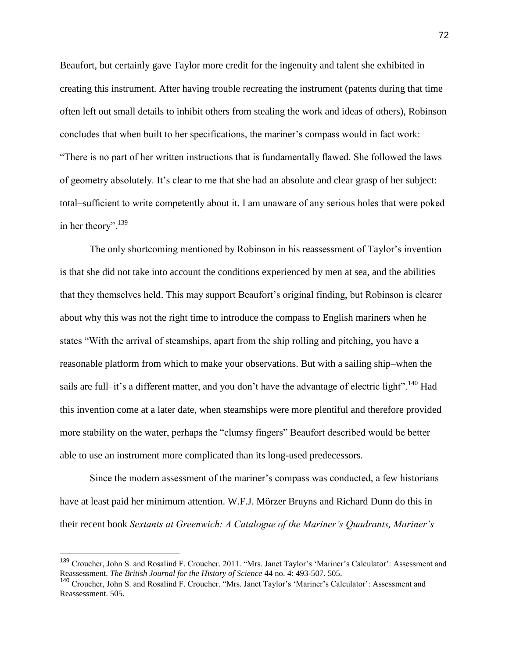Beaufort, but certainly gave Taylor more credit for the ingenuity and talent she exhibited in creating this instrument. After having trouble recreating the instrument (patents during that time often left out small details to inhibit others from stealing the work and ideas of others), Robinson concludes that when built to her specifications, the mariner's compass would in fact work: "There is no part of her written instructions that is fundamentally flawed. She followed the laws of geometry absolutely. It's clear to me that she had an absolute and clear grasp of her subject: total–sufficient to write competently about it. I am unaware of any serious holes that were poked in her theory". $139$ 

The only shortcoming mentioned by Robinson in his reassessment of Taylor's invention is that she did not take into account the conditions experienced by men at sea, and the abilities that they themselves held. This may support Beaufort's original finding, but Robinson is clearer about why this was not the right time to introduce the compass to English mariners when he states "With the arrival of steamships, apart from the ship rolling and pitching, you have a reasonable platform from which to make your observations. But with a sailing ship–when the sails are full–it's a different matter, and you don't have the advantage of electric light".<sup>140</sup> Had this invention come at a later date, when steamships were more plentiful and therefore provided more stability on the water, perhaps the "clumsy fingers" Beaufort described would be better able to use an instrument more complicated than its long-used predecessors.

Since the modern assessment of the mariner's compass was conducted, a few historians have at least paid her minimum attention. W.F.J. Mörzer Bruyns and Richard Dunn do this in their recent book *Sextants at Greenwich: A Catalogue of the Mariner's Quadrants, Mariner's* 

<sup>&</sup>lt;sup>139</sup> Croucher, John S. and Rosalind F. Croucher. 2011. "Mrs. Janet Taylor's 'Mariner's Calculator': Assessment and Reassessment. *The British Journal for the History of Science* 44 no. 4: 493-507. 505.

<sup>140</sup> Croucher, John S. and Rosalind F. Croucher. "Mrs. Janet Taylor's 'Mariner's Calculator': Assessment and Reassessment. 505.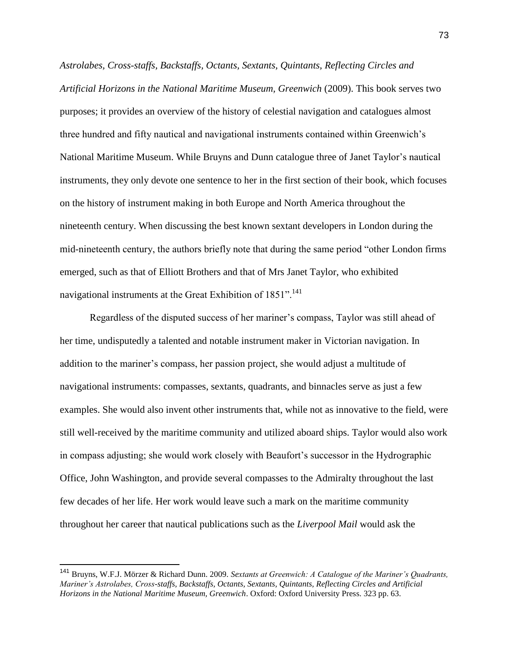*Astrolabes, Cross-staffs, Backstaffs, Octants, Sextants, Quintants, Reflecting Circles and Artificial Horizons in the National Maritime Museum, Greenwich* (2009). This book serves two purposes; it provides an overview of the history of celestial navigation and catalogues almost three hundred and fifty nautical and navigational instruments contained within Greenwich's National Maritime Museum. While Bruyns and Dunn catalogue three of Janet Taylor's nautical instruments, they only devote one sentence to her in the first section of their book, which focuses on the history of instrument making in both Europe and North America throughout the nineteenth century. When discussing the best known sextant developers in London during the mid-nineteenth century, the authors briefly note that during the same period "other London firms emerged, such as that of Elliott Brothers and that of Mrs Janet Taylor, who exhibited navigational instruments at the Great Exhibition of 1851".<sup>141</sup>

Regardless of the disputed success of her mariner's compass, Taylor was still ahead of her time, undisputedly a talented and notable instrument maker in Victorian navigation. In addition to the mariner's compass, her passion project, she would adjust a multitude of navigational instruments: compasses, sextants, quadrants, and binnacles serve as just a few examples. She would also invent other instruments that, while not as innovative to the field, were still well-received by the maritime community and utilized aboard ships. Taylor would also work in compass adjusting; she would work closely with Beaufort's successor in the Hydrographic Office, John Washington, and provide several compasses to the Admiralty throughout the last few decades of her life. Her work would leave such a mark on the maritime community throughout her career that nautical publications such as the *Liverpool Mail* would ask the

 $\overline{a}$ 

<sup>141</sup> Bruyns, W.F.J. Mörzer & Richard Dunn. 2009. *Sextants at Greenwich: A Catalogue of the Mariner's Quadrants, Mariner's Astrolabes, Cross-staffs, Backstaffs, Octants, Sextants, Quintants, Reflecting Circles and Artificial Horizons in the National Maritime Museum, Greenwich*. Oxford: Oxford University Press. 323 pp. 63.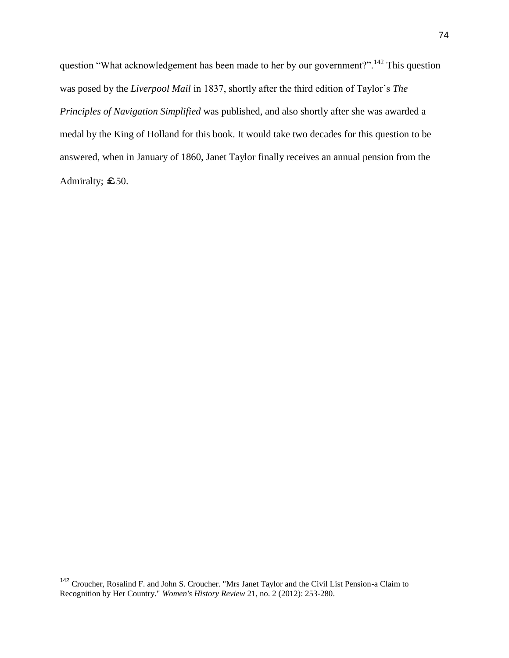question "What acknowledgement has been made to her by our government?".<sup>142</sup> This question was posed by the *Liverpool Mail* in 1837, shortly after the third edition of Taylor's *The Principles of Navigation Simplified* was published, and also shortly after she was awarded a medal by the King of Holland for this book. It would take two decades for this question to be answered, when in January of 1860, Janet Taylor finally receives an annual pension from the Admiralty; £50.

<sup>&</sup>lt;sup>142</sup> Croucher, Rosalind F. and John S. Croucher. "Mrs Janet Taylor and the Civil List Pension-a Claim to Recognition by Her Country." *Women's History Review* 21, no. 2 (2012): 253-280.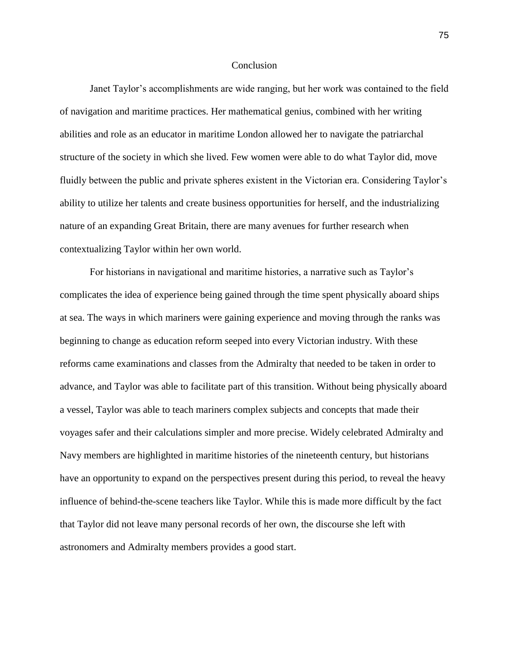#### **Conclusion**

Janet Taylor's accomplishments are wide ranging, but her work was contained to the field of navigation and maritime practices. Her mathematical genius, combined with her writing abilities and role as an educator in maritime London allowed her to navigate the patriarchal structure of the society in which she lived. Few women were able to do what Taylor did, move fluidly between the public and private spheres existent in the Victorian era. Considering Taylor's ability to utilize her talents and create business opportunities for herself, and the industrializing nature of an expanding Great Britain, there are many avenues for further research when contextualizing Taylor within her own world.

For historians in navigational and maritime histories, a narrative such as Taylor's complicates the idea of experience being gained through the time spent physically aboard ships at sea. The ways in which mariners were gaining experience and moving through the ranks was beginning to change as education reform seeped into every Victorian industry. With these reforms came examinations and classes from the Admiralty that needed to be taken in order to advance, and Taylor was able to facilitate part of this transition. Without being physically aboard a vessel, Taylor was able to teach mariners complex subjects and concepts that made their voyages safer and their calculations simpler and more precise. Widely celebrated Admiralty and Navy members are highlighted in maritime histories of the nineteenth century, but historians have an opportunity to expand on the perspectives present during this period, to reveal the heavy influence of behind-the-scene teachers like Taylor. While this is made more difficult by the fact that Taylor did not leave many personal records of her own, the discourse she left with astronomers and Admiralty members provides a good start.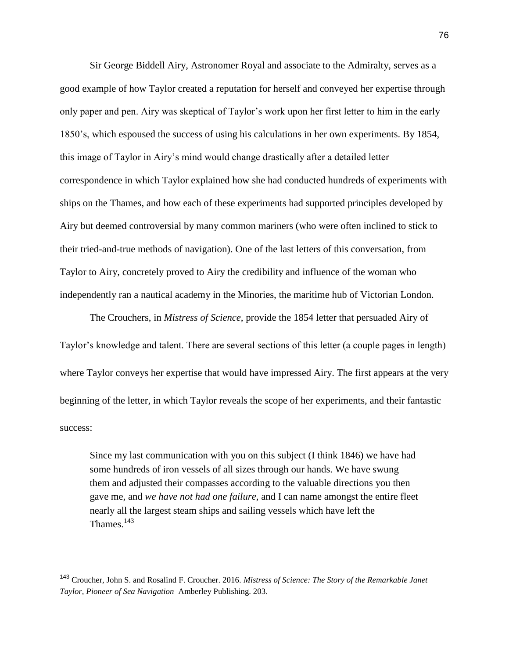Sir George Biddell Airy, Astronomer Royal and associate to the Admiralty, serves as a good example of how Taylor created a reputation for herself and conveyed her expertise through only paper and pen. Airy was skeptical of Taylor's work upon her first letter to him in the early 1850's, which espoused the success of using his calculations in her own experiments. By 1854, this image of Taylor in Airy's mind would change drastically after a detailed letter correspondence in which Taylor explained how she had conducted hundreds of experiments with ships on the Thames, and how each of these experiments had supported principles developed by Airy but deemed controversial by many common mariners (who were often inclined to stick to their tried-and-true methods of navigation). One of the last letters of this conversation, from Taylor to Airy, concretely proved to Airy the credibility and influence of the woman who independently ran a nautical academy in the Minories, the maritime hub of Victorian London.

The Crouchers, in *Mistress of Science*, provide the 1854 letter that persuaded Airy of Taylor's knowledge and talent. There are several sections of this letter (a couple pages in length) where Taylor conveys her expertise that would have impressed Airy. The first appears at the very beginning of the letter, in which Taylor reveals the scope of her experiments, and their fantastic success:

Since my last communication with you on this subject (I think 1846) we have had some hundreds of iron vessels of all sizes through our hands. We have swung them and adjusted their compasses according to the valuable directions you then gave me, and *we have not had one failure*, and I can name amongst the entire fleet nearly all the largest steam ships and sailing vessels which have left the Thames.<sup>143</sup>

<sup>143</sup> Croucher, John S. and Rosalind F. Croucher. 2016. *Mistress of Science: The Story of the Remarkable Janet Taylor, Pioneer of Sea Navigation* Amberley Publishing. 203.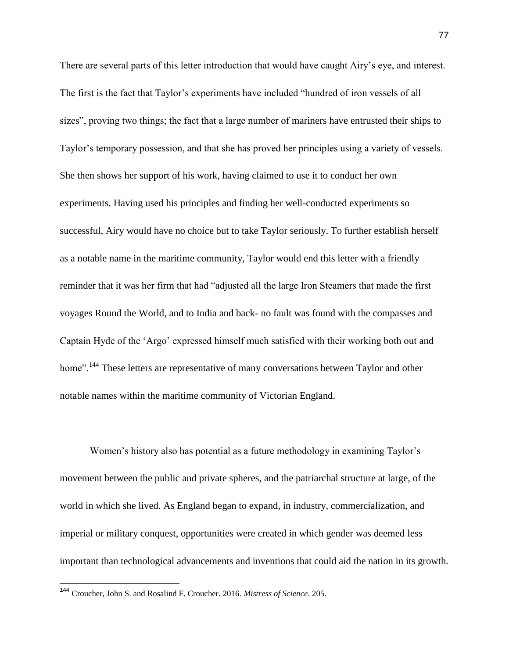There are several parts of this letter introduction that would have caught Airy's eye, and interest. The first is the fact that Taylor's experiments have included "hundred of iron vessels of all sizes", proving two things; the fact that a large number of mariners have entrusted their ships to Taylor's temporary possession, and that she has proved her principles using a variety of vessels. She then shows her support of his work, having claimed to use it to conduct her own experiments. Having used his principles and finding her well-conducted experiments so successful, Airy would have no choice but to take Taylor seriously. To further establish herself as a notable name in the maritime community, Taylor would end this letter with a friendly reminder that it was her firm that had "adjusted all the large Iron Steamers that made the first voyages Round the World, and to India and back- no fault was found with the compasses and Captain Hyde of the 'Argo' expressed himself much satisfied with their working both out and home".<sup>144</sup> These letters are representative of many conversations between Taylor and other notable names within the maritime community of Victorian England.

Women's history also has potential as a future methodology in examining Taylor's movement between the public and private spheres, and the patriarchal structure at large, of the world in which she lived. As England began to expand, in industry, commercialization, and imperial or military conquest, opportunities were created in which gender was deemed less important than technological advancements and inventions that could aid the nation in its growth.

<sup>144</sup> Croucher, John S. and Rosalind F. Croucher. 2016. *Mistress of Science*. 205.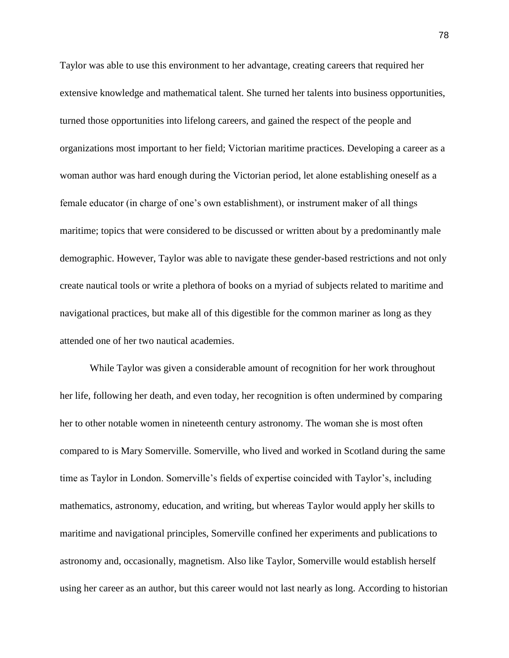Taylor was able to use this environment to her advantage, creating careers that required her extensive knowledge and mathematical talent. She turned her talents into business opportunities, turned those opportunities into lifelong careers, and gained the respect of the people and organizations most important to her field; Victorian maritime practices. Developing a career as a woman author was hard enough during the Victorian period, let alone establishing oneself as a female educator (in charge of one's own establishment), or instrument maker of all things maritime; topics that were considered to be discussed or written about by a predominantly male demographic. However, Taylor was able to navigate these gender-based restrictions and not only create nautical tools or write a plethora of books on a myriad of subjects related to maritime and navigational practices, but make all of this digestible for the common mariner as long as they attended one of her two nautical academies.

While Taylor was given a considerable amount of recognition for her work throughout her life, following her death, and even today, her recognition is often undermined by comparing her to other notable women in nineteenth century astronomy. The woman she is most often compared to is Mary Somerville. Somerville, who lived and worked in Scotland during the same time as Taylor in London. Somerville's fields of expertise coincided with Taylor's, including mathematics, astronomy, education, and writing, but whereas Taylor would apply her skills to maritime and navigational principles, Somerville confined her experiments and publications to astronomy and, occasionally, magnetism. Also like Taylor, Somerville would establish herself using her career as an author, but this career would not last nearly as long. According to historian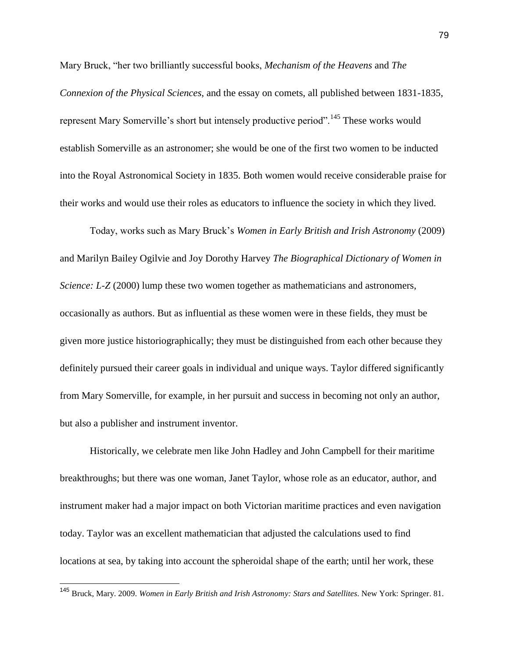Mary Bruck, "her two brilliantly successful books, *Mechanism of the Heavens* and *The Connexion of the Physical Sciences*, and the essay on comets, all published between 1831-1835, represent Mary Somerville's short but intensely productive period".<sup>145</sup> These works would establish Somerville as an astronomer; she would be one of the first two women to be inducted into the Royal Astronomical Society in 1835. Both women would receive considerable praise for their works and would use their roles as educators to influence the society in which they lived.

Today, works such as Mary Bruck's *Women in Early British and Irish Astronomy* (2009) and Marilyn Bailey Ogilvie and Joy Dorothy Harvey *The Biographical Dictionary of Women in Science: L-Z* (2000) lump these two women together as mathematicians and astronomers, occasionally as authors. But as influential as these women were in these fields, they must be given more justice historiographically; they must be distinguished from each other because they definitely pursued their career goals in individual and unique ways. Taylor differed significantly from Mary Somerville, for example, in her pursuit and success in becoming not only an author, but also a publisher and instrument inventor.

Historically, we celebrate men like John Hadley and John Campbell for their maritime breakthroughs; but there was one woman, Janet Taylor, whose role as an educator, author, and instrument maker had a major impact on both Victorian maritime practices and even navigation today. Taylor was an excellent mathematician that adjusted the calculations used to find locations at sea, by taking into account the spheroidal shape of the earth; until her work, these

<sup>145</sup> Bruck, Mary. 2009. *Women in Early British and Irish Astronomy: Stars and Satellites*. New York: Springer. 81.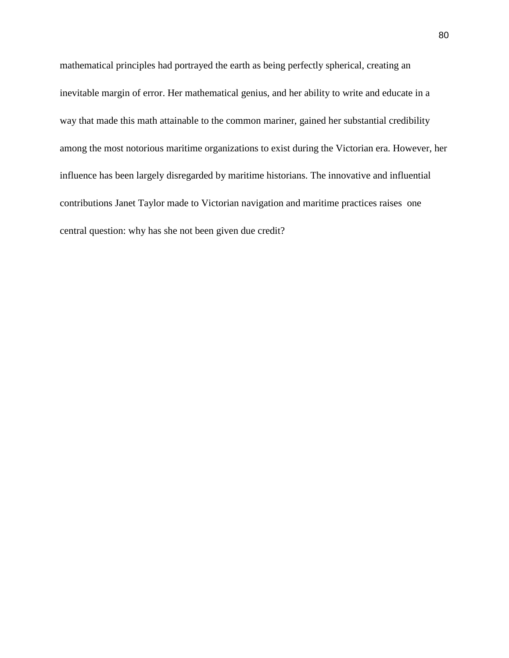mathematical principles had portrayed the earth as being perfectly spherical, creating an inevitable margin of error. Her mathematical genius, and her ability to write and educate in a way that made this math attainable to the common mariner, gained her substantial credibility among the most notorious maritime organizations to exist during the Victorian era. However, her influence has been largely disregarded by maritime historians. The innovative and influential contributions Janet Taylor made to Victorian navigation and maritime practices raises one central question: why has she not been given due credit?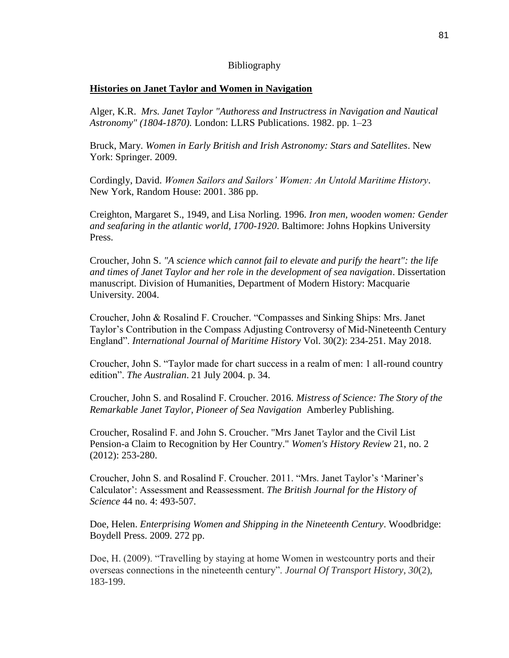# Bibliography

# **Histories on Janet Taylor and Women in Navigation**

Alger, K.R. *Mrs. Janet Taylor "Authoress and Instructress in Navigation and Nautical Astronomy" (1804-1870).* London: LLRS Publications. 1982. pp. 1–23

Bruck, Mary. *Women in Early British and Irish Astronomy: Stars and Satellites*. New York: Springer. 2009.

Cordingly, David. *Women Sailors and Sailors' Women: An Untold Maritime History*. New York, Random House: 2001. 386 pp.

Creighton, Margaret S., 1949, and Lisa Norling. 1996. *Iron men, wooden women: Gender and seafaring in the atlantic world, 1700-1920*. Baltimore: Johns Hopkins University Press.

Croucher, John S. *"A science which cannot fail to elevate and purify the heart": the life and times of Janet Taylor and her role in the development of sea navigation*. Dissertation manuscript. Division of Humanities, Department of Modern History: Macquarie University. 2004.

Croucher, John & Rosalind F. Croucher. "Compasses and Sinking Ships: Mrs. Janet Taylor's Contribution in the Compass Adjusting Controversy of Mid-Nineteenth Century England". *International Journal of Maritime History* Vol. 30(2): 234-251. May 2018.

Croucher, John S. "Taylor made for chart success in a realm of men: 1 all-round country edition". *The Australian*. 21 July 2004. p. 34.

Croucher, John S. and Rosalind F. Croucher. 2016. *Mistress of Science: The Story of the Remarkable Janet Taylor, Pioneer of Sea Navigation* Amberley Publishing.

Croucher, Rosalind F. and John S. Croucher. "Mrs Janet Taylor and the Civil List Pension-a Claim to Recognition by Her Country." *Women's History Review* 21, no. 2 (2012): 253-280.

Croucher, John S. and Rosalind F. Croucher. 2011. "Mrs. Janet Taylor's 'Mariner's Calculator': Assessment and Reassessment. *The British Journal for the History of Science* 44 no. 4: 493-507.

Doe, Helen. *Enterprising Women and Shipping in the Nineteenth Century*. Woodbridge: Boydell Press. 2009. 272 pp.

Doe, H. (2009). "Travelling by staying at home Women in westcountry ports and their overseas connections in the nineteenth century". *Journal Of Transport History*, *30*(2), 183-199.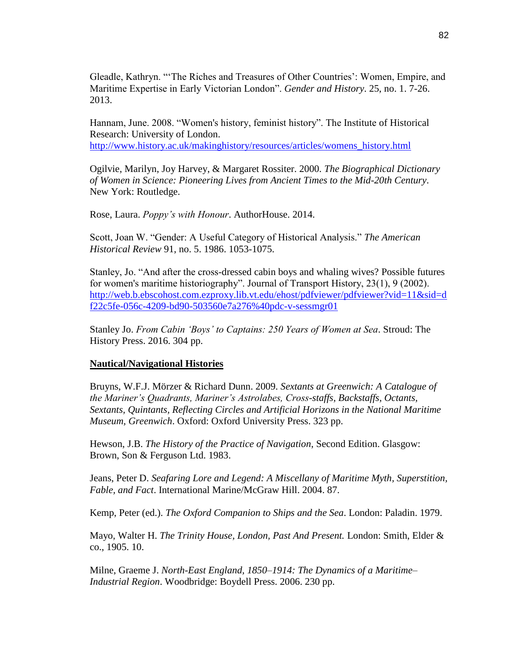Gleadle, Kathryn. "'The Riches and Treasures of Other Countries': Women, Empire, and Maritime Expertise in Early Victorian London". *Gender and History*. 25, no. 1. 7-26. 2013.

Hannam, June. 2008. "Women's history, feminist history". The Institute of Historical Research: University of London[.](http://www.history.ac.uk/makinghistory/resources/articles/womens_history.html) [http://www.history.ac.uk/makinghistory/resources/articles/womens\\_history.html](http://www.history.ac.uk/makinghistory/resources/articles/womens_history.html)

Ogilvie, Marilyn, Joy Harvey, & Margaret Rossiter. 2000. *The Biographical Dictionary of Women in Science: Pioneering Lives from Ancient Times to the Mid-20th Century*. New York: Routledge.

Rose, Laura. *Poppy's with Honour*. AuthorHouse. 2014.

Scott, Joan W. "Gender: A Useful Category of Historical Analysis." *The American Historical Review* 91, no. 5. 1986. 1053-1075.

Stanley, Jo. "And after the cross-dressed cabin boys and whaling wives? Possible futures for women's maritime historiography". Journal of Transport History, 23(1), 9 (2002)[.](http://web.b.ebscohost.com.ezproxy.lib.vt.edu/ehost/pdfviewer/pdfviewer?vid=11&sid=df22c5fe-056c-4209-bd90-503560e7a276%40pdc-v-sessmgr01) [http://web.b.ebscohost.com.ezproxy.lib.vt.edu/ehost/pdfviewer/pdfviewer?vid=11&sid=d](http://web.b.ebscohost.com.ezproxy.lib.vt.edu/ehost/pdfviewer/pdfviewer?vid=11&sid=df22c5fe-056c-4209-bd90-503560e7a276%40pdc-v-sessmgr01) [f22c5fe-056c-4209-bd90-503560e7a276%40pdc-v-sessmgr01](http://web.b.ebscohost.com.ezproxy.lib.vt.edu/ehost/pdfviewer/pdfviewer?vid=11&sid=df22c5fe-056c-4209-bd90-503560e7a276%40pdc-v-sessmgr01)

Stanley Jo. *From Cabin 'Boys' to Captains: 250 Years of Women at Sea*. Stroud: The History Press. 2016. 304 pp.

#### **Nautical/Navigational Histories**

Bruyns, W.F.J. Mörzer & Richard Dunn. 2009. *Sextants at Greenwich: A Catalogue of the Mariner's Quadrants, Mariner's Astrolabes, Cross-staffs, Backstaffs, Octants, Sextants, Quintants, Reflecting Circles and Artificial Horizons in the National Maritime Museum, Greenwich*. Oxford: Oxford University Press. 323 pp.

Hewson, J.B. *The History of the Practice of Navigation*, Second Edition. Glasgow: Brown, Son & Ferguson Ltd. 1983.

Jeans, Peter D. *Seafaring Lore and Legend: A Miscellany of Maritime Myth, Superstition, Fable, and Fact*. International Marine/McGraw Hill. 2004. 87.

Kemp, Peter (ed.). *The Oxford Companion to Ships and the Sea*. London: Paladin. 1979.

Mayo, Walter H. *The Trinity House, London, Past And Present.* London: Smith, Elder & co., 1905. 10.

Milne, Graeme J. *North-East England, 1850–1914: The Dynamics of a Maritime– Industrial Region*. Woodbridge: Boydell Press. 2006. 230 pp.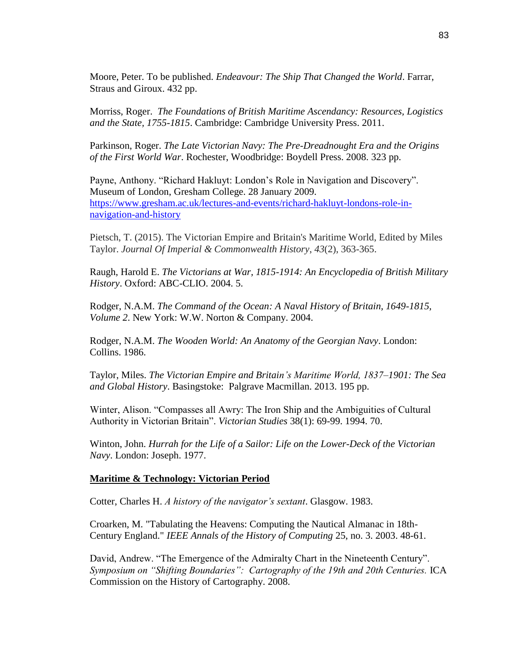Moore, Peter. To be published. *Endeavour: The Ship That Changed the World*. Farrar, Straus and Giroux. 432 pp.

Morriss, Roger. *The Foundations of British Maritime Ascendancy: Resources, Logistics and the State, 1755-1815*. Cambridge: Cambridge University Press. 2011.

Parkinson, Roger. *The Late Victorian Navy: The Pre-Dreadnought Era and the Origins of the First World War*. Rochester, Woodbridge: Boydell Press. 2008. 323 pp.

Payne, Anthony. "Richard Hakluyt: London's Role in Navigation and Discovery". Museum of London, Gresham College. 28 January 2009[.](https://www.gresham.ac.uk/lectures-and-events/richard-hakluyt-londons-role-in-navigation-and-history) [https://www.gresham.ac.uk/lectures-and-events/richard-hakluyt-londons-role-in](https://www.gresham.ac.uk/lectures-and-events/richard-hakluyt-londons-role-in-navigation-and-history)[navigation-and-history](https://www.gresham.ac.uk/lectures-and-events/richard-hakluyt-londons-role-in-navigation-and-history)

Pietsch, T. (2015). The Victorian Empire and Britain's Maritime World, Edited by Miles Taylor. *Journal Of Imperial & Commonwealth History*, *43*(2), 363-365.

Raugh, Harold E. *The Victorians at War, 1815-1914: An Encyclopedia of British Military History*. Oxford: ABC-CLIO. 2004. 5.

Rodger, N.A.M. *The Command of the Ocean: A Naval History of Britain, 1649-1815, Volume 2*. New York: W.W. Norton & Company. 2004.

Rodger, N.A.M. *The Wooden World: An Anatomy of the Georgian Navy*. London: Collins. 1986.

Taylor, Miles. *The Victorian Empire and Britain's Maritime World, 1837–1901: The Sea and Global History*. Basingstoke: Palgrave Macmillan. 2013. 195 pp.

Winter, Alison. "Compasses all Awry: The Iron Ship and the Ambiguities of Cultural Authority in Victorian Britain". *Victorian Studies* 38(1): 69-99. 1994. 70.

Winton, John. *Hurrah for the Life of a Sailor: Life on the Lower-Deck of the Victorian Navy*. London: Joseph. 1977.

### **Maritime & Technology: Victorian Period**

Cotter, Charles H. *A history of the navigator's sextant*. Glasgow. 1983.

Croarken, M. "Tabulating the Heavens: Computing the Nautical Almanac in 18th-Century England." *IEEE Annals of the History of Computing* 25, no. 3. 2003. 48-61.

David, Andrew. "The Emergence of the Admiralty Chart in the Nineteenth Century". *Symposium on "Shifting Boundaries": Cartography of the 19th and 20th Centuries.* ICA Commission on the History of Cartography. 2008.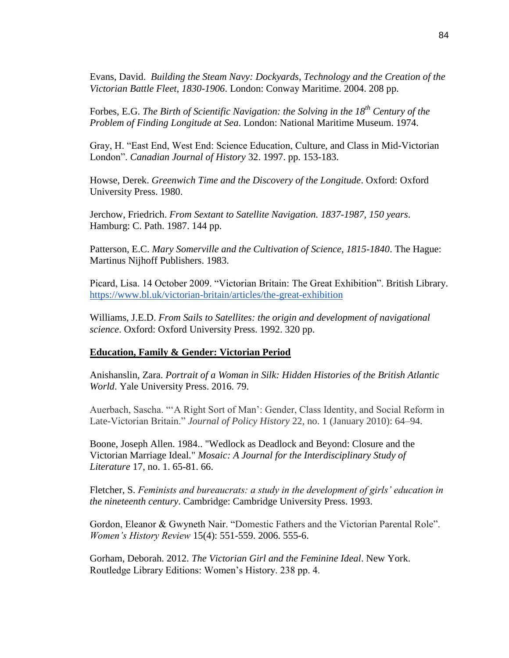Evans, David. *Building the Steam Navy: Dockyards, Technology and the Creation of the Victorian Battle Fleet, 1830-1906*. London: Conway Maritime. 2004. 208 pp.

Forbes, E.G. *The Birth of Scientific Navigation: the Solving in the 18th Century of the Problem of Finding Longitude at Sea*. London: National Maritime Museum. 1974.

Gray, H. "East End, West End: Science Education, Culture, and Class in Mid-Victorian London". *Canadian Journal of History* 32. 1997. pp. 153-183.

Howse, Derek. *Greenwich Time and the Discovery of the Longitude*. Oxford: Oxford University Press. 1980.

Jerchow, Friedrich. *From Sextant to Satellite Navigation. 1837-1987, 150 years*. Hamburg: C. Path. 1987. 144 pp.

Patterson, E.C. *Mary Somerville and the Cultivation of Science, 1815-1840*. The Hague: Martinus Nijhoff Publishers. 1983.

Picard, Lisa. 14 October 2009. "Victorian Britain: The Great Exhibition". British Library[.](https://www.bl.uk/victorian-britain/articles/the-great-exhibition) <https://www.bl.uk/victorian-britain/articles/the-great-exhibition>

Williams, J.E.D. *From Sails to Satellites: the origin and development of navigational science*. Oxford: Oxford University Press. 1992. 320 pp.

#### **Education, Family & Gender: Victorian Period**

Anishanslin, Zara. *Portrait of a Woman in Silk: Hidden Histories of the British Atlantic World*. Yale University Press. 2016. 79.

Auerbach, Sascha. "'A Right Sort of Man': Gender, Class Identity, and Social Reform in Late-Victorian Britain." *Journal of Policy History* 22, no. 1 (January 2010): 64–94.

Boone, Joseph Allen. 1984.. "Wedlock as Deadlock and Beyond: Closure and the Victorian Marriage Ideal." *Mosaic: A Journal for the Interdisciplinary Study of Literature* 17, no. 1. 65-81. 66.

Fletcher, S. *Feminists and bureaucrats: a study in the development of girls' education in the nineteenth century*. Cambridge: Cambridge University Press. 1993.

Gordon, Eleanor & Gwyneth Nair. "Domestic Fathers and the Victorian Parental Role". *Women's History Review* 15(4): 551-559. 2006. 555-6.

Gorham, Deborah. 2012. *The Victorian Girl and the Feminine Ideal*. New York. Routledge Library Editions: Women's History. 238 pp. 4.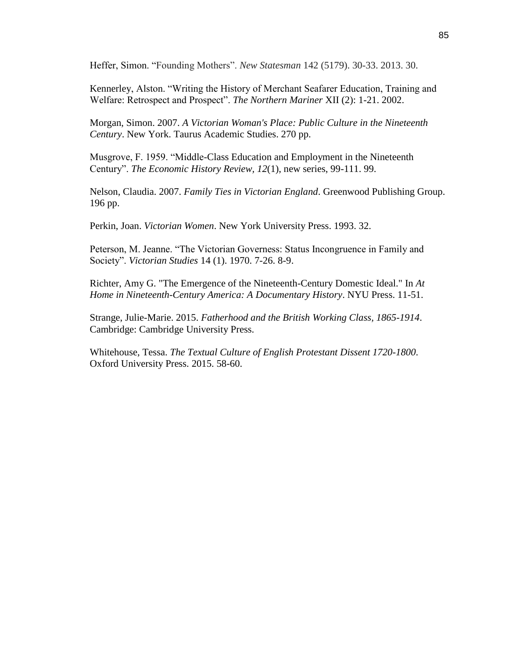Heffer, Simon. "Founding Mothers". *New Statesman* 142 (5179). 30-33. 2013. 30.

Kennerley, Alston. "Writing the History of Merchant Seafarer Education, Training and Welfare: Retrospect and Prospect". *The Northern Mariner* XII (2): 1-21. 2002.

Morgan, Simon. 2007. *A Victorian Woman's Place: Public Culture in the Nineteenth Century*. New York. Taurus Academic Studies. 270 pp.

Musgrove, F. 1959. "Middle-Class Education and Employment in the Nineteenth Century". *The Economic History Review, 12*(1), new series, 99-111. 99.

Nelson, Claudia. 2007. *Family Ties in Victorian England*. Greenwood Publishing Group. 196 pp.

Perkin, Joan. *Victorian Women*. New York University Press. 1993. 32.

Peterson, M. Jeanne. "The Victorian Governess: Status Incongruence in Family and Society". *Victorian Studies* 14 (1). 1970. 7-26. 8-9.

Richter, Amy G. "The Emergence of the Nineteenth-Century Domestic Ideal." In *At Home in Nineteenth-Century America: A Documentary History*. NYU Press. 11-51.

Strange, Julie-Marie. 2015. *Fatherhood and the British Working Class, 1865-1914*. Cambridge: Cambridge University Press.

Whitehouse, Tessa. *The Textual Culture of English Protestant Dissent 1720-1800*. Oxford University Press. 2015. 58-60.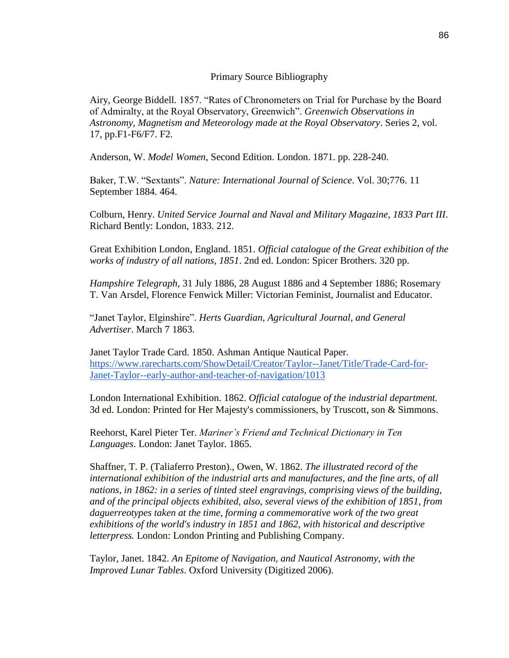## Primary Source Bibliography

Airy, George Biddell. 1857. "Rates of Chronometers on Trial for Purchase by the Board of Admiralty, at the Royal Observatory, Greenwich". *Greenwich Observations in Astronomy, Magnetism and Meteorology made at the Royal Observatory*. Series 2, vol. 17, pp.F1-F6/F7. F2.

Anderson, W. *Model Women*, Second Edition. London. 1871. pp. 228-240.

Baker, T.W. "Sextants". *Nature: International Journal of Science*. Vol. 30;776. 11 September 1884. 464.

Colburn, Henry. *United Service Journal and Naval and Military Magazine, 1833 Part III*. Richard Bently: London, 1833. 212.

Great Exhibition London, England. 1851. *Official catalogue of the Great exhibition of the works of industry of all nations, 1851*. 2nd ed. London: Spicer Brothers. 320 pp.

*Hampshire Telegraph*, 31 July 1886, 28 August 1886 and 4 September 1886; Rosemary T. Van Arsdel, Florence Fenwick Miller: Victorian Feminist, Journalist and Educator.

"Janet Taylor, Elginshire". *Herts Guardian, Agricultural Journal, and General Advertiser*. March 7 1863.

Janet Taylor Trade Card. 1850. Ashman Antique Nautical Paper[.](https://www.rarecharts.com/ShowDetail/Creator/Taylor--Janet/Title/Trade-Card-for-Janet-Taylor--early-author-and-teacher-of-navigation/1013) [https://www.rarecharts.com/ShowDetail/Creator/Taylor--Janet/Title/Trade-Card-for-](https://www.rarecharts.com/ShowDetail/Creator/Taylor--Janet/Title/Trade-Card-for-Janet-Taylor--early-author-and-teacher-of-navigation/1013)[Janet-Taylor--early-author-and-teacher-of-navigation/1013](https://www.rarecharts.com/ShowDetail/Creator/Taylor--Janet/Title/Trade-Card-for-Janet-Taylor--early-author-and-teacher-of-navigation/1013)

London International Exhibition. 1862. *Official catalogue of the industrial department.* 3d ed. London: Printed for Her Majesty's commissioners, by Truscott, son & Simmons.

Reehorst, Karel Pieter Ter. *Mariner's Friend and Technical Dictionary in Ten Languages*. London: Janet Taylor. 1865.

Shaffner, T. P. (Taliaferro Preston)., Owen, W. 1862. *The illustrated record of the international exhibition of the industrial arts and manufactures, and the fine arts, of all nations, in 1862: in a series of tinted steel engravings, comprising views of the building, and of the principal objects exhibited, also, several views of the exhibition of 1851, from daguerreotypes taken at the time, forming a commemorative work of the two great exhibitions of the world's industry in 1851 and 1862, with historical and descriptive letterpress.* London: London Printing and Publishing Company.

Taylor, Janet. 1842. *An Epitome of Navigation, and Nautical Astronomy, with the Improved Lunar Tables*. Oxford University (Digitized 2006).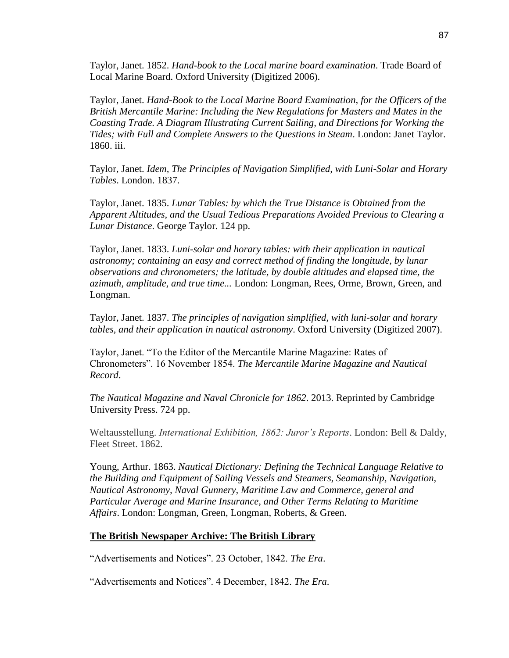Taylor, Janet. 1852. *Hand-book to the Local marine board examination*. Trade Board of Local Marine Board. Oxford University (Digitized 2006).

Taylor, Janet. *Hand-Book to the Local Marine Board Examination, for the Officers of the British Mercantile Marine: Including the New Regulations for Masters and Mates in the Coasting Trade. A Diagram Illustrating Current Sailing, and Directions for Working the Tides; with Full and Complete Answers to the Questions in Steam*. London: Janet Taylor. 1860. iii.

Taylor, Janet. *Idem, The Principles of Navigation Simplified, with Luni-Solar and Horary Tables*. London. 1837.

Taylor, Janet. 1835. *Lunar Tables: by which the True Distance is Obtained from the Apparent Altitudes, and the Usual Tedious Preparations Avoided Previous to Clearing a Lunar Distance*. George Taylor. 124 pp.

Taylor, Janet. 1833. *Luni-solar and horary tables: with their application in nautical astronomy; containing an easy and correct method of finding the longitude, by lunar observations and chronometers; the latitude, by double altitudes and elapsed time, the azimuth, amplitude, and true time...* London: Longman, Rees, Orme, Brown, Green, and Longman.

Taylor, Janet. 1837. *The principles of navigation simplified, with luni-solar and horary tables, and their application in nautical astronomy*. Oxford University (Digitized 2007).

Taylor, Janet. "To the Editor of the Mercantile Marine Magazine: Rates of Chronometers". 16 November 1854. *The Mercantile Marine Magazine and Nautical Record*.

*The Nautical Magazine and Naval Chronicle for 1862*. 2013. Reprinted by Cambridge University Press. 724 pp.

Weltausstellung. *International Exhibition, 1862: Juror's Reports*. London: Bell & Daldy, Fleet Street. 1862.

Young, Arthur. 1863. *Nautical Dictionary: Defining the Technical Language Relative to the Building and Equipment of Sailing Vessels and Steamers, Seamanship, Navigation, Nautical Astronomy, Naval Gunnery, Maritime Law and Commerce, general and Particular Average and Marine Insurance, and Other Terms Relating to Maritime Affairs*. London: Longman, Green, Longman, Roberts, & Green.

### **The British Newspaper Archive: The British Library**

"Advertisements and Notices". 23 October, 1842. *The Era*.

"Advertisements and Notices". 4 December, 1842. *The Era*.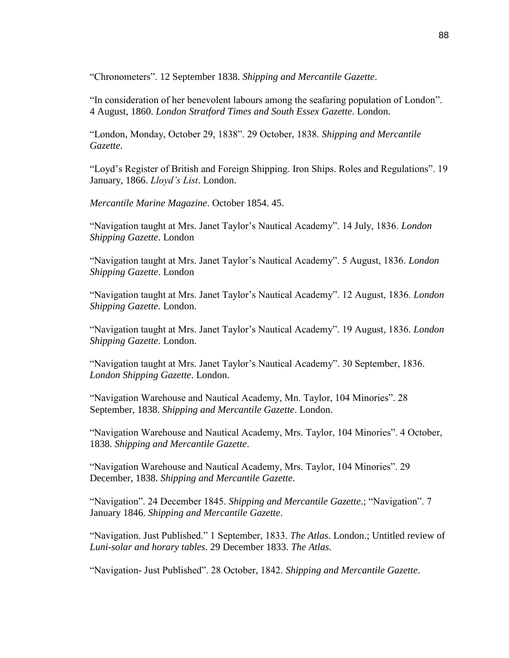"Chronometers". 12 September 1838. *Shipping and Mercantile Gazette*.

"In consideration of her benevolent labours among the seafaring population of London". 4 August, 1860. *London Stratford Times and South Essex Gazette*. London.

"London, Monday, October 29, 1838". 29 October, 1838. *Shipping and Mercantile Gazette*.

"Loyd's Register of British and Foreign Shipping. Iron Ships. Roles and Regulations". 19 January, 1866. *Lloyd's List*. London.

*Mercantile Marine Magazine*. October 1854. 45.

"Navigation taught at Mrs. Janet Taylor's Nautical Academy". 14 July, 1836. *London Shipping Gazette*. London

"Navigation taught at Mrs. Janet Taylor's Nautical Academy". 5 August, 1836. *London Shipping Gazette*. London

"Navigation taught at Mrs. Janet Taylor's Nautical Academy". 12 August, 1836. *London Shipping Gazette*. London.

"Navigation taught at Mrs. Janet Taylor's Nautical Academy". 19 August, 1836. *London Shipping Gazette*. London.

"Navigation taught at Mrs. Janet Taylor's Nautical Academy". 30 September, 1836. *London Shipping Gazette*. London.

"Navigation Warehouse and Nautical Academy, Mn. Taylor, 104 Minories". 28 September, 1838. *Shipping and Mercantile Gazette*. London.

"Navigation Warehouse and Nautical Academy, Mrs. Taylor, 104 Minories". 4 October, 1838. *Shipping and Mercantile Gazette*.

"Navigation Warehouse and Nautical Academy, Mrs. Taylor, 104 Minories". 29 December, 1838. *Shipping and Mercantile Gazette*.

"Navigation". 24 December 1845. *Shipping and Mercantile Gazette*.; "Navigation". 7 January 1846. *Shipping and Mercantile Gazette*.

"Navigation. Just Published." 1 September, 1833. *The Atlas*. London.; Untitled review of *Luni-solar and horary tables*. 29 December 1833. *The Atlas.*

"Navigation- Just Published". 28 October, 1842. *Shipping and Mercantile Gazette*.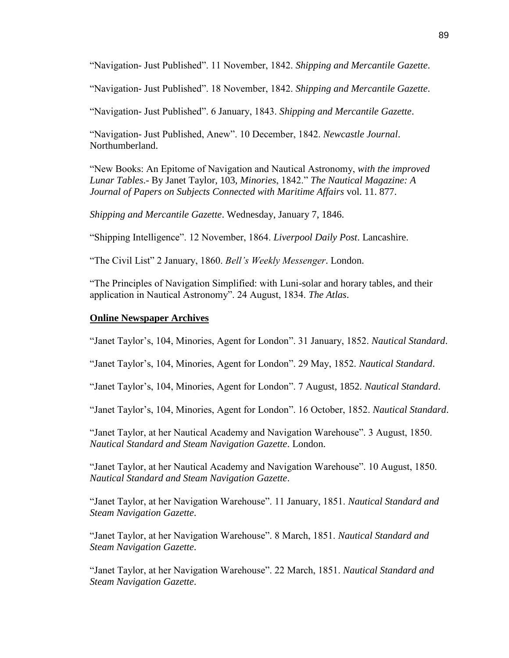"Navigation- Just Published". 11 November, 1842. *Shipping and Mercantile Gazette*.

"Navigation- Just Published". 18 November, 1842. *Shipping and Mercantile Gazette*.

"Navigation- Just Published". 6 January, 1843. *Shipping and Mercantile Gazette*.

"Navigation- Just Published, Anew". 10 December, 1842. *Newcastle Journal*. Northumberland.

"New Books: An Epitome of Navigation and Nautical Astronomy, *with the improved Lunar Tables*.- By Janet Taylor, 103, *Minories*, 1842." *The Nautical Magazine: A Journal of Papers on Subjects Connected with Maritime Affairs* vol. 11. 877.

*Shipping and Mercantile Gazette*. Wednesday, January 7, 1846.

"Shipping Intelligence". 12 November, 1864. *Liverpool Daily Post*. Lancashire.

"The Civil List" 2 January, 1860. *Bell's Weekly Messenger*. London.

"The Principles of Navigation Simplified: with Luni-solar and horary tables, and their application in Nautical Astronomy". 24 August, 1834. *The Atlas*.

### **Online Newspaper Archives**

"Janet Taylor's, 104, Minories, Agent for London". 31 January, 1852. *Nautical Standard*.

"Janet Taylor's, 104, Minories, Agent for London". 29 May, 1852. *Nautical Standard*.

"Janet Taylor's, 104, Minories, Agent for London". 7 August, 1852. *Nautical Standard*.

"Janet Taylor's, 104, Minories, Agent for London". 16 October, 1852. *Nautical Standard*.

"Janet Taylor, at her Nautical Academy and Navigation Warehouse". 3 August, 1850. *Nautical Standard and Steam Navigation Gazette*. London.

"Janet Taylor, at her Nautical Academy and Navigation Warehouse". 10 August, 1850. *Nautical Standard and Steam Navigation Gazette*.

"Janet Taylor, at her Navigation Warehouse". 11 January, 1851. *Nautical Standard and Steam Navigation Gazette*.

"Janet Taylor, at her Navigation Warehouse". 8 March, 1851. *Nautical Standard and Steam Navigation Gazette*.

"Janet Taylor, at her Navigation Warehouse". 22 March, 1851. *Nautical Standard and Steam Navigation Gazette*.